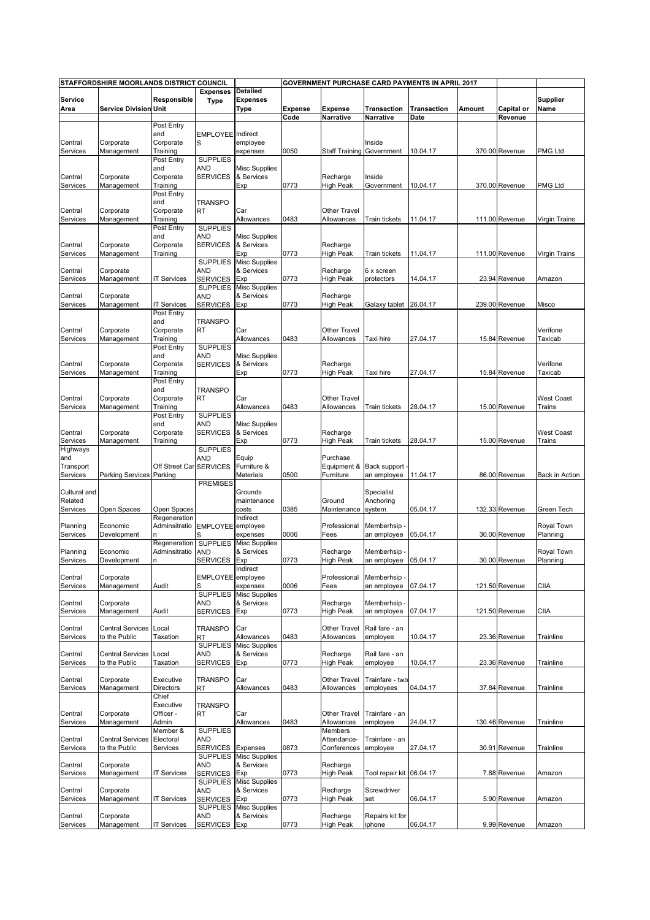|                        | STAFFORDSHIRE MOORLANDS DISTRICT COUNCIL |                               |                                    |                                            |                |                                   |                            | <b>GOVERNMENT PURCHASE CARD PAYMENTS IN APRIL 2017</b> |        |                |                         |
|------------------------|------------------------------------------|-------------------------------|------------------------------------|--------------------------------------------|----------------|-----------------------------------|----------------------------|--------------------------------------------------------|--------|----------------|-------------------------|
| <b>Service</b><br>Area | <b>Service Division Unit</b>             | Responsible                   | <b>Expenses</b><br><b>Type</b>     | <b>Detailed</b><br><b>Expenses</b><br>Type | <b>Expense</b> | <b>Expense</b>                    | Transaction                | <b>Transaction</b>                                     | Amount | Capital or     | <b>Supplier</b><br>Name |
|                        |                                          |                               |                                    |                                            | Code           | Narrative                         | Narrative                  | Date                                                   |        | Revenue        |                         |
|                        |                                          | Post Entry                    |                                    |                                            |                |                                   |                            |                                                        |        |                |                         |
| Central                | Corporate                                | and<br>Corporate              | <b>EMPLOYEE</b> Indirect<br>S      | employee                                   |                |                                   | Inside                     |                                                        |        |                |                         |
| Services               | Management                               | Training                      |                                    | expenses                                   | 0050           | Staff Training Government         |                            | 10.04.17                                               |        | 370.00 Revenue | <b>PMG Ltd</b>          |
|                        |                                          | Post Entry                    | <b>SUPPLIES</b>                    |                                            |                |                                   |                            |                                                        |        |                |                         |
|                        |                                          | and                           | AND                                | <b>Misc Supplies</b>                       |                |                                   |                            |                                                        |        |                |                         |
| Central<br>Services    | Corporate<br>Management                  | Corporate<br>Training         | <b>SERVICES</b>                    | & Services<br>Exp                          | 0773           | Recharge<br><b>High Peak</b>      | Inside<br>Government       | 10.04.17                                               |        | 370.00 Revenue | PMG Ltd                 |
|                        |                                          | Post Entry                    |                                    |                                            |                |                                   |                            |                                                        |        |                |                         |
|                        |                                          | and                           | <b>TRANSPO</b>                     |                                            |                |                                   |                            |                                                        |        |                |                         |
| Central<br>Services    | Corporate<br>Management                  | Corporate<br>Training         | <b>RT</b>                          | Car<br>Allowances                          | 0483           | <b>Other Travel</b><br>Allowances | Train tickets              | 11.04.17                                               |        | 111.00 Revenue | Virgin Trains           |
|                        |                                          | Post Entry                    | <b>SUPPLIES</b>                    |                                            |                |                                   |                            |                                                        |        |                |                         |
|                        |                                          | and                           | AND                                | <b>Misc Supplies</b>                       |                |                                   |                            |                                                        |        |                |                         |
| Central                | Corporate                                | Corporate                     | <b>SERVICES</b>                    | & Services                                 |                | Recharge                          |                            |                                                        |        |                |                         |
| Services               | Management                               | Training                      | <b>SUPPLIES</b>                    | Exp<br><b>Misc Supplies</b>                | 0773           | <b>High Peak</b>                  | Train tickets              | 11.04.17                                               |        | 111.00 Revenue | Virgin Trains           |
| Central                | Corporate                                |                               | AND                                | & Services                                 |                | Recharge                          | 6 x screen                 |                                                        |        |                |                         |
| Services               | Management                               | IT Services                   | <b>SERVICES</b>                    | Exp                                        | 0773           | <b>High Peak</b>                  | protectors                 | 14.04.17                                               |        | 23.94 Revenue  | Amazon                  |
| Central                | Corporate                                |                               | <b>SUPPLIES</b><br>AND             | <b>Misc Supplies</b><br>& Services         |                | Recharge                          |                            |                                                        |        |                |                         |
| Services               | Management                               | <b>IT Services</b>            | <b>SERVICES</b>                    | Exp                                        | 0773           | <b>High Peak</b>                  | Galaxy tablet              | 26.04.17                                               |        | 239.00 Revenue | Misco                   |
|                        |                                          | Post Entry                    |                                    |                                            |                |                                   |                            |                                                        |        |                |                         |
|                        |                                          | and                           | <b>TRANSPO</b>                     |                                            |                |                                   |                            |                                                        |        |                |                         |
| Central<br>Services    | Corporate<br>Management                  | Corporate<br>Training         | <b>RT</b>                          | Car<br>Allowances                          | 0483           | <b>Other Travel</b><br>Allowances | Taxi hire                  | 27.04.17                                               |        | 15.84 Revenue  | Verifone<br>Taxicab     |
|                        |                                          | Post Entry                    | <b>SUPPLIES</b>                    |                                            |                |                                   |                            |                                                        |        |                |                         |
|                        |                                          | and                           | AND                                | <b>Misc Supplies</b>                       |                |                                   |                            |                                                        |        |                |                         |
| Central                | Corporate<br>Management                  | Corporate<br>Training         | <b>SERVICES</b>                    | & Services<br>Exp                          | 0773           | Recharge<br><b>High Peak</b>      | Taxi hire                  | 27.04.17                                               |        | 15.84 Revenue  | Verifone<br>Taxicab     |
| Services               |                                          | Post Entry                    |                                    |                                            |                |                                   |                            |                                                        |        |                |                         |
|                        |                                          | and                           | <b>TRANSPO</b>                     |                                            |                |                                   |                            |                                                        |        |                |                         |
| Central                | Corporate                                | Corporate                     | RT                                 | Car                                        |                | Other Travel                      |                            |                                                        |        |                | <b>West Coast</b>       |
| Services               | Management                               | Training<br>Post Entry        | <b>SUPPLIES</b>                    | Allowances                                 | 0483           | Allowances                        | Train tickets              | 28.04.17                                               |        | 15.00 Revenue  | Trains                  |
|                        |                                          | and                           | AND                                | <b>Misc Supplies</b>                       |                |                                   |                            |                                                        |        |                |                         |
| Central                | Corporate                                | Corporate                     | <b>SERVICES</b>                    | & Services                                 |                | Recharge                          |                            |                                                        |        |                | <b>West Coast</b>       |
| Services<br>Highways   | Management                               | Training                      | <b>SUPPLIES</b>                    | Exp                                        | 0773           | <b>High Peak</b>                  | Train tickets              | 28.04.17                                               |        | 15.00 Revenue  | Trains                  |
| and                    |                                          |                               | AND                                | Equip                                      |                | Purchase                          |                            |                                                        |        |                |                         |
| Transport              |                                          | Off Street Car                | <b>SERVICES</b>                    | Furniture &                                |                | Equipment &                       | Back support               |                                                        |        |                |                         |
| Services               | Parking Services Parking                 |                               |                                    | Materials                                  | 0500           | Furniture                         | an employee                | 11.04.17                                               |        | 86.00 Revenue  | Back in Action          |
| Cultural and           |                                          |                               | <b>PREMISES</b>                    | Grounds                                    |                |                                   | Specialist                 |                                                        |        |                |                         |
| Related                |                                          |                               |                                    | maintenance                                |                | Ground                            | Anchoring                  |                                                        |        |                |                         |
| Services               | Open Spaces                              | Open Spaces                   |                                    | costs                                      | 0385           | Maintenance                       | system                     | 05.04.17                                               |        | 132.33 Revenue | Green Tech              |
| Planning               | Economic                                 | Regeneration<br>Adminsitratio | EMPLOYEE employee                  | Indirect                                   |                | Professional                      | Memberhsip                 |                                                        |        |                | Royal Town              |
| Services               | Development                              |                               |                                    | expenses                                   | 0006           | Fees                              | an employee                | 05.04.17                                               |        | 30.00 Revenue  | Planning                |
|                        |                                          | Regeneration                  | <b>SUPPLIES</b>                    | <b>Misc Supplies</b>                       |                |                                   |                            |                                                        |        |                |                         |
| Planning<br>Services   | Economic<br>Development                  | Adminsitratio<br>n            | AND<br>SERVICES Exp                | & Services                                 | 0773           | Recharge<br><b>High Peak</b>      | Memberhsip<br>an employee  | 05.04.17                                               |        | 30.00 Revenue  | Royal Town<br>Planning  |
|                        |                                          |                               |                                    | Indirect                                   |                |                                   |                            |                                                        |        |                |                         |
| Central                | Corporate                                |                               | EMPLOYEE employee                  |                                            |                | Professional                      | Memberhsip -               |                                                        |        |                |                         |
| Services               | Management                               | Audit                         | S<br><b>SUPPLIES</b>               | expenses<br><b>Misc Supplies</b>           | 0006           | Fees                              | an employee                | 07.04.17                                               |        | 121.50 Revenue | <b>CIIA</b>             |
| Central                | Corporate                                |                               | AND                                | & Services                                 |                | Recharge                          | Memberhsip -               |                                                        |        |                |                         |
| Services               | Management                               | Audit                         | <b>SERVICES</b>                    | Exp                                        | 0773           | <b>High Peak</b>                  | an employee                | 07.04.17                                               |        | 121.50 Revenue | CIIA                    |
|                        |                                          |                               |                                    |                                            |                |                                   | Rail fare - an             |                                                        |        |                |                         |
| Central<br>Services    | <b>Central Services</b><br>to the Public | Local<br>Taxation             | <b>TRANSPO</b><br>RT               | Car<br>Allowances                          | 0483           | Other Travel<br>Allowances        | employee                   | 10.04.17                                               |        | 23.36 Revenue  | Trainline               |
|                        |                                          |                               | <b>SUPPLIES</b>                    | <b>Misc Supplies</b>                       |                |                                   |                            |                                                        |        |                |                         |
| Central                | <b>Central Services</b>                  | Local                         | AND                                | & Services                                 |                | Recharge                          | Rail fare - an             |                                                        |        |                |                         |
| Services               | to the Public                            | <b>Taxation</b>               | <b>SERVICES</b>                    | Exp                                        | 0773           | High Peak                         | employee                   | 10.04.17                                               |        | 23.36 Revenue  | Trainline               |
| Central                | Corporate                                | Executive                     | <b>TRANSPO</b>                     | Car                                        |                | Other Travel                      | Trainfare - two            |                                                        |        |                |                         |
| Services               | Management                               | Directors                     | RT                                 | Allowances                                 | 0483           | Allowances                        | employees                  | 04.04.17                                               |        | 37.84 Revenue  | Trainline               |
|                        |                                          | Chief<br>Executive            | <b>TRANSPO</b>                     |                                            |                |                                   |                            |                                                        |        |                |                         |
| Central                | Corporate                                | Officer -                     | RT                                 | Car                                        |                | Other Travel                      | Trainfare - an             |                                                        |        |                |                         |
| Services               | Management                               | Admin                         |                                    | Allowances                                 | 0483           | Allowances                        | employee                   | 24.04.17                                               |        | 130.46 Revenue | Trainline               |
|                        |                                          | Member &                      | <b>SUPPLIES</b>                    |                                            |                | Members                           |                            |                                                        |        |                |                         |
| Central<br>Services    | <b>Central Services</b><br>to the Public | Electoral<br>Services         | AND<br><b>SERVICES</b>             | Expenses                                   | 0873           | Attendance-<br>Conferences        | Trainfare - an<br>employee | 27.04.17                                               |        | 30.91 Revenue  | Trainline               |
|                        |                                          |                               | <b>SUPPLIES</b>                    | <b>Misc Supplies</b>                       |                |                                   |                            |                                                        |        |                |                         |
| Central                | Corporate                                |                               | AND                                | & Services                                 |                | Recharge                          |                            |                                                        |        |                |                         |
| Services               | Management                               | <b>IT Services</b>            | <b>SERVICES</b><br><b>SUPPLIES</b> | Exp<br><b>Misc Supplies</b>                | 0773           | High Peak                         | Tool repair kit 06.04.17   |                                                        |        | 7.88 Revenue   | Amazon                  |
| Central                | Corporate                                |                               | AND                                | & Services                                 |                | Recharge                          | Screwdriver                |                                                        |        |                |                         |
| Services               | Management                               | <b>IT Services</b>            | <b>SERVICES</b>                    | Exp                                        | 0773           | <b>High Peak</b>                  | set                        | 06.04.17                                               |        | 5.90 Revenue   | Amazon                  |
|                        |                                          |                               | <b>SUPPLIES</b>                    | <b>Misc Supplies</b>                       |                |                                   |                            |                                                        |        |                |                         |
| Central<br>Services    | Corporate<br>Management                  | <b>IT Services</b>            | AND<br><b>SERVICES</b>             | & Services<br>Exp                          | 0773           | Recharge<br><b>High Peak</b>      | Repairs kit for<br>iphone  | 06.04.17                                               |        | 9.99 Revenue   | Amazon                  |
|                        |                                          |                               |                                    |                                            |                |                                   |                            |                                                        |        |                |                         |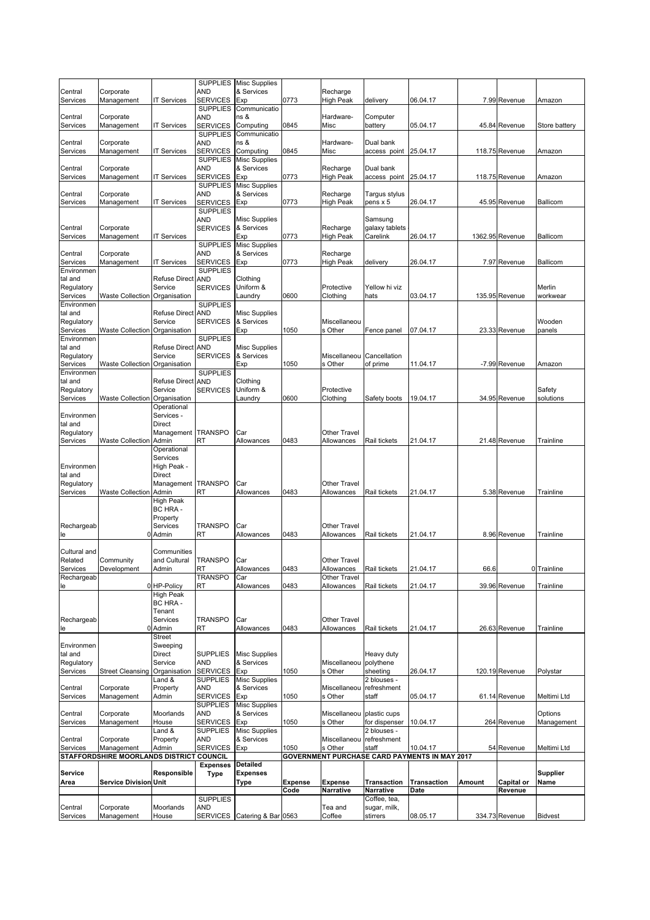|                        |                                          |                      |                        | SUPPLIES Misc Supplies             |                |                            |                          |                                               |        |                 |                |
|------------------------|------------------------------------------|----------------------|------------------------|------------------------------------|----------------|----------------------------|--------------------------|-----------------------------------------------|--------|-----------------|----------------|
| Central                | Corporate                                |                      | AND                    | & Services                         |                | Recharge                   |                          |                                               |        |                 |                |
| Services               | Management                               | <b>IT Services</b>   | SERVICES               | Exp                                | 0773           | High Peak                  | delivery                 | 06.04.17                                      |        | 7.99 Revenue    | Amazon         |
|                        |                                          |                      | <b>SUPPLIES</b>        | Communicatio                       |                |                            |                          |                                               |        |                 |                |
| Central                | Corporate                                |                      | AND                    | ns &                               |                | Hardware-                  | Computer                 |                                               |        |                 |                |
| Services               | Management                               | <b>IT Services</b>   | SERVICES               | Computing                          | 0845           | Misc                       | battery                  | 05.04.17                                      |        | 45.84 Revenue   | Store battery  |
|                        |                                          |                      | <b>SUPPLIES</b>        | Communicatio                       |                |                            |                          |                                               |        |                 |                |
| Central                | Corporate                                |                      | AND                    | ns &                               |                | Hardware-                  | Dual bank                |                                               |        |                 |                |
| Services               | Management                               | IT Services          | <b>SERVICES</b>        | Computing                          | 0845           | Misc                       | access point             | 25.04.17                                      |        | 118.75 Revenue  | Amazon         |
|                        |                                          |                      | <b>SUPPLIES</b>        | <b>Misc Supplies</b>               |                |                            |                          |                                               |        |                 |                |
| Central                | Corporate                                |                      | AND                    | & Services                         |                | Recharge                   | Dual bank                |                                               |        |                 |                |
| Services               | Management                               | IT Services          | <b>SERVICES</b>        | Exp                                | 0773           | High Peak                  | access point             | 25.04.17                                      |        | 118.75 Revenue  | Amazon         |
|                        |                                          |                      | <b>SUPPLIES</b>        | <b>Misc Supplies</b>               |                |                            |                          |                                               |        |                 |                |
| Central                | Corporate                                |                      | AND                    | & Services                         |                | Recharge                   | Targus stylus            |                                               |        |                 |                |
| Services               | Management                               | IT Services          | <b>SERVICES</b>        | Exp                                | 0773           | <b>High Peak</b>           | pens x 5                 | 26.04.17                                      |        | 45.95 Revenue   | Ballicom       |
|                        |                                          |                      | <b>SUPPLIES</b>        |                                    |                |                            |                          |                                               |        |                 |                |
|                        |                                          |                      | AND                    | <b>Misc Supplies</b>               |                |                            | Samsung                  |                                               |        |                 |                |
| Central                | Corporate                                |                      | <b>SERVICES</b>        | & Services                         |                | Recharge                   | galaxy tablets           |                                               |        |                 |                |
| Services               | Management                               | <b>IT Services</b>   |                        | Exp                                | 0773           | High Peak                  | Carelink                 | 26.04.17                                      |        | 1362.95 Revenue | Ballicom       |
|                        |                                          |                      | <b>SUPPLIES</b>        | <b>Misc Supplies</b>               |                |                            |                          |                                               |        |                 |                |
| Central                | Corporate                                |                      | AND                    | & Services                         |                | Recharge                   |                          |                                               |        |                 |                |
| Services               | Management                               | IT Services          | <b>SERVICES</b>        | Exp                                | 0773           | High Peak                  | delivery                 | 26.04.17                                      |        | 7.97 Revenue    | Ballicom       |
| Environmen             |                                          |                      | <b>SUPPLIES</b>        |                                    |                |                            |                          |                                               |        |                 |                |
| tal and                |                                          | Refuse Direct        | <b>AND</b>             | Clothing                           |                |                            |                          |                                               |        |                 |                |
| Regulatory             |                                          | Service              | <b>SERVICES</b>        | Uniform &                          |                | Protective                 | Yellow hi viz            |                                               |        |                 | Merlin         |
| Services               | <b>Waste Collection</b>                  | Organisation         |                        | Laundry                            | 0600           | Clothing                   | hats                     | 03.04.17                                      |        | 135.95 Revenue  | workwear       |
| Environmen             |                                          |                      | <b>SUPPLIES</b>        |                                    |                |                            |                          |                                               |        |                 |                |
| tal and                |                                          | <b>Refuse Direct</b> | <b>AND</b>             | <b>Misc Supplies</b>               |                |                            |                          |                                               |        |                 |                |
| Regulatory             |                                          | Service              | <b>SERVICES</b>        | & Services                         |                | Miscellaneou               |                          |                                               |        |                 | Wooden         |
| Services               | <b>Waste Collection</b>                  | Organisation         |                        | Exp                                | 1050           | s Other                    | Fence panel              | 07.04.17                                      |        | 23.33 Revenue   | panels         |
| Environmen             |                                          |                      | <b>SUPPLIES</b>        |                                    |                |                            |                          |                                               |        |                 |                |
| tal and                |                                          | <b>Refuse Direct</b> | <b>AND</b>             | <b>Misc Supplies</b>               |                |                            |                          |                                               |        |                 |                |
| Regulatory             |                                          | Service              | <b>SERVICES</b>        | & Services                         |                | Miscellaneou               | Cancellation             |                                               |        |                 |                |
| Services               | Waste Collection Organisation            |                      |                        | Exp                                | 1050           | s Other                    | of prime                 | 11.04.17                                      |        | -7.99 Revenue   | Amazon         |
| Environmen             |                                          |                      | <b>SUPPLIES</b>        |                                    |                |                            |                          |                                               |        |                 |                |
| tal and                |                                          | <b>Refuse Direct</b> | <b>AND</b>             | Clothing                           |                |                            |                          |                                               |        |                 |                |
| Regulatory             |                                          | Service              | <b>SERVICES</b>        | Uniform &                          |                | Protective                 |                          |                                               |        |                 | Safety         |
| Services               | Waste Collection Organisation            |                      |                        | Laundry                            | 0600           | Clothing                   | Safety boots             | 19.04.17                                      |        | 34.95 Revenue   | solutions      |
|                        |                                          | Operational          |                        |                                    |                |                            |                          |                                               |        |                 |                |
| Environmen             |                                          | Services -           |                        |                                    |                |                            |                          |                                               |        |                 |                |
| tal and                |                                          | <b>Direct</b>        |                        |                                    |                |                            |                          |                                               |        |                 |                |
| Regulatory             |                                          | Management TRANSPO   |                        | Car                                |                | Other Travel               |                          |                                               |        |                 |                |
| Services               | <b>Waste Collection Admin</b>            |                      | RT                     | Allowances                         | 0483           | Allowances                 | Rail tickets             | 21.04.17                                      |        | 21.48 Revenue   | Trainline      |
|                        |                                          | Operational          |                        |                                    |                |                            |                          |                                               |        |                 |                |
|                        |                                          | Services             |                        |                                    |                |                            |                          |                                               |        |                 |                |
| Environmen             |                                          | High Peak -          |                        |                                    |                |                            |                          |                                               |        |                 |                |
| tal and                |                                          | <b>Direct</b>        |                        |                                    |                |                            |                          |                                               |        |                 |                |
| Regulatory             |                                          | Management TRANSPO   |                        | Car                                |                | Other Travel               |                          |                                               |        |                 |                |
| Services               | Waste Collection                         | Admin                | RT                     | Allowances                         | 0483           | Allowances                 | Rail tickets             | 21.04.17                                      |        | 5.38 Revenue    | Trainline      |
|                        |                                          | <b>High Peak</b>     |                        |                                    |                |                            |                          |                                               |        |                 |                |
|                        |                                          | BC HRA-              |                        |                                    |                |                            |                          |                                               |        |                 |                |
|                        |                                          | Property             |                        |                                    |                |                            |                          |                                               |        |                 |                |
| Rechargeab             |                                          | Services             | <b>TRANSPO</b>         | Car                                |                | Other Travel               |                          |                                               |        |                 |                |
|                        |                                          | 0 Admin              | RT                     | Allowances                         | 0483           | Allowances                 | Rail tickets             | 21.04.17                                      |        | 8.96 Revenue    | Trainline      |
| le                     |                                          |                      |                        |                                    |                |                            |                          |                                               |        |                 |                |
| Cultural and           |                                          | Communities          |                        |                                    |                |                            |                          |                                               |        |                 |                |
| Related                | Community                                | and Cultural         | <b>TRANSPO</b>         | Car                                |                | <b>Other Travel</b>        |                          |                                               |        |                 |                |
|                        |                                          |                      |                        |                                    |                |                            |                          |                                               |        |                 |                |
| Services<br>Rechargeab | Development                              | Admin                | RT<br><b>TRANSPO</b>   | Allowances<br>Car                  | 0483           | Allowances<br>Other Travel | Rail tickets             | 21.04.17                                      | 66.6   |                 | 0 Trainline    |
| le                     |                                          | 0 HP-Policy          | RT                     | Allowances                         | 0483           | Allowances                 | Rail tickets             | 21.04.17                                      |        | 39.96 Revenue   | Trainline      |
|                        |                                          | <b>High Peak</b>     |                        |                                    |                |                            |                          |                                               |        |                 |                |
|                        |                                          | BC HRA -             |                        |                                    |                |                            |                          |                                               |        |                 |                |
|                        |                                          | Tenant               |                        |                                    |                |                            |                          |                                               |        |                 |                |
| Rechargeab             |                                          | Services             | <b>TRANSPO</b>         | Car                                |                | Other Travel               |                          |                                               |        |                 |                |
| le                     |                                          | 0 Admin              | RT                     | Allowances                         | 0483           | Allowances                 | Rail tickets             | 21.04.17                                      |        | 26.63 Revenue   | Trainline      |
|                        |                                          | Street               |                        |                                    |                |                            |                          |                                               |        |                 |                |
|                        |                                          | Sweeping             |                        |                                    |                |                            |                          |                                               |        |                 |                |
| Environmen<br>tal and  |                                          |                      |                        |                                    |                |                            |                          |                                               |        |                 |                |
| Regulatory             |                                          | Direct<br>Service    | SUPPLIES<br><b>AND</b> | <b>Misc Supplies</b><br>& Services |                | Miscellaneou               | Heavy duty<br>polythene  |                                               |        |                 |                |
| Services               | <b>Street Cleansing</b>                  | Organisation         | <b>SERVICES</b>        | Exp                                | 1050           | s Other                    | sheeting                 | 26.04.17                                      |        | 120.19 Revenue  | Polystar       |
|                        |                                          | Land &               | <b>SUPPLIES</b>        | <b>Misc Supplies</b>               |                |                            | 2 blouses -              |                                               |        |                 |                |
| Central                | Corporate                                | Property             | AND                    | & Services                         |                | Miscellaneou               | refreshment              |                                               |        |                 |                |
| Services               | Management                               | Admin                | SERVICES               | Exp                                | 1050           | s Other                    | staff                    | 05.04.17                                      |        | 61.14 Revenue   | Meltimi Ltd    |
|                        |                                          |                      | <b>SUPPLIES</b>        | <b>Misc Supplies</b>               |                |                            |                          |                                               |        |                 |                |
| Central                | Corporate                                | Moorlands            | AND                    | & Services                         |                | Miscellaneou               | plastic cups             |                                               |        |                 | Options        |
| Services               | Management                               | House                | <b>SERVICES</b>        | Exp                                | 1050           | s Other                    | for dispenser            | 10.04.17                                      |        | 264 Revenue     | Management     |
|                        |                                          | Land &               | <b>SUPPLIES</b>        | <b>Misc Supplies</b>               |                |                            | 2 blouses -              |                                               |        |                 |                |
| Central                | Corporate                                | Property             | AND                    | & Services                         |                | Miscellaneou               | refreshment              |                                               |        |                 |                |
| Services               | Management                               | Admin                | <b>SERVICES</b>        | Exp                                | 1050           | s Other                    | staff                    | 10.04.17                                      |        | 54 Revenue      | Meltimi Ltd    |
|                        | STAFFORDSHIRE MOORLANDS DISTRICT COUNCIL |                      |                        |                                    |                |                            |                          | GOVERNMENT PURCHASE CARD PAYMENTS IN MAY 2017 |        |                 |                |
|                        |                                          |                      |                        | <b>Detailed</b>                    |                |                            |                          |                                               |        |                 |                |
|                        |                                          | Responsible          | <b>Expenses</b>        | <b>Expenses</b>                    |                |                            |                          |                                               |        |                 | Supplier       |
| Service                |                                          |                      | <b>Type</b>            |                                    |                |                            |                          |                                               |        |                 |                |
| Area                   |                                          |                      |                        | Type                               | <b>Expense</b> | <b>Expense</b>             | <b>Transaction</b>       | <b>Transaction</b>                            | Amount | Capital or      | Name           |
|                        | <b>Service Division Unit</b>             |                      |                        |                                    |                |                            |                          |                                               |        |                 |                |
|                        |                                          |                      |                        |                                    | Code           | Narrative                  | Narrative                | Date                                          |        | Revenue         |                |
|                        |                                          |                      | <b>SUPPLIES</b>        |                                    |                |                            | Coffee, tea,             |                                               |        |                 |                |
| Central<br>Services    | Corporate<br>Management                  | Moorlands<br>House   | AND                    | SERVICES Catering & Bar 0563       |                | Tea and<br>Coffee          | sugar, milk,<br>stirrers | 08.05.17                                      |        | 334.73 Revenue  | <b>Bidvest</b> |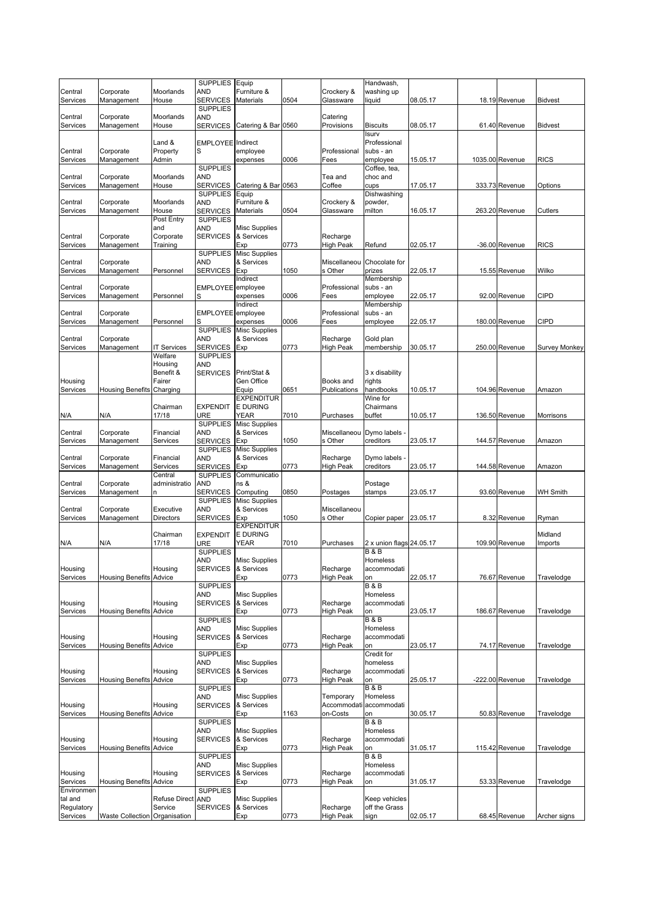|                        |                                |                       | SUPPLIES Equip                     |                                    |      |                              | Handwash,                                  |          |                   |                 |
|------------------------|--------------------------------|-----------------------|------------------------------------|------------------------------------|------|------------------------------|--------------------------------------------|----------|-------------------|-----------------|
| Central                | Corporate                      | Moorlands             | <b>AND</b>                         | Furniture &                        |      | Crockery &                   | washing up                                 |          |                   |                 |
| Services               | Management                     | House                 | <b>SERVICES</b><br><b>SUPPLIES</b> | Materials                          | 0504 | Glassware                    | liquid                                     | 08.05.17 | 18.19 Revenue     | <b>Bidvest</b>  |
| Central                | Corporate                      | Moorlands             | <b>AND</b>                         |                                    |      | Catering                     |                                            |          |                   |                 |
| Services               | Management                     | House                 | <b>SERVICES</b>                    | Catering & Bar 0560                |      | Provisions                   | <b>Biscuits</b>                            | 08.05.17 | 61.40 Revenue     | <b>Bidvest</b>  |
|                        |                                |                       |                                    |                                    |      |                              | Isurv                                      |          |                   |                 |
| Central                | Corporate                      | Land &<br>Property    | <b>EMPLOYEE</b> Indirect<br>S      | employee                           |      | Professional                 | Professional<br>subs - an                  |          |                   |                 |
| Services               | Management                     | Admin                 |                                    | expenses                           | 0006 | Fees                         | employee                                   | 15.05.17 | 1035.00 Revenue   | <b>RICS</b>     |
|                        |                                |                       | <b>SUPPLIES</b>                    |                                    |      |                              | Coffee, tea,                               |          |                   |                 |
| Central                | Corporate                      | Moorlands             | <b>AND</b>                         |                                    |      | Tea and                      | choc and                                   |          |                   |                 |
| Services               | Management                     | House                 | SERVICES<br><b>SUPPLIES</b>        | Catering & Bar 0563<br>Equip       |      | Coffee                       | cups<br>Dishwashing                        | 17.05.17 | 333.73 Revenue    | Options         |
| Central                | Corporate                      | Moorlands             | <b>AND</b>                         | Furniture &                        |      | Crockery &                   | powder,                                    |          |                   |                 |
| Services               | Management                     | House                 | <b>SERVICES</b>                    | Materials                          | 0504 | Glassware                    | milton                                     | 16.05.17 | 263.20 Revenue    | Cutlers         |
|                        |                                | Post Entry            | <b>SUPPLIES</b>                    |                                    |      |                              |                                            |          |                   |                 |
| Central                | Corporate                      | and<br>Corporate      | AND<br><b>SERVICES</b>             | <b>Misc Supplies</b><br>& Services |      |                              |                                            |          |                   |                 |
| Services               | Management                     | Training              |                                    | Exp                                | 0773 | Recharge<br><b>High Peak</b> | Refund                                     | 02.05.17 | -36.00 Revenue    | <b>RICS</b>     |
|                        |                                |                       | <b>SUPPLIES</b>                    | <b>Misc Supplies</b>               |      |                              |                                            |          |                   |                 |
| Central                | Corporate                      |                       | <b>AND</b>                         | & Services                         |      | Miscellaneou                 | Chocolate for                              |          |                   |                 |
| Services               | Management                     | Personnel             | <b>SERVICES</b>                    | Exp<br>Indirect                    | 1050 | s Other                      | prizes                                     | 22.05.17 | 15.55 Revenue     | Wilko           |
| Central                | Corporate                      |                       | EMPLOYEE employee                  |                                    |      | Professional                 | Membership<br>subs - an                    |          |                   |                 |
| Services               | Management                     | Personnel             | S                                  | expenses                           | 0006 | Fees                         | employee                                   | 22.05.17 | 92.00 Revenue     | <b>CIPD</b>     |
|                        |                                |                       |                                    | Indirect                           |      |                              | Membership                                 |          |                   |                 |
| Central                | Corporate                      |                       | EMPLOYEE employee                  |                                    |      | Professional                 | subs - an                                  |          |                   |                 |
| Services               | Management                     | Personnel             | S<br><b>SUPPLIES</b>               | expenses<br><b>Misc Supplies</b>   | 0006 | Fees                         | employee                                   | 22.05.17 | 180.00 Revenue    | <b>CIPD</b>     |
| Central                | Corporate                      |                       | AND                                | & Services                         |      | Recharge                     | Gold plan                                  |          |                   |                 |
| Services               | Management                     | <b>IT Services</b>    | <b>SERVICES</b>                    | Exp                                | 0773 | <b>High Peak</b>             | membership                                 | 30.05.17 | 250.00 Revenue    | Survey Monkey   |
|                        |                                | Welfare               | <b>SUPPLIES</b>                    |                                    |      |                              |                                            |          |                   |                 |
|                        |                                | Housing<br>Benefit &  | <b>AND</b><br><b>SERVICES</b>      | Print/Stat &                       |      |                              |                                            |          |                   |                 |
| Housing                |                                | Fairer                |                                    | Gen Office                         |      | Books and                    | 3 x disability<br>rights                   |          |                   |                 |
| Services               | Housing Benefits               | Charging              |                                    | Equip                              | 0651 | Publications                 | handbooks                                  | 10.05.17 | 104.96 Revenue    | Amazon          |
|                        |                                |                       |                                    | <b>EXPENDITUR</b>                  |      |                              | Wine for                                   |          |                   |                 |
|                        |                                | Chairman              | <b>EXPENDIT</b>                    | <b>E DURING</b>                    |      |                              | Chairmans                                  |          |                   |                 |
| N/A                    | N/A                            | 17/18                 | URE<br><b>SUPPLIES</b>             | YEAR<br><b>Misc Supplies</b>       | 7010 | Purchases                    | buffet                                     | 10.05.17 | 136.50 Revenue    | Morrisons       |
| Central                | Corporate                      | Financial             | <b>AND</b>                         | & Services                         |      | Miscellaneou                 | Dymo labels -                              |          |                   |                 |
| Services               | Management                     | Services              | SERVICES                           | Exp                                | 1050 | s Other                      | creditors                                  | 23.05.17 | 144.57 Revenue    | Amazon          |
|                        |                                |                       | <b>SUPPLIES</b>                    | <b>Misc Supplies</b>               |      |                              |                                            |          |                   |                 |
| Central<br>Services    | Corporate<br>Management        | Financial<br>Services | <b>AND</b><br>SERVICES             | & Services<br>Exp                  | 0773 | Recharge<br>High Peak        | Dymo labels -<br>creditors                 | 23.05.17 | 144.58 Revenue    | Amazon          |
|                        |                                | Central               | <b>SUPPLIES</b>                    | Communicatio                       |      |                              |                                            |          |                   |                 |
| Central                | Corporate                      | administratio         | <b>AND</b>                         | ns &                               |      |                              | Postage                                    |          |                   |                 |
| Services               | Management                     | n                     | SERVICES                           | Computing                          | 0850 | Postages                     | stamps                                     | 23.05.17 | 93.60 Revenue     | <b>WH Smith</b> |
| Central                | Corporate                      | Executive             | <b>SUPPLIES</b><br>AND             | <b>Misc Supplies</b><br>& Services |      | Miscellaneou                 |                                            |          |                   |                 |
| Services               | Management                     | <b>Directors</b>      | <b>SERVICES</b>                    | Exp                                | 1050 | s Other                      | Copier paper                               | 23.05.17 | 8.32 Revenue      | Ryman           |
|                        |                                |                       |                                    | <b>EXPENDITUR</b>                  |      |                              |                                            |          |                   |                 |
|                        |                                | Chairman              | <b>EXPENDIT</b>                    | <b>E DURING</b>                    |      |                              |                                            |          |                   | Midland         |
| N/A                    | N/A                            | 17/18                 | URE<br><b>SUPPLIES</b>             | YEAR                               | 7010 | Purchases                    | 2 x union flags 24.05.17<br><b>B&amp;B</b> |          | 109.90 Revenue    | Imports         |
|                        |                                |                       | <b>AND</b>                         | <b>Misc Supplies</b>               |      |                              | Homeless                                   |          |                   |                 |
| Housing                |                                | Housing               | SERVICES                           | & Services                         |      | Recharge                     | accommodati                                |          |                   |                 |
| Services               | <b>Housing Benefits</b>        | Advice                |                                    | Exp                                | 0773 | <b>High Peak</b>             | on                                         | 22.05.17 | 76.67 Revenue     | Travelodge      |
|                        |                                |                       | <b>SUPPLIES</b><br>AND             | <b>Misc Supplies</b>               |      |                              | B & B<br>Homeless                          |          |                   |                 |
| Housing                |                                | Housing               | <b>SERVICES</b>                    | & Services                         |      | Recharge                     | accommodati                                |          |                   |                 |
| Services               | <b>Housing Benefits Advice</b> |                       |                                    | Exp                                | 0773 | <b>High Peak</b>             | on                                         | 23.05.17 | 186.67 Revenue    | Travelodge      |
|                        |                                |                       | <b>SUPPLIES</b>                    |                                    |      |                              | <b>B&amp;B</b><br>Homeless                 |          |                   |                 |
| Housing                |                                | Housing               | <b>AND</b><br><b>SERVICES</b>      | <b>Misc Supplies</b><br>& Services |      | Recharge                     | accommodati                                |          |                   |                 |
| Services               | <b>Housing Benefits Advice</b> |                       |                                    | Exp                                | 0773 | <b>High Peak</b>             | on                                         | 23.05.17 | 74.17 Revenue     | Travelodge      |
|                        |                                |                       | <b>SUPPLIES</b>                    |                                    |      |                              | Credit for                                 |          |                   |                 |
|                        |                                |                       | <b>AND</b>                         | <b>Misc Supplies</b>               |      |                              | homeless                                   |          |                   |                 |
| Housing<br>Services    | <b>Housing Benefits Advice</b> | Housing               | <b>SERVICES</b>                    | & Services<br>Exp                  | 0773 | Recharge<br><b>High Peak</b> | accommodati<br>on                          | 25.05.17 | $-222.00$ Revenue | Travelodge      |
|                        |                                |                       | <b>SUPPLIES</b>                    |                                    |      |                              | <b>B&amp;B</b>                             |          |                   |                 |
|                        |                                |                       | <b>AND</b>                         | <b>Misc Supplies</b>               |      | Temporary                    | Homeless                                   |          |                   |                 |
| Housing                |                                | Housing               | <b>SERVICES</b>                    | & Services                         |      | Accommodati                  | accommodati                                |          |                   |                 |
| Services               | Housing Benefits               | Advice                | <b>SUPPLIES</b>                    | Exp                                | 1163 | on-Costs                     | on<br><b>B&amp;B</b>                       | 30.05.17 | 50.83 Revenue     | Travelodge      |
|                        |                                |                       | <b>AND</b>                         | <b>Misc Supplies</b>               |      |                              | Homeless                                   |          |                   |                 |
| Housing                |                                | Housing               | <b>SERVICES</b>                    | & Services                         |      | Recharge                     | accommodati                                |          |                   |                 |
| Services               | <b>Housing Benefits</b>        | Advice                |                                    | Exp                                | 0773 | High Peak                    | on                                         | 31.05.17 | 115.42 Revenue    | Travelodge      |
|                        |                                |                       | <b>SUPPLIES</b>                    |                                    |      |                              | <b>B&amp;B</b><br>Homeless                 |          |                   |                 |
| Housing                |                                | Housing               | AND<br><b>SERVICES</b>             | <b>Misc Supplies</b><br>& Services |      | Recharge                     | accommodati                                |          |                   |                 |
| Services               | <b>Housing Benefits</b>        | Advice                |                                    | Exp                                | 0773 | High Peak                    | on                                         | 31.05.17 | 53.33 Revenue     | Travelodge      |
| Environmen             |                                |                       | <b>SUPPLIES</b>                    |                                    |      |                              |                                            |          |                   |                 |
| tal and                |                                | Refuse Direct AND     |                                    | <b>Misc Supplies</b>               |      |                              | Keep vehicles                              |          |                   |                 |
| Regulatory<br>Services | Waste Collection Organisation  | Service               | <b>SERVICES</b>                    | & Services<br>Exp                  | 0773 | Recharge<br><b>High Peak</b> | off the Grass<br>sign                      | 02.05.17 | 68.45 Revenue     | Archer signs    |
|                        |                                |                       |                                    |                                    |      |                              |                                            |          |                   |                 |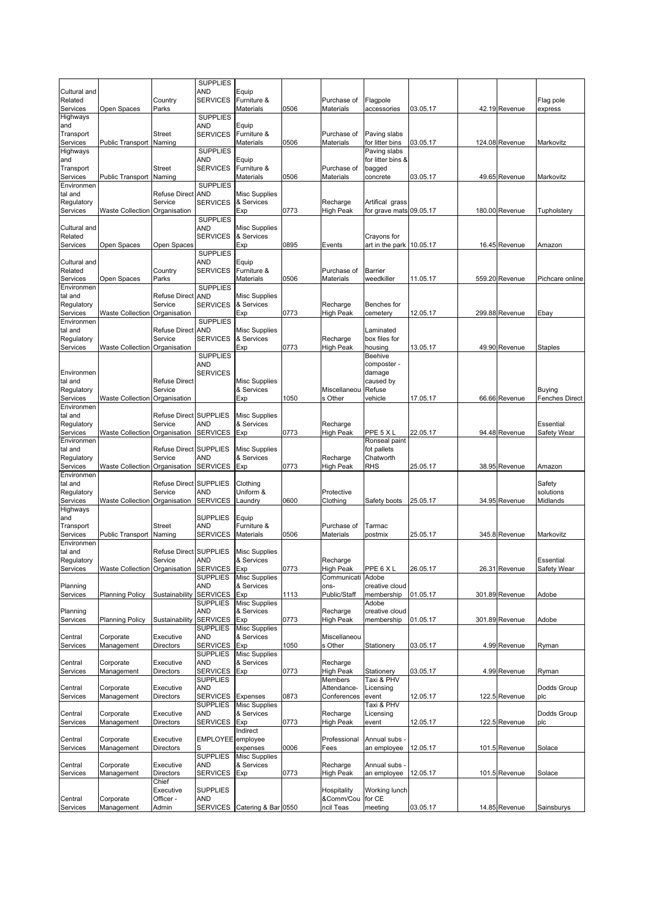|                         |                                      |                                 | <b>SUPPLIES</b><br>AND             |                                    |      |                              |                                |          |                |                       |
|-------------------------|--------------------------------------|---------------------------------|------------------------------------|------------------------------------|------|------------------------------|--------------------------------|----------|----------------|-----------------------|
| Cultural and<br>Related |                                      | Country                         | <b>SERVICES</b>                    | Equip<br>Furniture &               |      | Purchase of                  | Flagpole                       |          |                | Flag pole             |
| Services                | Open Spaces                          | Parks                           |                                    | <b>Materials</b>                   | 0506 | Materials                    | accessories                    | 03.05.17 | 42.19 Revenue  | express               |
| Highways<br>and         |                                      |                                 | <b>SUPPLIES</b><br>AND             | Equip                              |      |                              |                                |          |                |                       |
| Transport               |                                      | Street                          | <b>SERVICES</b>                    | Furniture &                        |      | Purchase of                  | Paving slabs                   |          |                |                       |
| Services                | Public Transport Naming              |                                 |                                    | Materials                          | 0506 | Materials                    | for litter bins                | 03.05.17 | 124.08 Revenue | Markovitz             |
| Highways                |                                      |                                 | <b>SUPPLIES</b>                    |                                    |      |                              | Paving slabs                   |          |                |                       |
| and<br>Transport        |                                      | <b>Street</b>                   | AND<br><b>SERVICES</b>             | Equip<br>Furniture &               |      | Purchase of                  | for litter bins &<br>bagged    |          |                |                       |
| Services                | Public Transport                     | Naming                          |                                    | Materials                          | 0506 | Materials                    | concrete                       | 03.05.17 | 49.65 Revenue  | Markovitz             |
| Environmen              |                                      |                                 | <b>SUPPLIES</b>                    |                                    |      |                              |                                |          |                |                       |
| tal and<br>Regulatory   |                                      | <b>Refuse Direct</b><br>Service | <b>AND</b><br><b>SERVICES</b>      | <b>Misc Supplies</b><br>& Services |      | Recharge                     | Artifical grass                |          |                |                       |
| Services                | Waste Collection                     | Organisation                    |                                    | Exp                                | 0773 | High Peak                    | for grave mats 09.05.17        |          | 180.00 Revenue | Tupholstery           |
|                         |                                      |                                 | <b>SUPPLIES</b>                    |                                    |      |                              |                                |          |                |                       |
| Cultural and            |                                      |                                 | <b>AND</b>                         | <b>Misc Supplies</b>               |      |                              |                                |          |                |                       |
| Related<br>Services     | Open Spaces                          | Open Spaces                     | <b>SERVICES</b>                    | & Services<br>Exp                  | 0895 | Events                       | Crayons for<br>art in the park | 10.05.17 | 16.45 Revenue  | Amazon                |
|                         |                                      |                                 | <b>SUPPLIES</b>                    |                                    |      |                              |                                |          |                |                       |
| Cultural and            |                                      |                                 | AND                                | Equip                              |      |                              |                                |          |                |                       |
| Related                 |                                      | Country                         | <b>SERVICES</b>                    | Furniture &                        |      | Purchase of                  | Barrier                        |          |                |                       |
| Services<br>Environmen  | Open Spaces                          | Parks                           | <b>SUPPLIES</b>                    | Materials                          | 0506 | Materials                    | weedkiller                     | 11.05.17 | 559.20 Revenue | Pichcare online       |
| tal and                 |                                      | <b>Refuse Direct</b>            | <b>AND</b>                         | <b>Misc Supplies</b>               |      |                              |                                |          |                |                       |
| Regulatory              |                                      | Service                         | <b>SERVICES</b>                    | & Services                         |      | Recharge                     | Benches for                    |          |                |                       |
| Services                | <b>Waste Collection</b>              | Organisation                    |                                    | Exp                                | 0773 | <b>High Peak</b>             | cemetery                       | 12.05.17 | 299.88 Revenue | Ebay                  |
| Environmen<br>tal and   |                                      | <b>Refuse Direct</b>            | <b>SUPPLIES</b><br><b>AND</b>      | <b>Misc Supplies</b>               |      |                              | Laminated                      |          |                |                       |
| Regulatory              |                                      | Service                         | <b>SERVICES</b>                    | & Services                         |      | Recharge                     | box files for                  |          |                |                       |
| Services                | <b>Waste Collection Organisation</b> |                                 |                                    | Exp                                | 0773 | <b>High Peak</b>             | housing                        | 13.05.17 | 49.90 Revenue  | <b>Staples</b>        |
|                         |                                      |                                 | <b>SUPPLIES</b>                    |                                    |      |                              | <b>Beehive</b>                 |          |                |                       |
| Environmen              |                                      |                                 | AND<br><b>SERVICES</b>             |                                    |      |                              | composter -<br>damage          |          |                |                       |
| tal and                 |                                      | <b>Refuse Direct</b>            |                                    | <b>Misc Supplies</b>               |      |                              | caused by                      |          |                |                       |
| Regulatory              |                                      | Service                         |                                    | & Services                         |      | Miscellaneou                 | Refuse                         |          |                | <b>Buying</b>         |
| Services                | <b>Waste Collection</b>              | Organisation                    |                                    | Exp                                | 1050 | s Other                      | vehicle                        | 17.05.17 | 66.66 Revenue  | <b>Fenches Direct</b> |
| Environmen              |                                      | Refuse Direct SUPPLIES          |                                    |                                    |      |                              |                                |          |                |                       |
| tal and<br>Regulatory   |                                      | Service                         | AND                                | <b>Misc Supplies</b><br>& Services |      | Recharge                     |                                |          |                | Essential             |
| Services                | Waste Collection                     | Organisation                    | <b>SERVICES</b>                    | Exp                                | 0773 | High Peak                    | PPE 5 X L                      | 22.05.17 | 94.48 Revenue  | Safety Wear           |
| Environmen              |                                      |                                 |                                    |                                    |      |                              | Ronseal paint                  |          |                |                       |
| tal and                 |                                      | Refuse Direct SUPPLIES          |                                    | <b>Misc Supplies</b>               |      |                              | fot pallets<br>Chatworth       |          |                |                       |
| Regulatory<br>Services  | Waste Collection                     | Service<br>Organisation         | AND<br><b>SERVICES</b>             | & Services<br>Exp                  | 0773 | Recharge<br>High Peak        | <b>RHS</b>                     | 25.05.17 | 38.95 Revenue  | Amazon                |
| Environmen              |                                      |                                 |                                    |                                    |      |                              |                                |          |                |                       |
| tal and                 |                                      | Refuse Direct SUPPLIES          |                                    | Clothing                           |      |                              |                                |          |                | Safety                |
| Regulatory<br>Services  | <b>Waste Collection</b>              | Service<br>Organisation         | AND<br><b>SERVICES</b>             | Uniform &<br>Laundry               | 0600 | Protective<br>Clothing       | Safety boots                   | 25.05.17 | 34.95 Revenue  | solutions<br>Midlands |
| Highways                |                                      |                                 |                                    |                                    |      |                              |                                |          |                |                       |
| and                     |                                      |                                 | SUPPLIES                           | Equip                              |      |                              |                                |          |                |                       |
| Transport               |                                      | Street                          | AND                                | Furniture &                        |      | Purchase of                  | Tarmac                         |          |                |                       |
| Services                | Public Transport Naming              |                                 | SERVICES                           | Materials                          | 0506 | Materials                    | postmix                        | 25.05.17 | 345.8 Revenue  | Markovitz             |
| Environmen<br>tal and   |                                      | Refuse Direct SUPPLIES          |                                    | <b>Misc Supplies</b>               |      |                              |                                |          |                |                       |
| Regulatory              |                                      | Service                         | <b>AND</b>                         | & Services                         |      | Recharge                     |                                |          |                | Essential             |
| Services                | Waste Collection Organisation        |                                 | SERVICES Exp                       |                                    | 0773 | <b>High Peak</b>             | PPE 6 X L                      | 26.05.17 | 26.31 Revenue  | Safety Wear           |
|                         |                                      |                                 |                                    | <b>SUPPLIES</b> Misc Supplies      |      | Communicati Adobe            |                                |          |                |                       |
| Planning<br>Services    | <b>Planning Policy</b>               | Sustainability                  | AND<br><b>SERVICES</b>             | & Services<br>Exp                  | 1113 | ons-<br>Public/Staff         | creative cloud<br>membership   | 01.05.17 | 301.89 Revenue | Adobe                 |
|                         |                                      |                                 | SUPPLIES                           | <b>Misc Supplies</b>               |      |                              | Adobe                          |          |                |                       |
| Planning                |                                      |                                 | AND                                | & Services                         |      | Recharge                     | creative cloud                 |          |                |                       |
| Services                | <b>Planning Policy</b>               | Sustainability                  | <b>SERVICES</b><br><b>SUPPLIES</b> | Exp<br><b>Misc Supplies</b>        | 0773 | <b>High Peak</b>             | membership                     | 01.05.17 | 301.89 Revenue | Adobe                 |
| Central                 | Corporate                            | Executive                       | AND                                | & Services                         |      | Miscellaneou                 |                                |          |                |                       |
| Services                | Management                           | Directors                       | SERVICES                           | Exp                                | 1050 | s Other                      | Stationery                     | 03.05.17 | 4.99 Revenue   | Ryman                 |
|                         |                                      |                                 | <b>SUPPLIES</b>                    | <b>Misc Supplies</b>               |      |                              |                                |          |                |                       |
| Central<br>Services     | Corporate<br>Management              | Executive<br>Directors          | AND<br><b>SERVICES</b>             | & Services<br>Exp                  | 0773 | Recharge<br><b>High Peak</b> | Stationery                     |          | 4.99 Revenue   |                       |
|                         |                                      |                                 | <b>SUPPLIES</b>                    |                                    |      | Members                      | Taxi & PHV                     | 03.05.17 |                | Ryman                 |
| Central                 | Corporate                            | Executive                       | AND                                |                                    |      | Attendance-                  | Licensing                      |          |                | Dodds Group           |
| Services                | Management                           | <b>Directors</b>                | <b>SERVICES</b>                    | Expenses                           | 0873 | Conferences                  | event                          | 12.05.17 | 122.5 Revenue  | plc                   |
| Central                 | Corporate                            |                                 | <b>SUPPLIES</b><br>AND             | <b>Misc Supplies</b><br>& Services |      | Recharge                     | Taxi & PHV<br>Licensing        |          |                | Dodds Group           |
| Services                | Management                           | Executive<br>Directors          | <b>SERVICES</b>                    | Exp                                | 0773 | High Peak                    | event                          | 12.05.17 | 122.5 Revenue  | plc                   |
|                         |                                      |                                 |                                    | Indirect                           |      |                              |                                |          |                |                       |
| Central                 | Corporate                            | Executive                       | EMPLOYEE employee                  |                                    |      | Professional                 | Annual subs                    |          |                |                       |
| Services                | Management                           | Directors                       | S                                  | expenses                           | 0006 | Fees                         | an employee                    | 12.05.17 | 101.5 Revenue  | Solace                |
| Central                 | Corporate                            | Executive                       | <b>SUPPLIES</b><br>AND             | <b>Misc Supplies</b><br>& Services |      | Recharge                     | Annual subs -                  |          |                |                       |
| Services                | Management                           | Directors                       | SERVICES                           | Exp                                | 0773 | <b>High Peak</b>             | an employee                    | 12.05.17 | 101.5 Revenue  | Solace                |
|                         |                                      | Chief                           |                                    |                                    |      |                              |                                |          |                |                       |
|                         |                                      | Executive                       | <b>SUPPLIES</b>                    |                                    |      | Hospitality                  | Working lunch                  |          |                |                       |
| Central<br>Services     | Corporate<br>Management              | Officer -<br>Admin              | AND                                | SERVICES Catering & Bar 0550       |      | &Comm/Cou<br>ncil Teas       | for CE<br>meeting              | 03.05.17 | 14.85 Revenue  | Sainsburys            |
|                         |                                      |                                 |                                    |                                    |      |                              |                                |          |                |                       |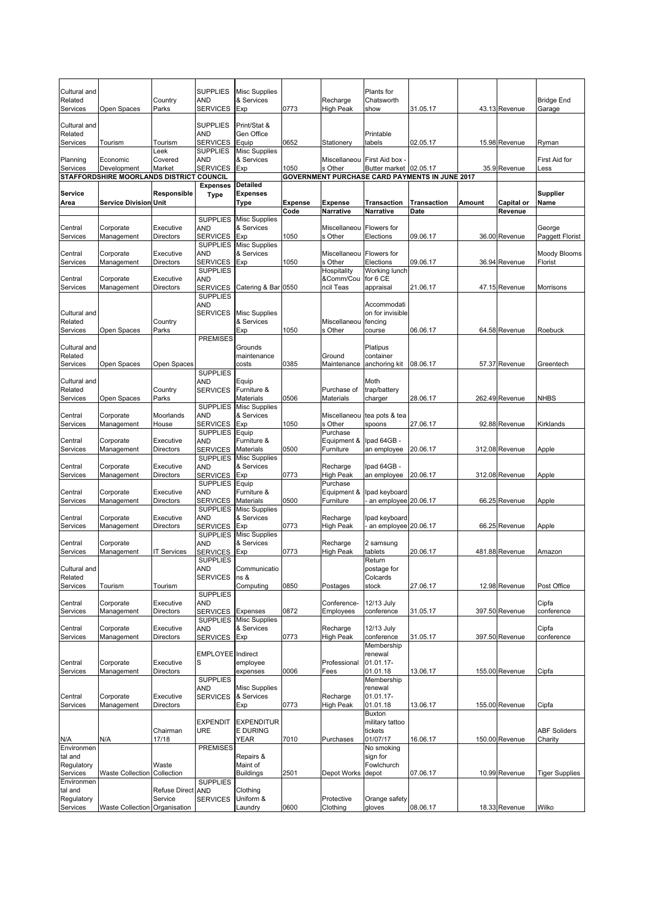| Cultural and<br>Related<br>Services | Open Spaces                              | Country<br>Parks                | <b>SUPPLIES</b><br>AND<br><b>SERVICES</b> | <b>Misc Supplies</b><br>& Services<br>Exp | 0773           | Recharge<br><b>High Peak</b> | Plants for<br>Chatsworth<br>show          | 31.05.17                                       |        | 43.13 Revenue     | <b>Bridge End</b><br>Garage |
|-------------------------------------|------------------------------------------|---------------------------------|-------------------------------------------|-------------------------------------------|----------------|------------------------------|-------------------------------------------|------------------------------------------------|--------|-------------------|-----------------------------|
| Cultural and<br>Related             |                                          |                                 | <b>SUPPLIES</b><br>AND                    | Print/Stat &<br>Gen Office                |                |                              | Printable                                 |                                                |        |                   |                             |
| Services                            | Tourism                                  | Tourism<br>_eek                 | <b>SERVICES</b><br><b>SUPPLIES</b>        | Equip<br><b>Misc Supplies</b>             | 0652           | Stationery                   | labels                                    | 02.05.17                                       |        | 15.98 Revenue     | Ryman                       |
| Planning<br>Services                | Economic<br>Development                  | Covered<br>Market               | <b>AND</b><br><b>SERVICES</b>             | & Services<br>Exp                         | 1050           | Miscellaneou<br>s Other      | First Aid box -<br>Butter market 02.05.17 |                                                |        | 35.9 Revenue      | First Aid for<br>Less       |
|                                     | STAFFORDSHIRE MOORLANDS DISTRICT COUNCIL |                                 |                                           |                                           |                |                              |                                           | GOVERNMENT PURCHASE CARD PAYMENTS IN JUNE 2017 |        |                   |                             |
| Service                             |                                          | Responsible                     | <b>Expenses</b><br><b>Type</b>            | <b>Detailed</b><br><b>Expenses</b>        |                |                              |                                           |                                                |        |                   | Supplier                    |
| Area                                | <b>Service Division Unit</b>             |                                 |                                           | Type                                      | <b>Expense</b> | <b>Expense</b>               | Transaction                               | <b>Transaction</b>                             | Amount | <b>Capital or</b> | Name                        |
|                                     |                                          |                                 |                                           |                                           | Code           | <b>Narrative</b>             | Narrative                                 | Date                                           |        | Revenue           |                             |
| Central                             | Corporate                                | Executive                       | <b>SUPPLIES</b><br>AND                    | <b>Misc Supplies</b><br>& Services        |                | Miscellaneou                 | Flowers for                               |                                                |        |                   | George                      |
| Services                            | Management                               | <b>Directors</b>                | <b>SERVICES</b>                           | Exp                                       | 1050           | s Other                      | Elections                                 | 09.06.17                                       |        | 36.00 Revenue     | Paggett Florist             |
|                                     |                                          |                                 | <b>SUPPLIES</b>                           | <b>Misc Supplies</b>                      |                |                              |                                           |                                                |        |                   |                             |
| Central<br>Services                 | Corporate<br>Management                  | Executive<br><b>Directors</b>   | AND<br><b>SERVICES</b>                    | & Services<br>Exp                         | 1050           | Miscellaneou<br>s Other      | Flowers for<br>Elections                  | 09.06.17                                       |        | 36.94 Revenue     | Moody Blooms<br>Florist     |
|                                     |                                          |                                 | <b>SUPPLIES</b>                           |                                           |                | Hospitality                  | Working lunch                             |                                                |        |                   |                             |
| Central                             | Corporate                                | Executive                       | AND                                       |                                           |                | &Comm/Cou                    | for 6 CE                                  |                                                |        |                   |                             |
| Services                            | Management                               | Directors                       | <b>SERVICES</b><br><b>SUPPLIES</b>        | Catering & Bar 0550                       |                | ncil Teas                    | appraisal                                 | 21.06.17                                       |        | 47.15 Revenue     | Morrisons                   |
|                                     |                                          |                                 | AND                                       |                                           |                |                              | Accommodati                               |                                                |        |                   |                             |
| Cultural and                        |                                          |                                 | <b>SERVICES</b>                           | <b>Misc Supplies</b>                      |                |                              | on for invisible                          |                                                |        |                   |                             |
| Related                             |                                          | Country                         |                                           | & Services                                |                | Miscellaneou                 | fencing                                   |                                                |        |                   |                             |
| Services                            | Open Spaces                              | Parks                           | <b>PREMISES</b>                           | Exp                                       | 1050           | s Other                      | course                                    | 06.06.17                                       |        | 64.58 Revenue     | Roebuck                     |
| Cultural and                        |                                          |                                 |                                           | Grounds                                   |                |                              | Platipus                                  |                                                |        |                   |                             |
| Related                             |                                          |                                 |                                           | maintenance                               |                | Ground                       | container                                 |                                                |        |                   |                             |
| Services                            | Open Spaces                              | Open Spaces                     | <b>SUPPLIES</b>                           | costs                                     | 0385           | Maintenance                  | anchoring kit                             | 08.06.17                                       |        | 57.37 Revenue     | Greentech                   |
| Cultural and                        |                                          |                                 | AND                                       | Equip                                     |                |                              | Moth                                      |                                                |        |                   |                             |
| Related                             |                                          | Country                         | <b>SERVICES</b>                           | Furniture &                               |                | Purchase of                  | trap/battery                              |                                                |        |                   |                             |
| Services                            | Open Spaces                              | Parks                           |                                           | Materials                                 | 0506           | Materials                    | charger                                   | 28.06.17                                       |        | 262.49 Revenue    | <b>NHBS</b>                 |
| Central                             | Corporate                                | Moorlands                       | <b>SUPPLIES</b><br>AND                    | <b>Misc Supplies</b><br>& Services        |                | Miscellaneou                 | tea pots & tea                            |                                                |        |                   |                             |
| Services                            | Management                               | House                           | <b>SERVICES</b>                           | Exp                                       | 1050           | s Other                      | spoons                                    | 27.06.17                                       |        | 92.88 Revenue     | Kirklands                   |
|                                     |                                          |                                 | SUPPLIES Equip                            |                                           |                | Purchase                     |                                           |                                                |        |                   |                             |
| Central<br>Services                 | Corporate<br>Management                  | Executive<br><b>Directors</b>   | AND<br><b>SERVICES</b>                    | Furniture &<br>Materials                  | 0500           | Equipment &<br>Furniture     | lpad 64GB -<br>an employee                | 20.06.17                                       |        | 312.08 Revenue    | Apple                       |
|                                     |                                          |                                 | <b>SUPPLIES</b>                           | <b>Misc Supplies</b>                      |                |                              |                                           |                                                |        |                   |                             |
| Central                             | Corporate                                | Executive                       | AND                                       | & Services                                |                | Recharge                     | lpad 64GB -                               |                                                |        |                   |                             |
| Services                            | Management                               | <b>Directors</b>                | <b>SERVICES</b><br><b>SUPPLIES</b>        | Exp<br>Equip                              | 0773           | <b>High Peak</b><br>Purchase | an employee                               | 20.06.17                                       |        | 312.08 Revenue    | Apple                       |
| Central                             | Corporate                                | Executive                       | AND                                       | Furniture &                               |                | Equipment &                  | Ipad keyboard                             |                                                |        |                   |                             |
| Services                            | Management                               | Directors                       | <b>SERVICES</b>                           | Materials                                 | 0500           | Furniture                    | an employee 20.06.17                      |                                                |        | 66.25 Revenue     | Apple                       |
| Central                             | Corporate                                | Executive                       | <b>SUPPLIES</b><br>AND                    | <b>Misc Supplies</b><br>& Services        |                | Recharge                     | Ipad keyboard                             |                                                |        |                   |                             |
| Services                            | Management                               | Directors                       | <b>SERVICES</b>                           | Exp                                       | 0773           | High Peak                    | an employee 20.06.17                      |                                                |        | 66.25 Revenue     | Apple                       |
|                                     |                                          |                                 | <b>SUPPLIES</b>                           | <b>Misc Supplies</b>                      |                |                              |                                           |                                                |        |                   |                             |
| Central<br>Services                 | Corporate<br>Management                  | <b>IT Services</b>              | AND<br><b>SERVICES</b>                    | & Services<br>Exp                         | 0773           | Recharge<br><b>High Peak</b> | 2 samsung<br>tablets                      | 20.06.17                                       |        | 481.88 Revenue    | Amazon                      |
|                                     |                                          |                                 | <b>SUPPLIES</b>                           |                                           |                |                              | Return                                    |                                                |        |                   |                             |
| Cultural and                        |                                          |                                 | AND                                       | Communicatio                              |                |                              | postage for                               |                                                |        |                   |                             |
| Related<br>Services                 | Tourism                                  | Tourism                         | <b>SERVICES</b>                           | ns &<br>Computing                         | 0850           | Postages                     | Colcards<br>stock                         | 27.06.17                                       |        | 12.98 Revenue     | Post Office                 |
|                                     |                                          |                                 | <b>SUPPLIES</b>                           |                                           |                |                              |                                           |                                                |        |                   |                             |
| Central                             | Corporate                                | Executive                       | AND                                       |                                           |                | Conference-                  | 12/13 July                                |                                                |        |                   | Cipfa                       |
| Services                            | Management                               | Directors                       | <b>SERVICES</b><br><b>SUPPLIES</b>        | Expenses<br><b>Misc Supplies</b>          | 0872           | Employees                    | conference                                | 31.05.17                                       |        | 397.50 Revenue    | conference                  |
| Central                             | Corporate                                | Executive                       | AND                                       | & Services                                |                | Recharge                     | 12/13 July                                |                                                |        |                   | Cipfa                       |
| Services                            | Management                               | Directors                       | <b>SERVICES</b>                           | Exp                                       | 0773           | <b>High Peak</b>             | conference                                | 31.05.17                                       |        | 397.50 Revenue    | conference                  |
|                                     |                                          |                                 |                                           |                                           |                |                              | Membership<br>renewal                     |                                                |        |                   |                             |
| Central                             | Corporate                                | Executive                       | EMPLOYEE Indirect<br>S                    | employee                                  |                | Professional                 | 01.01.17-                                 |                                                |        |                   |                             |
| Services                            | Management                               | Directors                       |                                           | expenses                                  | 0006           | Fees                         | 01.01.18                                  | 13.06.17                                       |        | 155.00 Revenue    | Cipfa                       |
|                                     |                                          |                                 | <b>SUPPLIES</b>                           |                                           |                |                              | Membership                                |                                                |        |                   |                             |
| Central                             | Corporate                                | Executive                       | AND<br><b>SERVICES</b>                    | <b>Misc Supplies</b><br>& Services        |                | Recharge                     | renewal<br>01.01.17-                      |                                                |        |                   |                             |
| Services                            | Management                               | <b>Directors</b>                |                                           | Exp                                       | 0773           | <b>High Peak</b>             | 01.01.18                                  | 13.06.17                                       |        | 155.00 Revenue    | Cipfa                       |
|                                     |                                          |                                 |                                           |                                           |                |                              | Buxton                                    |                                                |        |                   |                             |
|                                     |                                          | Chairman                        | <b>EXPENDIT</b><br>URE                    | <b>EXPENDITUR</b><br>E DURING             |                |                              | military tattoo<br>tickets                |                                                |        |                   | <b>ABF Soliders</b>         |
| N/A                                 | N/A                                      | 17/18                           |                                           | YEAR                                      | 7010           | Purchases                    | 01/07/17                                  | 16.06.17                                       |        | 150.00 Revenue    | Charity                     |
| Environmen                          |                                          |                                 | <b>PREMISES</b>                           |                                           |                |                              | No smoking                                |                                                |        |                   |                             |
| tal and<br>Regulatory               |                                          | Waste                           |                                           | Repairs &<br>Maint of                     |                |                              | sign for<br>Fowlchurch                    |                                                |        |                   |                             |
| Services                            | <b>Waste Collection</b>                  | Collection                      |                                           | <b>Buildings</b>                          | 2501           | Depot Works                  | depot                                     | 07.06.17                                       |        | 10.99 Revenue     | <b>Tiger Supplies</b>       |
| Environmen                          |                                          |                                 | <b>SUPPLIES</b>                           |                                           |                |                              |                                           |                                                |        |                   |                             |
| tal and<br>Regulatory               |                                          | <b>Refuse Direct</b><br>Service | <b>AND</b><br><b>SERVICES</b>             | Clothing<br>Uniform &                     |                | Protective                   | Orange safety                             |                                                |        |                   |                             |
| Services                            | Waste Collection Organisation            |                                 |                                           | Laundry                                   | 0600           | Clothing                     | gloves                                    | 08.06.17                                       |        | 18.33 Revenue     | Wilko                       |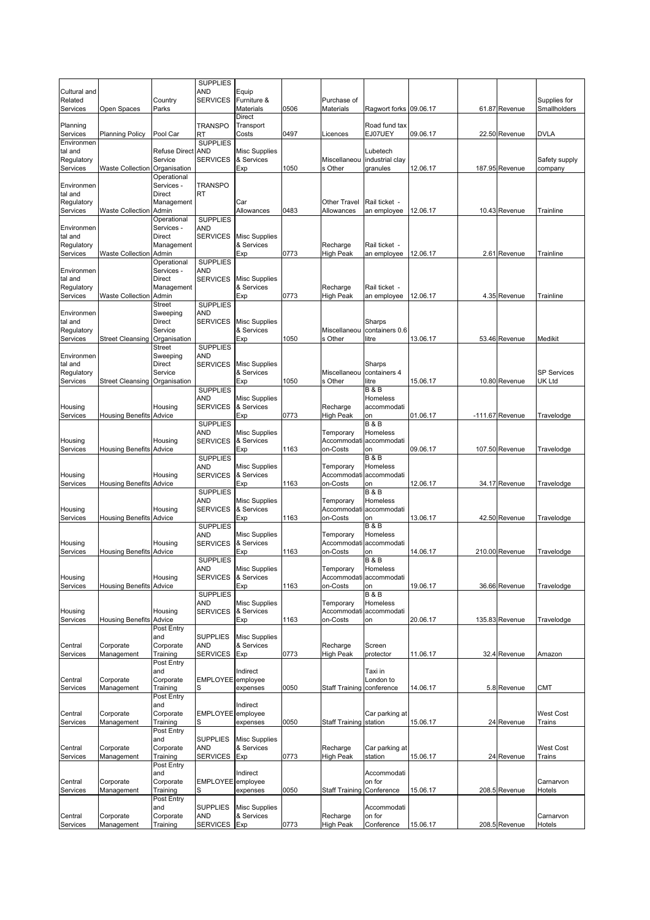|                         |                                |                       | <b>SUPPLIES</b>               |                                    |      |                              |                                     |          |                 |                          |
|-------------------------|--------------------------------|-----------------------|-------------------------------|------------------------------------|------|------------------------------|-------------------------------------|----------|-----------------|--------------------------|
| Cultural and<br>Related |                                | Country               | AND<br><b>SERVICES</b>        | Equip<br>Furniture &               |      | Purchase of                  |                                     |          |                 | Supplies for             |
| Services                | Open Spaces                    | Parks                 |                               | Materials                          | 0506 | <b>Materials</b>             | Ragwort forks 09.06.17              |          | 61.87 Revenue   | Smallholders             |
|                         |                                |                       |                               | <b>Direct</b>                      |      |                              |                                     |          |                 |                          |
| Planning<br>Services    | <b>Planning Policy</b>         | Pool Car              | <b>TRANSPO</b><br>RT          | Transport<br>Costs                 | 0497 | Licences                     | Road fund tax<br>EJ07UEY            | 09.06.17 | 22.50 Revenue   | <b>DVLA</b>              |
| Environmen              |                                |                       | <b>SUPPLIES</b>               |                                    |      |                              |                                     |          |                 |                          |
| tal and                 |                                | Refuse Direct AND     |                               | <b>Misc Supplies</b>               |      |                              | Lubetech                            |          |                 |                          |
| Regulatory<br>Services  | Waste Collection Organisation  | Service               | <b>SERVICES</b>               | & Services<br>Exp                  | 1050 | Miscellaneou<br>s Other      | industrial clay<br>granules         | 12.06.17 | 187.95 Revenue  | Safety supply<br>company |
|                         |                                | Operational           |                               |                                    |      |                              |                                     |          |                 |                          |
| Environmen              |                                | Services -            | <b>TRANSPO</b>                |                                    |      |                              |                                     |          |                 |                          |
| tal and                 |                                | <b>Direct</b>         | RT                            |                                    |      |                              |                                     |          |                 |                          |
| Regulatory<br>Services  | Waste Collection               | Management<br>Admin   |                               | Car<br>Allowances                  | 0483 | Other Travel<br>Allowances   | Rail ticket -<br>an employee        | 12.06.17 | 10.43 Revenue   | Trainline                |
|                         |                                | Operational           | <b>SUPPLIES</b>               |                                    |      |                              |                                     |          |                 |                          |
| Environmen              |                                | Services -            | <b>AND</b>                    |                                    |      |                              |                                     |          |                 |                          |
| tal and                 |                                | Direct                | <b>SERVICES</b>               | <b>Misc Supplies</b>               |      |                              |                                     |          |                 |                          |
| Regulatory<br>Services  | <b>Waste Collection</b>        | Management<br>Admin   |                               | & Services<br>Exp                  | 0773 | Recharge<br><b>High Peak</b> | Rail ticket -<br>an employee        | 12.06.17 | 2.61 Revenue    | Trainline                |
|                         |                                | Operational           | <b>SUPPLIES</b>               |                                    |      |                              |                                     |          |                 |                          |
| Environmen              |                                | Services -            | <b>AND</b>                    |                                    |      |                              |                                     |          |                 |                          |
| tal and                 |                                | Direct                | <b>SERVICES</b>               | <b>Misc Supplies</b><br>& Services |      |                              | Rail ticket -                       |          |                 |                          |
| Regulatory<br>Services  | <b>Waste Collection</b>        | Management<br>Admin   |                               | Exp                                | 0773 | Recharge<br>High Peak        | an employee                         | 12.06.17 | 4.35 Revenue    | Trainline                |
|                         |                                | <b>Street</b>         | <b>SUPPLIES</b>               |                                    |      |                              |                                     |          |                 |                          |
| Environmen              |                                | Sweeping              | <b>AND</b>                    |                                    |      |                              |                                     |          |                 |                          |
| tal and<br>Regulatory   |                                | Direct<br>Service     | <b>SERVICES</b>               | <b>Misc Supplies</b><br>& Services |      | Miscellaneou                 | Sharps<br>containers 0.6            |          |                 |                          |
| Services                | Street Cleansing Organisation  |                       |                               | Exp                                | 1050 | s Other                      | litre                               | 13.06.17 | 53.46 Revenue   | Medikit                  |
|                         |                                | <b>Street</b>         | <b>SUPPLIES</b>               |                                    |      |                              |                                     |          |                 |                          |
| Environmen              |                                | Sweeping              | AND                           |                                    |      |                              |                                     |          |                 |                          |
| tal and<br>Regulatory   |                                | Direct<br>Service     | <b>SERVICES</b>               | <b>Misc Supplies</b><br>& Services |      | Miscellaneou                 | Sharps<br>containers 4              |          |                 | <b>SP Services</b>       |
| Services                | <b>Street Cleansing</b>        | Organisation          |                               | Exp                                | 1050 | s Other                      | litre                               | 15.06.17 | 10.80 Revenue   | UK Ltd                   |
|                         |                                |                       | <b>SUPPLIES</b>               |                                    |      |                              | <b>B&amp;B</b>                      |          |                 |                          |
|                         |                                |                       | <b>AND</b>                    | <b>Misc Supplies</b>               |      |                              | Homeless                            |          |                 |                          |
| Housing<br>Services     | <b>Housing Benefits Advice</b> | Housing               | <b>SERVICES</b>               | & Services<br>Exp                  | 0773 | Recharge<br>High Peak        | accommodati<br>on                   | 01.06.17 | -111.67 Revenue | Travelodge               |
|                         |                                |                       | <b>SUPPLIES</b>               |                                    |      |                              | <b>B&amp;B</b>                      |          |                 |                          |
|                         |                                |                       | <b>AND</b>                    | <b>Misc Supplies</b>               |      | Temporary                    | Homeless                            |          |                 |                          |
| Housing                 |                                | Housing               | <b>SERVICES</b>               | & Services                         |      | Accommodati                  | accommodati                         |          |                 |                          |
| Services                | <b>Housing Benefits</b>        | Advice                | <b>SUPPLIES</b>               | Exp                                | 1163 | on-Costs                     | on<br>B & B                         | 09.06.17 | 107.50 Revenue  | Travelodge               |
|                         |                                |                       | <b>AND</b>                    | <b>Misc Supplies</b>               |      | Temporary                    | Homeless                            |          |                 |                          |
| Housing                 |                                | Housing               | <b>SERVICES</b>               | & Services                         |      | Accommodati                  | accommodati                         |          |                 |                          |
| Services                | <b>Housing Benefits</b>        | Advice                |                               | Exp                                | 1163 | on-Costs                     | on                                  | 12.06.17 | 34.17 Revenue   | Travelodge               |
|                         |                                |                       | <b>SUPPLIES</b><br><b>AND</b> | <b>Misc Supplies</b>               |      | Temporary                    | <b>B&amp;B</b><br>Homeless          |          |                 |                          |
| Housing                 |                                | Housing               | <b>SERVICES</b>               | & Services                         |      |                              | Accommodati accommodati             |          |                 |                          |
| Services                | <b>Housing Benefits Advice</b> |                       |                               | Exp                                | 1163 | on-Costs                     | on                                  | 13.06.17 | 42.50 Revenue   | Travelodge               |
|                         |                                |                       | <b>SUPPLIES</b>               | <b>Misc Supplies</b>               |      |                              | <b>B&amp;B</b><br>Homeless          |          |                 |                          |
| Housing                 |                                | Housing               | <b>AND</b><br><b>SERVICES</b> | & Services                         |      | Temporary<br>Accommodati     | accommodati                         |          |                 |                          |
| Services                | Housing Benefits               | Advice                |                               | Exp                                | 1163 | on-Costs                     | on                                  | 14.06.17 | 210.00 Revenue  | Travelodge               |
|                         |                                |                       | <b>SUPPLIES</b>               |                                    |      |                              | <b>B&amp;B</b>                      |          |                 |                          |
| Housing                 |                                | Housing               | AND<br><b>SERVICES</b>        | <b>Misc Supplies</b><br>& Services |      | Temporary                    | Homeless<br>Accommodati accommodati |          |                 |                          |
| Services                | <b>Housing Benefits Advice</b> |                       |                               | Exp                                | 1163 | on-Costs                     | on                                  | 19.06.17 | 36.66 Revenue   | Travelodge               |
|                         |                                |                       | <b>SUPPLIES</b>               |                                    |      |                              | <b>B&amp;B</b>                      |          |                 |                          |
|                         |                                |                       | <b>AND</b>                    | <b>Misc Supplies</b>               |      | Temporary                    | Homeless                            |          |                 |                          |
| Housing<br>Services     | <b>Housing Benefits</b>        | Housing<br>Advice     | <b>SERVICES</b>               | & Services<br>Exp                  | 1163 | Accommodati<br>on-Costs      | accommodati<br>on                   | 20.06.17 | 135.83 Revenue  | Travelodge               |
|                         |                                | Post Entry            |                               |                                    |      |                              |                                     |          |                 |                          |
|                         |                                | and                   | <b>SUPPLIES</b>               | <b>Misc Supplies</b>               |      |                              |                                     |          |                 |                          |
| Central                 | Corporate                      | Corporate<br>Training | <b>AND</b><br><b>SERVICES</b> | & Services                         |      | Recharge                     | Screen                              |          |                 | Amazon                   |
| Services                | Management                     | Post Entry            |                               | Exp                                | 0773 | <b>High Peak</b>             | protector                           | 11.06.17 | 32.4 Revenue    |                          |
|                         |                                | and                   |                               | Indirect                           |      |                              | Taxi in                             |          |                 |                          |
| Central                 | Corporate                      | Corporate             | EMPLOYEE employee             |                                    |      |                              | London to                           |          |                 |                          |
| Services                | Management                     | Training              | S                             | expenses                           | 0050 | <b>Staff Training</b>        | conference                          | 14.06.17 | 5.8 Revenue     | <b>CMT</b>               |
|                         |                                | Post Entry<br>and     |                               | Indirect                           |      |                              |                                     |          |                 |                          |
| Central                 | Corporate                      | Corporate             | EMPLOYEE employee             |                                    |      |                              | Car parking at                      |          |                 | <b>West Cost</b>         |
| Services                | Management                     | Training              | S                             | expenses                           | 0050 | <b>Staff Training</b>        | station                             | 15.06.17 | 24 Revenue      | Trains                   |
|                         |                                | Post Entry<br>and     | <b>SUPPLIES</b>               | <b>Misc Supplies</b>               |      |                              |                                     |          |                 |                          |
| Central                 | Corporate                      | Corporate             | AND                           | & Services                         |      | Recharge                     | Car parking at                      |          |                 | <b>West Cost</b>         |
| Services                | Management                     | Training              | <b>SERVICES</b>               | Exp                                | 0773 | <b>High Peak</b>             | station                             | 15.06.17 | 24 Revenue      | Trains                   |
|                         |                                | Post Entry            |                               |                                    |      |                              |                                     |          |                 |                          |
| Central                 | Corporate                      | and<br>Corporate      | EMPLOYEE employee             | Indirect                           |      |                              | Accommodati<br>on for               |          |                 | Carnarvon                |
| Services                | Management                     | Training              | S                             | expenses                           | 0050 | <b>Staff Training</b>        | Conference                          | 15.06.17 | 208.5 Revenue   | Hotels                   |
|                         |                                | Post Entry            |                               |                                    |      |                              |                                     |          |                 |                          |
|                         |                                | and                   | <b>SUPPLIES</b>               | <b>Misc Supplies</b>               |      |                              | Accommodati                         |          |                 |                          |
| Central<br>Services     | Corporate<br>Management        | Corporate<br>Training | <b>AND</b><br><b>SERVICES</b> | & Services<br>Exp                  | 0773 | Recharge<br><b>High Peak</b> | on for<br>Conference                | 15.06.17 | 208.5 Revenue   | Carnarvon<br>Hotels      |
|                         |                                |                       |                               |                                    |      |                              |                                     |          |                 |                          |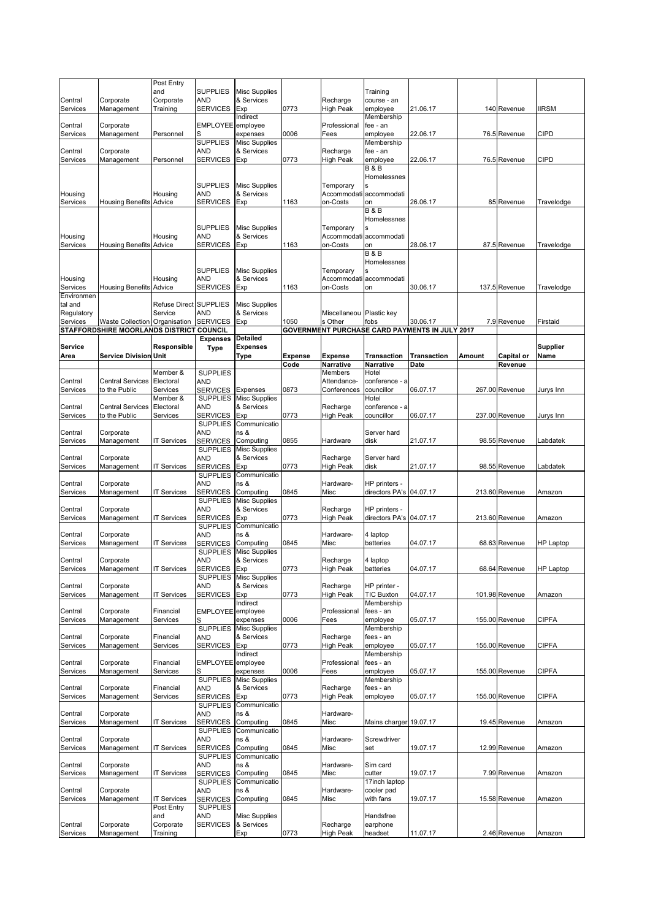|                     |                                          | Post Entry           |                                    |                                    |                |                          |                           |                                                |        |                |                  |
|---------------------|------------------------------------------|----------------------|------------------------------------|------------------------------------|----------------|--------------------------|---------------------------|------------------------------------------------|--------|----------------|------------------|
|                     |                                          | and                  | <b>SUPPLIES</b>                    | <b>Misc Supplies</b>               |                |                          | Training                  |                                                |        |                |                  |
| Central             | Corporate                                | Corporate            | AND                                | & Services                         |                | Recharge                 | course - an               |                                                |        |                |                  |
| Services            | Management                               | Training             | <b>SERVICES</b>                    | Exp                                | 0773           | <b>High Peak</b>         | employee                  | 21.06.17                                       |        | 140 Revenue    | <b>IIRSM</b>     |
| Central             | Corporate                                |                      | EMPLOYEE employee                  | Indirect                           |                | Professional             | Membership<br>fee - an    |                                                |        |                |                  |
| Services            | Management                               | Personnel            |                                    | expenses                           | 0006           | Fees                     | employee                  | 22.06.17                                       |        | 76.5 Revenue   | CIPD             |
|                     |                                          |                      | <b>SUPPLIES</b>                    | <b>Misc Supplies</b>               |                |                          | Membership                |                                                |        |                |                  |
| Central             | Corporate                                |                      | AND                                | & Services                         |                | Recharge                 | fee - an                  |                                                |        |                |                  |
| Services            | Management                               | Personnel            | <b>SERVICES</b>                    | Exp                                | 0773           | <b>High Peak</b>         | employee                  | 22.06.17                                       |        | 76.5 Revenue   | CIPD             |
|                     |                                          |                      |                                    |                                    |                |                          | <b>B&amp;B</b>            |                                                |        |                |                  |
|                     |                                          |                      |                                    |                                    |                |                          | Homelessnes               |                                                |        |                |                  |
| Housing             |                                          | Housing              | <b>SUPPLIES</b><br>AND             | <b>Misc Supplies</b><br>& Services |                | Temporary                | Accommodati accommodati   |                                                |        |                |                  |
| Services            | <b>Housing Benefits Advice</b>           |                      | SERVICES                           | Exp                                | 1163           | on-Costs                 | on                        | 26.06.17                                       |        | 85 Revenue     | Travelodge       |
|                     |                                          |                      |                                    |                                    |                |                          | <b>B&amp;B</b>            |                                                |        |                |                  |
|                     |                                          |                      |                                    |                                    |                |                          | Homelessnes               |                                                |        |                |                  |
|                     |                                          |                      | <b>SUPPLIES</b>                    | <b>Misc Supplies</b>               |                | Temporary                |                           |                                                |        |                |                  |
| Housing             |                                          | Housing              | AND                                | & Services                         |                |                          | Accommodati accommodati   |                                                |        |                |                  |
| Services            | <b>Housing Benefits Advice</b>           |                      | <b>SERVICES</b>                    | Exp                                | 1163           | on-Costs                 | on                        | 28.06.17                                       |        | 87.5 Revenue   | Travelodge       |
|                     |                                          |                      |                                    |                                    |                |                          | <b>B&amp;B</b>            |                                                |        |                |                  |
|                     |                                          |                      |                                    |                                    |                |                          | Homelessnes               |                                                |        |                |                  |
|                     |                                          |                      | <b>SUPPLIES</b>                    | <b>Misc Supplies</b>               |                | Temporary                |                           |                                                |        |                |                  |
| Housing<br>Services | <b>Housing Benefits Advice</b>           | Housing              | AND<br><b>SERVICES</b>             | & Services<br>Exp                  | 1163           | Accommodati<br>on-Costs  | accommodati<br>on         | 30.06.17                                       |        | 137.5 Revenue  | Travelodge       |
| Environmen          |                                          |                      |                                    |                                    |                |                          |                           |                                                |        |                |                  |
| tal and             |                                          | <b>Refuse Direct</b> | <b>SUPPLIES</b>                    | <b>Misc Supplies</b>               |                |                          |                           |                                                |        |                |                  |
| Regulatory          |                                          | Service              | AND                                | & Services                         |                | Miscellaneou Plastic key |                           |                                                |        |                |                  |
| Services            | Waste Collection Organisation            |                      | <b>SERVICES</b>                    | Exp                                | 1050           | s Other                  | fobs                      | 30.06.17                                       |        | 7.9 Revenue    | Firstaid         |
|                     | STAFFORDSHIRE MOORLANDS DISTRICT COUNCIL |                      |                                    |                                    |                |                          |                           | GOVERNMENT PURCHASE CARD PAYMENTS IN JULY 2017 |        |                |                  |
|                     |                                          |                      | <b>Expenses</b>                    | <b>Detailed</b>                    |                |                          |                           |                                                |        |                |                  |
| <b>Service</b>      |                                          | Responsible          | <b>Type</b>                        | Expenses                           |                |                          |                           |                                                |        |                | <b>Supplier</b>  |
| Area                | <b>Service Division Unit</b>             |                      |                                    | Type                               | <b>Expense</b> | <b>Expense</b>           | Transaction               | <b>Transaction</b>                             | Amount | Capital or     | Name             |
|                     |                                          | Member &             |                                    |                                    | Code           | Narrative<br>Members     | <b>Narrative</b><br>Hotel | Date                                           |        | Revenue        |                  |
| Central             | <b>Central Services</b>                  | Electoral            | <b>SUPPLIES</b><br>AND             |                                    |                | Attendance-              | conference - a            |                                                |        |                |                  |
| Services            | to the Public                            | Services             | <b>SERVICES</b>                    | Expenses                           | 0873           | Conferences              | councillor                | 06.07.17                                       |        | 267.00 Revenue | Jurys Inn        |
|                     |                                          | Member &             | <b>SUPPLIES</b>                    | <b>Misc Supplies</b>               |                |                          | Hotel                     |                                                |        |                |                  |
| Central             | <b>Central Services</b>                  | Electoral            | AND                                | & Services                         |                | Recharge                 | conference - a            |                                                |        |                |                  |
| Services            | to the Public                            | Services             | <b>SERVICES</b>                    | Exp                                | 0773           | <b>High Peak</b>         | councillor                | 06.07.17                                       |        | 237.00 Revenue | Jurys Inn        |
|                     |                                          |                      | <b>SUPPLIES</b>                    | Communicatio                       |                |                          |                           |                                                |        |                |                  |
| Central             | Corporate                                |                      | AND                                | ns &                               |                |                          | Server hard               |                                                |        |                |                  |
| Services            | Management                               | <b>IT Services</b>   | <b>SERVICES</b>                    | Computing                          | 0855           | Hardware                 | disk                      | 21.07.17                                       |        | 98.55 Revenue  | Labdatek         |
|                     |                                          |                      | <b>SUPPLIES</b>                    | <b>Misc Supplies</b>               |                |                          |                           |                                                |        |                |                  |
| Central             | Corporate                                |                      | AND                                | & Services                         |                | Recharge                 | Server hard               |                                                |        |                |                  |
| Services            | Management                               | <b>IT Services</b>   | <b>SERVICES</b><br><b>SUPPLIES</b> | Exp<br>Communicatio                | 0773           | High Peak                | disk                      | 21.07.17                                       |        | 98.55 Revenue  | Labdatek         |
| Central             | Corporate                                |                      | AND                                | ns &                               |                | Hardware-                | HP printers -             |                                                |        |                |                  |
| Services            | Management                               | <b>IT Services</b>   | <b>SERVICES</b>                    | Computing                          | 0845           | Misc                     | directors PA's 04.07.17   |                                                |        | 213.60 Revenue | Amazon           |
|                     |                                          |                      | <b>SUPPLIES</b>                    | <b>Misc Supplies</b>               |                |                          |                           |                                                |        |                |                  |
| Central             | Corporate                                |                      | AND                                | & Services                         |                | Recharge                 | HP printers -             |                                                |        |                |                  |
| Services            | Management                               | <b>IT Services</b>   | <b>SERVICES</b>                    | Exp                                | 0773           | <b>High Peak</b>         | directors PA's 04.07.17   |                                                |        | 213.60 Revenue | Amazon           |
|                     |                                          |                      | <b>SUPPLIES</b>                    | Communicatio                       |                |                          |                           |                                                |        |                |                  |
| Central             | Corporate                                |                      | AND                                | ns &                               |                | Hardware-                | 4 laptop                  |                                                |        |                |                  |
| Services            | Management                               | <b>IT Services</b>   | <b>SERVICES</b>                    | Computing                          | 0845           | Misc                     | batteries                 | 04.07.17                                       |        | 68.63 Revenue  | <b>HP Laptop</b> |
| Central             | Corporate                                |                      | <b>SUPPLIES</b><br>AND             | <b>Misc Supplies</b><br>& Services |                | Recharge                 | 4 laptop                  |                                                |        |                |                  |
| Services            | Management                               | <b>IT Services</b>   | SERVICES Exp                       |                                    | 0773           | <b>High Peak</b>         | batteries                 | 04.07.17                                       |        | 68.64 Revenue  | <b>HP Laptop</b> |
|                     |                                          |                      |                                    | SUPPLIES Misc Supplies             |                |                          |                           |                                                |        |                |                  |
| Central             | Corporate                                |                      | AND                                | & Services                         |                | Recharge                 | HP printer -              |                                                |        |                |                  |
| Services            | Management                               | <b>IT Services</b>   | <b>SERVICES</b>                    | Exp                                | 0773           | <b>High Peak</b>         | <b>TIC Buxton</b>         | 04.07.17                                       |        | 101.98 Revenue | Amazon           |
|                     |                                          |                      |                                    | Indirect                           |                |                          | Membership                |                                                |        |                |                  |
| Central             | Corporate                                | Financial            | EMPLOYEE employee                  |                                    |                | Professional             | fees - an                 |                                                |        |                |                  |
| Services            | Management                               | Services             | S                                  | expenses                           | 0006           | Fees                     | employee<br>Membership    | 05.07.17                                       |        | 155.00 Revenue | <b>CIPFA</b>     |
| Central             | Corporate                                | Financial            | <b>SUPPLIES</b><br>AND             | <b>Misc Supplies</b><br>& Services |                | Recharge                 | fees - an                 |                                                |        |                |                  |
| Services            | Management                               | Services             | <b>SERVICES</b>                    | Exp                                | 0773           | <b>High Peak</b>         | employee                  | 05.07.17                                       |        | 155.00 Revenue | <b>CIPFA</b>     |
|                     |                                          |                      |                                    | Indirect                           |                |                          | Membership                |                                                |        |                |                  |
| Central             | Corporate                                | Financial            | EMPLOYEE employee                  |                                    |                | Professional             | fees - an                 |                                                |        |                |                  |
| Services            | Management                               | Services             | S                                  | expenses                           | 0006           | Fees                     | employee                  | 05.07.17                                       |        | 155.00 Revenue | CIPFA            |
|                     |                                          |                      | <b>SUPPLIES</b>                    | <b>Misc Supplies</b>               |                |                          | Membership                |                                                |        |                |                  |
| Central             | Corporate                                | Financial            | AND                                | & Services                         |                | Recharge                 | fees - an                 |                                                |        |                |                  |
| Services            | Management                               | Services             | <b>SERVICES</b>                    | Exp                                | 0773           | High Peak                | employee                  | 05.07.17                                       |        | 155.00 Revenue | <b>CIPFA</b>     |
| Central             | Corporate                                |                      | <b>SUPPLIES</b>                    | Communicatio<br>ns &               |                | Hardware-                |                           |                                                |        |                |                  |
| Services            | Management                               | <b>IT Services</b>   | AND<br><b>SERVICES</b>             | Computing                          | 0845           | Misc                     | Mains charger 19.07.17    |                                                |        | 19.45 Revenue  | Amazon           |
|                     |                                          |                      | <b>SUPPLIES</b>                    | Communicatio                       |                |                          |                           |                                                |        |                |                  |
| Central             | Corporate                                |                      | AND                                | ns &                               |                | Hardware-                | Screwdriver               |                                                |        |                |                  |
| Services            | Management                               | <b>IT Services</b>   | <b>SERVICES</b>                    | Computing                          | 0845           | Misc                     | set                       | 19.07.17                                       |        | 12.99 Revenue  | Amazon           |
|                     |                                          |                      | <b>SUPPLIES</b>                    | Communicatio                       |                |                          |                           |                                                |        |                |                  |
| Central             | Corporate                                |                      | AND                                | ns &                               |                | Hardware-                | Sim card                  |                                                |        |                |                  |
| Services            | Management                               | <b>IT Services</b>   | <b>SERVICES</b>                    | Computing                          | 0845           | Misc                     | cutter                    | 19.07.17                                       |        | 7.99 Revenue   | Amazon           |
|                     |                                          |                      | <b>SUPPLIES</b>                    | Communicatio                       |                |                          | 17inch laptop             |                                                |        |                |                  |
| Central             | Corporate                                |                      | AND                                | ns &                               |                | Hardware-                | cooler pad                |                                                |        |                |                  |
| Services            | Management                               | <b>IT Services</b>   | <b>SERVICES</b>                    | Computing                          | 0845           | Misc                     | with fans                 | 19.07.17                                       |        | 15.58 Revenue  | Amazon           |
|                     |                                          | Post Entry<br>and    | <b>SUPPLIES</b><br>AND             | <b>Misc Supplies</b>               |                |                          | Handsfree                 |                                                |        |                |                  |
| Central             | Corporate                                | Corporate            | <b>SERVICES</b>                    | & Services                         |                | Recharge                 | earphone                  |                                                |        |                |                  |
| Services            | Management                               | Training             |                                    | Exp                                | 0773           | High Peak                | headset                   | 11.07.17                                       |        | 2.46 Revenue   | Amazon           |
|                     |                                          |                      |                                    |                                    |                |                          |                           |                                                |        |                |                  |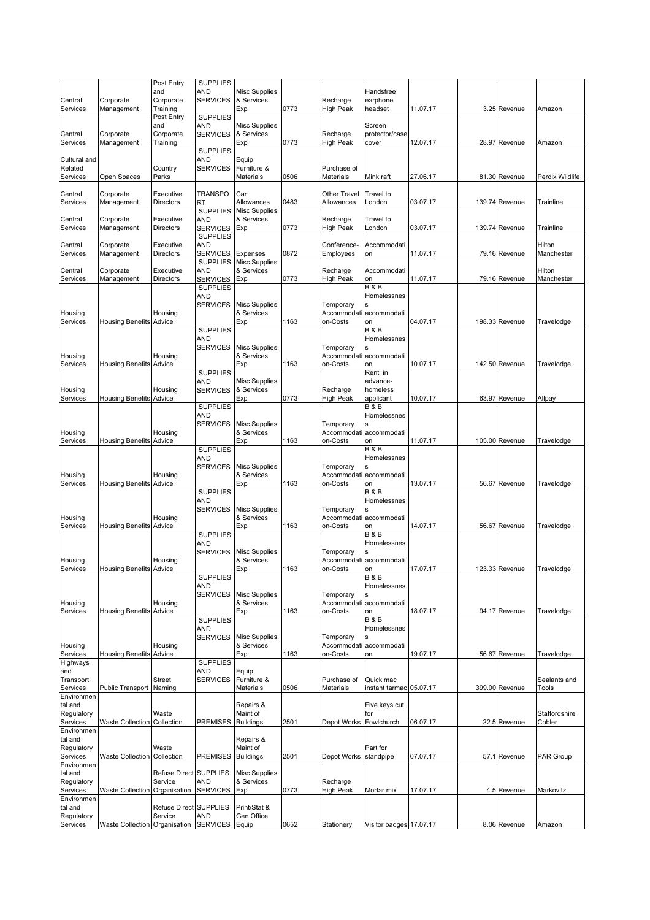|                        |                                | Post Entry                        | <b>SUPPLIES</b>                    |                                    |      |                              |                               |          |                |                      |
|------------------------|--------------------------------|-----------------------------------|------------------------------------|------------------------------------|------|------------------------------|-------------------------------|----------|----------------|----------------------|
| Central                | Corporate                      | and<br>Corporate                  | AND<br><b>SERVICES</b>             | <b>Misc Supplies</b><br>& Services |      | Recharge                     | Handsfree<br>earphone         |          |                |                      |
| Services               | Management                     | Training                          |                                    | Exp                                | 0773 | <b>High Peak</b>             | headset                       | 11.07.17 | 3.25 Revenue   | Amazon               |
|                        |                                | Post Entry                        | <b>SUPPLIES</b>                    |                                    |      |                              |                               |          |                |                      |
|                        | Corporate                      | and                               | AND<br><b>SERVICES</b>             | <b>Misc Supplies</b><br>& Services |      |                              | Screen<br>protector/case      |          |                |                      |
| Central<br>Services    | Management                     | Corporate<br>Training             |                                    | Exp                                | 0773 | Recharge<br><b>High Peak</b> | cover                         | 12.07.17 | 28.97 Revenue  | Amazon               |
|                        |                                |                                   | <b>SUPPLIES</b>                    |                                    |      |                              |                               |          |                |                      |
| Cultural and           |                                |                                   | AND                                | Equip                              |      |                              |                               |          |                |                      |
| Related<br>Services    | Open Spaces                    | Country<br>Parks                  | <b>SERVICES</b>                    | Furniture &<br>Materials           | 0506 | Purchase of<br>Materials     | Mink raft                     | 27.06.17 | 81.30 Revenue  | Perdix Wildlife      |
|                        |                                |                                   |                                    |                                    |      |                              |                               |          |                |                      |
| Central                | Corporate                      | Executive                         | <b>TRANSPO</b>                     | Car                                |      | Other Travel                 | Travel to                     |          |                |                      |
| Services               | Management                     | Directors                         | RT                                 | Allowances                         | 0483 | Allowances                   | London                        | 03.07.17 | 139.74 Revenue | Trainline            |
| Central                | Corporate                      | Executive                         | <b>SUPPLIES</b><br>AND             | <b>Misc Supplies</b><br>& Services |      | Recharge                     | Travel to                     |          |                |                      |
| Services               | Management                     | Directors                         | <b>SERVICES</b>                    | Exp                                | 0773 | <b>High Peak</b>             | London                        | 03.07.17 | 139.74 Revenue | Trainline            |
|                        |                                |                                   | <b>SUPPLIES</b>                    |                                    |      |                              |                               |          |                |                      |
| Central<br>Services    | Corporate<br>Management        | Executive<br>Directors            | AND<br><b>SERVICES</b>             | Expenses                           | 0872 | Conference-<br>Employees     | Accommodati<br>on             | 11.07.17 | 79.16 Revenue  | Hilton<br>Manchester |
|                        |                                |                                   | <b>SUPPLIES</b>                    | <b>Misc Supplies</b>               |      |                              |                               |          |                |                      |
| Central                | Corporate                      | Executive                         | AND                                | & Services                         |      | Recharge                     | Accommodati                   |          |                | Hilton               |
| Services               | Management                     | Directors                         | <b>SERVICES</b><br><b>SUPPLIES</b> | Exp                                | 0773 | <b>High Peak</b>             | on<br><b>B&amp;B</b>          | 11.07.17 | 79.16 Revenue  | Manchester           |
|                        |                                |                                   | AND                                |                                    |      |                              | Homelessnes                   |          |                |                      |
|                        |                                |                                   | <b>SERVICES</b>                    | <b>Misc Supplies</b>               |      | Temporary                    |                               |          |                |                      |
| Housing                |                                | Housing                           |                                    | & Services                         |      | Accommodati                  | accommodati                   |          |                |                      |
| Services               | <b>Housing Benefits Advice</b> |                                   | <b>SUPPLIES</b>                    | Exp                                | 1163 | on-Costs                     | on<br><b>B&amp;B</b>          | 04.07.17 | 198.33 Revenue | Travelodge           |
|                        |                                |                                   | AND                                |                                    |      |                              | Homelessnes                   |          |                |                      |
|                        |                                |                                   | <b>SERVICES</b>                    | <b>Misc Supplies</b>               |      | Temporary                    | s                             |          |                |                      |
| Housing<br>Services    | <b>Housing Benefits Advice</b> | Housing                           |                                    | & Services<br>Exp                  | 1163 | Accommodati<br>on-Costs      | accommodati<br>on             | 10.07.17 | 142.50 Revenue | Travelodge           |
|                        |                                |                                   | <b>SUPPLIES</b>                    |                                    |      |                              | Rent in                       |          |                |                      |
|                        |                                |                                   | AND                                | Misc Supplies                      |      |                              | advance-                      |          |                |                      |
| Housing<br>Services    |                                | Housing                           | <b>SERVICES</b>                    | & Services                         | 0773 | Recharge                     | homeless                      | 10.07.17 | 63.97 Revenue  |                      |
|                        | <b>Housing Benefits Advice</b> |                                   | <b>SUPPLIES</b>                    | Exp                                |      | <b>High Peak</b>             | applicant<br><b>B&amp;B</b>   |          |                | Allpay               |
|                        |                                |                                   | AND                                |                                    |      |                              | Homelessnes                   |          |                |                      |
|                        |                                |                                   | <b>SERVICES</b>                    | <b>Misc Supplies</b>               |      | Temporary                    |                               |          |                |                      |
| Housing<br>Services    | <b>Housing Benefits Advice</b> | Housing                           |                                    | & Services<br>Exp                  | 1163 | Accommodati<br>on-Costs      | accommodati<br>on             | 11.07.17 | 105.00 Revenue | Travelodge           |
|                        |                                |                                   | <b>SUPPLIES</b>                    |                                    |      |                              | <b>B&amp;B</b>                |          |                |                      |
|                        |                                |                                   | AND                                |                                    |      |                              | Homelessnes                   |          |                |                      |
| Housing                |                                | Housing                           | <b>SERVICES</b>                    | <b>Misc Supplies</b><br>& Services |      | Temporary<br>Accommodati     | s<br>accommodati              |          |                |                      |
| Services               | <b>Housing Benefits Advice</b> |                                   |                                    | Exp                                | 1163 | on-Costs                     | on                            | 13.07.17 | 56.67 Revenue  | Travelodge           |
|                        |                                |                                   | <b>SUPPLIES</b>                    |                                    |      |                              | <b>B&amp;B</b>                |          |                |                      |
|                        |                                |                                   | <b>AND</b><br><b>SERVICES</b>      | <b>Misc Supplies</b>               |      | Temporary                    | Homelessnes<br>Ś              |          |                |                      |
| Housing                |                                | Housing                           |                                    | & Services                         |      | Accommodati                  | accommodati                   |          |                |                      |
| Services               | <b>Housing Benefits Advice</b> |                                   |                                    | Exp                                | 1163 | on-Costs                     | on                            | 14.07.17 | 56.67 Revenue  | Travelodge           |
|                        |                                |                                   | <b>SUPPLIES</b><br>AND             |                                    |      |                              | <b>B&amp;B</b><br>Homelessnes |          |                |                      |
|                        |                                |                                   | <b>SERVICES</b>                    | <b>Misc Supplies</b>               |      | Temporary                    | S                             |          |                |                      |
| Housing                |                                | Housing                           |                                    | & Services                         |      |                              | Accommodati accommodati       |          |                |                      |
| Services               | <b>Housing Benefits Advice</b> |                                   | <b>SUPPLIES</b>                    | Exp                                | 1163 | on-Costs                     | on<br><b>B&amp;B</b>          | 17.07.17 | 123.33 Revenue | Travelodge           |
|                        |                                |                                   | AND                                |                                    |      |                              | Homelessnes                   |          |                |                      |
|                        |                                |                                   | <b>SERVICES</b>                    | <b>Misc Supplies</b>               |      | Temporary                    |                               |          |                |                      |
| Housing<br>Services    | <b>Housing Benefits Advice</b> | Housing                           |                                    | & Services<br>Exp                  | 1163 | Accommodati<br>on-Costs      | accommodati<br>on             | 18.07.17 | 94.17 Revenue  | Travelodge           |
|                        |                                |                                   | <b>SUPPLIES</b>                    |                                    |      |                              | <b>B&amp;B</b>                |          |                |                      |
|                        |                                |                                   | AND                                |                                    |      |                              | Homelessnes                   |          |                |                      |
| Housing                |                                | Housing                           | <b>SERVICES</b>                    | <b>Misc Supplies</b><br>& Services |      | Temporary<br>Accommodati     | S<br>accommodati              |          |                |                      |
| Services               | <b>Housing Benefits Advice</b> |                                   |                                    | Exp                                | 1163 | on-Costs                     | on                            | 19.07.17 | 56.67 Revenue  | Travelodge           |
| Highways               |                                |                                   | <b>SUPPLIES</b>                    |                                    |      |                              |                               |          |                |                      |
| and<br>Transport       |                                | <b>Street</b>                     | <b>AND</b><br><b>SERVICES</b>      | Equip<br>Furniture &               |      | Purchase of                  | Quick mac                     |          |                | Sealants and         |
| Services               | Public Transport Naming        |                                   |                                    | Materials                          | 0506 | Materials                    | instant tarmac 05.07.17       |          | 399.00 Revenue | <b>Tools</b>         |
| Environmen             |                                |                                   |                                    |                                    |      |                              |                               |          |                |                      |
| tal and<br>Regulatory  |                                | Waste                             |                                    | Repairs &<br>Maint of              |      |                              | Five keys cut<br>for          |          |                | Staffordshire        |
| Services               | <b>Waste Collection</b>        | Collection                        | <b>PREMISES</b>                    | <b>Buildings</b>                   | 2501 | Depot Works                  | Fowlchurch                    | 06.07.17 | 22.5 Revenue   | Cobler               |
| Environmen             |                                |                                   |                                    |                                    |      |                              |                               |          |                |                      |
| tal and                |                                |                                   |                                    | Repairs &<br>Maint of              |      |                              |                               |          |                |                      |
| Regulatory<br>Services | <b>Waste Collection</b>        | Waste<br>Collection               | PREMISES                           | <b>Buildings</b>                   | 2501 | Depot Works                  | Part for<br>standpipe         | 07.07.17 | 57.1 Revenue   | PAR Group            |
| Environmen             |                                |                                   |                                    |                                    |      |                              |                               |          |                |                      |
| tal and                |                                | <b>Refuse Direct</b>              | <b>SUPPLIES</b>                    | <b>Misc Supplies</b>               |      |                              |                               |          |                |                      |
| Regulatory<br>Services | <b>Waste Collection</b>        | Service<br>Organisation           | AND<br><b>SERVICES</b>             | & Services<br>Exp                  | 0773 | Recharge<br><b>High Peak</b> | Mortar mix                    | 17.07.17 | 4.5 Revenue    | Markovitz            |
| Environmen             |                                |                                   |                                    |                                    |      |                              |                               |          |                |                      |
| tal and<br>Regulatory  |                                | Refuse Direct SUPPLIES<br>Service | AND                                | Print/Stat &<br>Gen Office         |      |                              |                               |          |                |                      |
| Services               | Waste Collection Organisation  |                                   | <b>SERVICES</b>                    | Equip                              | 0652 | Stationery                   | Visitor badges 17.07.17       |          | 8.06 Revenue   | Amazon               |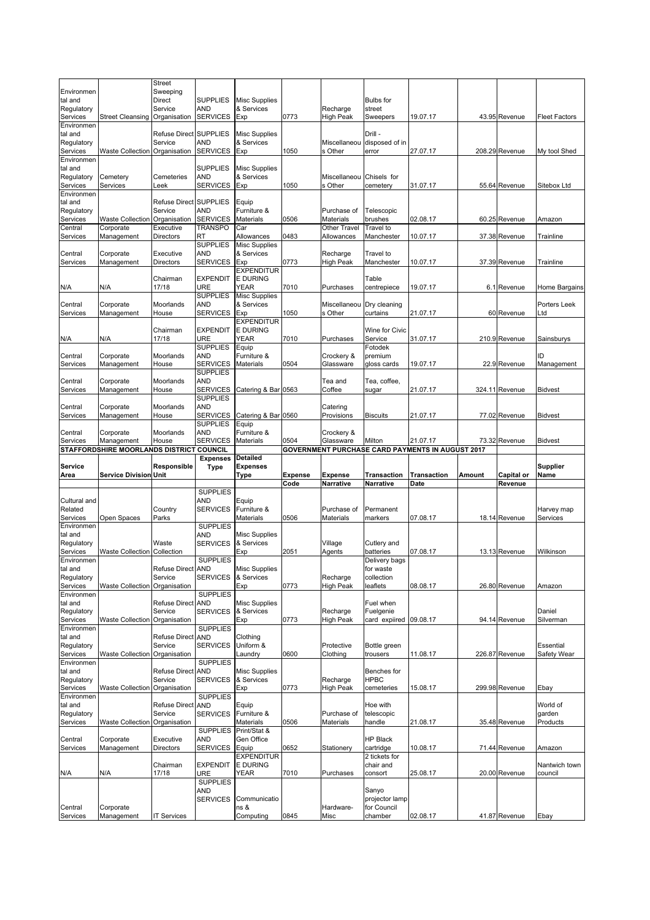|                        |                                          | <b>Street</b>            |                                    |                                    |                |                       |                  |                                                         |        |                |                      |
|------------------------|------------------------------------------|--------------------------|------------------------------------|------------------------------------|----------------|-----------------------|------------------|---------------------------------------------------------|--------|----------------|----------------------|
| Environmen             |                                          | Sweeping                 |                                    |                                    |                |                       |                  |                                                         |        |                |                      |
| tal and                |                                          | Direct                   | <b>SUPPLIES</b>                    | <b>Misc Supplies</b>               |                |                       | <b>Bulbs</b> for |                                                         |        |                |                      |
| Regulatory             |                                          | Service                  | <b>AND</b>                         | & Services                         |                | Recharge              | street           |                                                         |        |                |                      |
| Services<br>Environmen | <b>Street Cleansing</b>                  | Organisation             | <b>SERVICES</b>                    | Exp                                | 0773           | <b>High Peak</b>      | Sweepers         | 19.07.17                                                |        | 43.95 Revenue  | <b>Fleet Factors</b> |
| tal and                |                                          | Refuse Direct SUPPLIES   |                                    | <b>Misc Supplies</b>               |                |                       | Drill -          |                                                         |        |                |                      |
| Regulatory             |                                          | Service                  | AND                                | & Services                         |                | Miscellaneou          | disposed of in   |                                                         |        |                |                      |
| Services               | <b>Waste Collection</b>                  | Organisation             | <b>SERVICES</b>                    | Exp                                | 1050           | s Other               | error            | 27.07.17                                                |        | 208.29 Revenue | My tool Shed         |
| Environmen             |                                          |                          |                                    |                                    |                |                       |                  |                                                         |        |                |                      |
| tal and                |                                          |                          | <b>SUPPLIES</b>                    | <b>Misc Supplies</b>               |                |                       |                  |                                                         |        |                |                      |
| Regulatory             | Cemetery                                 | Cemeteries               | <b>AND</b>                         | & Services                         |                | Miscellaneou          | Chisels for      |                                                         |        |                |                      |
| Services               | Services                                 | Leek                     | <b>SERVICES</b>                    | Exp                                | 1050           | s Other               | cemetery         | 31.07.17                                                |        | 55.64 Revenue  | Sitebox Ltd          |
| Environmen             |                                          |                          |                                    |                                    |                |                       |                  |                                                         |        |                |                      |
| tal and                |                                          | Refuse Direct SUPPLIES   |                                    | Equip                              |                |                       |                  |                                                         |        |                |                      |
| Regulatory             |                                          | Service                  | <b>AND</b>                         | Furniture &                        |                | Purchase of           | Telescopic       |                                                         |        |                |                      |
| Services               | <b>Waste Collection</b>                  | Organisation             | <b>SERVICES</b>                    | <b>Materials</b>                   | 0506           | Materials             | brushes          | 02.08.17                                                |        | 60.25 Revenue  | Amazon               |
| Central                | Corporate                                | Executive                | TRANSPO                            | Car                                |                | Other Travel          | <b>Travel</b> to |                                                         |        |                |                      |
| Services               | Management                               | <b>Directors</b>         | RT                                 | Allowances                         | 0483           | Allowances            | Manchester       | 10.07.17                                                |        | 37.38 Revenue  | Trainline            |
| Central                |                                          | Executive                | <b>SUPPLIES</b><br><b>AND</b>      | <b>Misc Supplies</b><br>& Services |                |                       | Travel to        |                                                         |        |                |                      |
| Services               | Corporate<br>Management                  | <b>Directors</b>         | <b>SERVICES</b>                    | Exp                                | 0773           | Recharge<br>High Peak | Manchester       | 10.07.17                                                |        | 37.39 Revenue  | Trainline            |
|                        |                                          |                          |                                    | <b>EXPENDITUR</b>                  |                |                       |                  |                                                         |        |                |                      |
|                        |                                          | Chairman                 | <b>EXPENDIT</b>                    | <b>E DURING</b>                    |                |                       | Table            |                                                         |        |                |                      |
| N/A                    | N/A                                      | 17/18                    | URE                                | <b>YEAR</b>                        | 7010           | Purchases             | centrepiece      | 19.07.17                                                |        | 6.1 Revenue    | Home Bargains        |
|                        |                                          |                          | <b>SUPPLIES</b>                    | <b>Misc Supplies</b>               |                |                       |                  |                                                         |        |                |                      |
| Central                | Corporate                                | Moorlands                | <b>AND</b>                         | & Services                         |                | Miscellaneou          | Dry cleaning     |                                                         |        |                | Porters Leek         |
| Services               | Management                               | House                    | <b>SERVICES</b>                    | Exp                                | 1050           | s Other               | curtains         | 21.07.17                                                |        | 60 Revenue     | ∟td                  |
|                        |                                          |                          |                                    | <b>EXPENDITUR</b>                  |                |                       |                  |                                                         |        |                |                      |
|                        |                                          | Chairman                 | <b>EXPENDIT</b>                    | <b>E DURING</b>                    |                |                       | Wine for Civic   |                                                         |        |                |                      |
| N/A                    | N/A                                      | 17/18                    | URE                                | YEAR                               | 7010           | Purchases             | Service          | 31.07.17                                                |        | 210.9 Revenue  | Sainsburys           |
|                        |                                          |                          | <b>SUPPLIES</b>                    | Equip                              |                |                       | Fotodek          |                                                         |        |                |                      |
| Central                | Corporate                                | Moorlands                | AND                                | Furniture &                        |                | Crockery &            | premium          |                                                         |        |                | ID                   |
| Services               | Management                               | House                    | <b>SERVICES</b>                    | <b>Materials</b>                   | 0504           | Glassware             | gloss cards      | 19.07.17                                                |        | 22.9 Revenue   | Management           |
|                        |                                          |                          | <b>SUPPLIES</b>                    |                                    |                |                       |                  |                                                         |        |                |                      |
| Central<br>Services    | Corporate                                | Moorlands                | <b>AND</b>                         | Catering & Bar 0563                |                | Tea and               | Tea, coffee,     |                                                         |        |                | <b>Bidvest</b>       |
|                        | Management                               | House                    | <b>SERVICES</b><br><b>SUPPLIES</b> |                                    |                | Coffee                | sugar            | 21.07.17                                                |        | 324.11 Revenue |                      |
| Central                | Corporate                                | Moorlands                | AND                                |                                    |                | Catering              |                  |                                                         |        |                |                      |
| Services               | Management                               | House                    | <b>SERVICES</b>                    | Catering & Bar 0560                |                | Provisions            | <b>Biscuits</b>  | 21.07.17                                                |        | 77.02 Revenue  | <b>Bidvest</b>       |
|                        |                                          |                          | <b>SUPPLIES</b>                    | Equip                              |                |                       |                  |                                                         |        |                |                      |
| Central                | Corporate                                | Moorlands                | <b>AND</b>                         | Furniture &                        |                | Crockery &            |                  |                                                         |        |                |                      |
| Services               | Management                               | House                    | <b>SERVICES</b>                    | <b>Materials</b>                   | 0504           | Glassware             | Milton           | 21.07.17                                                |        | 73.32 Revenue  | <b>Bidvest</b>       |
|                        |                                          |                          |                                    |                                    |                |                       |                  | <b>GOVERNMENT PURCHASE CARD PAYMENTS IN AUGUST 2017</b> |        |                |                      |
|                        | STAFFORDSHIRE MOORLANDS DISTRICT COUNCIL |                          |                                    |                                    |                |                       |                  |                                                         |        |                |                      |
|                        |                                          |                          | <b>Expenses</b>                    | <b>Detailed</b>                    |                |                       |                  |                                                         |        |                |                      |
| Service                |                                          | Responsible              | <b>Type</b>                        | Expenses                           |                |                       |                  |                                                         |        |                | <b>Supplier</b>      |
| Area                   | <b>Service Division Unit</b>             |                          |                                    | Type                               | <b>Expense</b> | <b>Expense</b>        | Transaction      | <b>Transaction</b>                                      | Amount | Capital or     | Name                 |
|                        |                                          |                          |                                    |                                    | Code           | Narrative             | Narrative        | Date                                                    |        | Revenue        |                      |
|                        |                                          |                          | <b>SUPPLIES</b>                    |                                    |                |                       |                  |                                                         |        |                |                      |
| Cultural and           |                                          |                          | AND                                | Equip                              |                |                       |                  |                                                         |        |                |                      |
| Related                |                                          | Country                  | <b>SERVICES</b>                    | Furniture &                        |                | Purchase of           | Permanent        |                                                         |        |                | Harvey map           |
| Services               | Open Spaces                              | Parks                    |                                    | Materials                          | 0506           | Materials             | markers          | 07.08.17                                                |        | 18.14 Revenue  | Services             |
| Environmen             |                                          |                          | <b>SUPPLIES</b>                    |                                    |                |                       |                  |                                                         |        |                |                      |
| tal and                |                                          | Waste                    | <b>AND</b>                         | <b>Misc Supplies</b><br>& Services |                |                       | Cutlery and      |                                                         |        |                |                      |
| Regulatory<br>Services | <b>Waste Collection</b>                  | Collection               | <b>SERVICES</b>                    | Exp                                | 2051           | Village<br>Agents     | batteries        | 07.08.17                                                |        | 13.13 Revenue  | Wilkinson            |
| Environmen             |                                          |                          | <b>SUPPLIES</b>                    |                                    |                |                       | Delivery bags    |                                                         |        |                |                      |
| tal and                |                                          | <b>Refuse Direct</b>     | AND                                | Misc Supplies                      |                |                       | for waste        |                                                         |        |                |                      |
| Regulatory             |                                          | Service                  | <b>SERVICES</b>                    | & Services                         |                | Recharge              | collection       |                                                         |        |                |                      |
| Services               | <b>Waste Collection</b>                  | Organisation             |                                    | Exp                                | 0773           | <b>High Peak</b>      | leaflets         | 08.08.17                                                |        | 26.80 Revenue  | Amazon               |
| Environmen             |                                          |                          | <b>SUPPLIES</b>                    |                                    |                |                       |                  |                                                         |        |                |                      |
| tal and                |                                          | <b>Refuse Direct</b>     | <b>AND</b>                         | <b>Misc Supplies</b>               |                |                       | Fuel when        |                                                         |        |                |                      |
| Regulatory             |                                          | Service                  | <b>SERVICES</b>                    | & Services                         |                | Recharge              | Fuelgenie        |                                                         |        |                | Daniel               |
| Services               | <b>Waste Collection</b>                  | Organisation             |                                    | Exp                                | 0773           | <b>High Peak</b>      | card expiired    | 09.08.17                                                |        | 94.14 Revenue  | Silverman            |
| Environmen             |                                          |                          | <b>SUPPLIES</b>                    |                                    |                |                       |                  |                                                         |        |                |                      |
| tal and                |                                          | Refuse Direct AND        |                                    | Clothing                           |                |                       |                  |                                                         |        |                |                      |
| Regulatory<br>Services |                                          | Service                  | <b>SERVICES</b>                    | Uniform &                          |                | Protective            | Bottle green     |                                                         |        |                | Essential            |
| Environmen             | <b>Waste Collection</b>                  | Organisation             | <b>SUPPLIES</b>                    | Laundry                            | 0600           | Clothing              | trousers         | 11.08.17                                                |        | 226.87 Revenue | Safety Wear          |
| tal and                |                                          | Refuse Direct AND        |                                    | <b>Misc Supplies</b>               |                |                       | Benches for      |                                                         |        |                |                      |
| Regulatory             |                                          | Service                  | <b>SERVICES</b>                    | & Services                         |                | Recharge              | <b>HPBC</b>      |                                                         |        |                |                      |
| Services               | <b>Waste Collection</b>                  | Organisation             |                                    | Exp                                | 0773           | High Peak             | cemeteries       | 15.08.17                                                |        | 299.98 Revenue | Ebay                 |
| Environmen             |                                          |                          | <b>SUPPLIES</b>                    |                                    |                |                       |                  |                                                         |        |                |                      |
| tal and                |                                          | <b>Refuse Direct AND</b> |                                    | Equip                              |                |                       | Hoe with         |                                                         |        |                | World of             |
| Regulatory             |                                          | Service                  | SERVICES                           | Furniture &                        |                | Purchase of           | telescopic       |                                                         |        |                | garden               |
| Services               | <b>Waste Collection</b>                  | Organisation             |                                    | Materials                          | 0506           | Materials             | handle           | 21.08.17                                                |        | 35.48 Revenue  | Products             |
|                        |                                          |                          | <b>SUPPLIES</b>                    | Print/Stat &                       |                |                       |                  |                                                         |        |                |                      |
| Central                | Corporate                                | Executive                | AND                                | Gen Office                         |                |                       | <b>HP Black</b>  |                                                         |        |                |                      |
| Services               | Management                               | Directors                | <b>SERVICES</b>                    | Equip                              | 0652           | Stationery            | cartridge        | 10.08.17                                                |        | 71.44 Revenue  | Amazon               |
|                        |                                          |                          |                                    | <b>EXPENDITUR</b>                  |                |                       | 2 tickets for    |                                                         |        |                |                      |
|                        |                                          | Chairman                 | <b>EXPENDIT</b>                    | <b>E DURING</b>                    |                |                       | chair and        |                                                         |        |                | Nantwich town        |
| N/A                    | N/A                                      | 17/18                    | URE                                | YEAR                               | 7010           | Purchases             | consort          | 25.08.17                                                |        | 20.00 Revenue  | council              |
|                        |                                          |                          | <b>SUPPLIES</b><br>AND             |                                    |                |                       | Sanyo            |                                                         |        |                |                      |
|                        |                                          |                          | <b>SERVICES</b>                    | Communicatio                       |                |                       | projector lamp   |                                                         |        |                |                      |
| Central                | Corporate                                |                          |                                    | ns &                               |                | Hardware-             | for Council      | 02.08.17                                                |        |                |                      |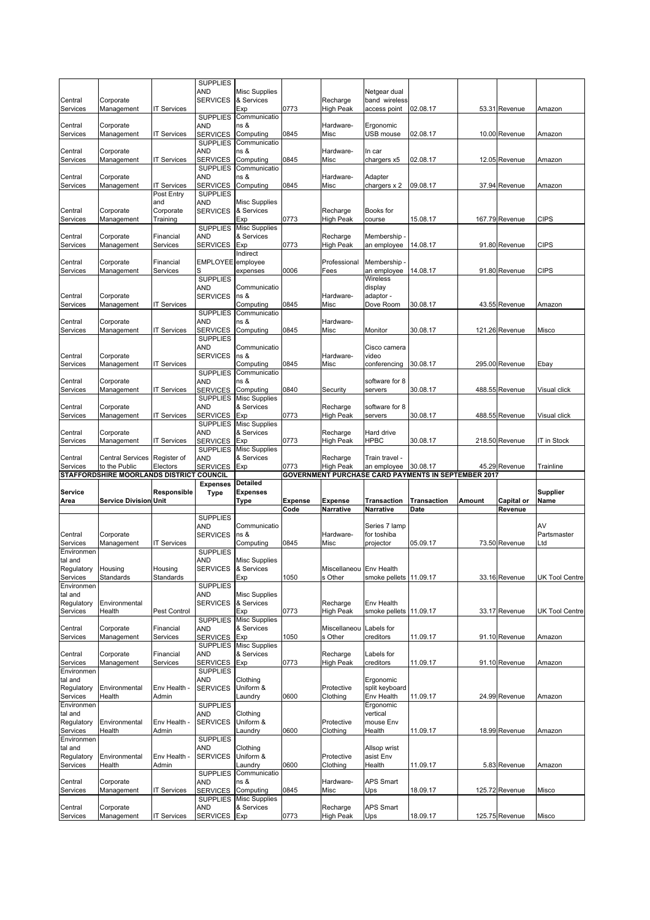|                        |                                                           |                       | <b>SUPPLIES</b>                    |                                    |                        |                              |                                      |                                                                        |        |                       |                       |
|------------------------|-----------------------------------------------------------|-----------------------|------------------------------------|------------------------------------|------------------------|------------------------------|--------------------------------------|------------------------------------------------------------------------|--------|-----------------------|-----------------------|
| Central                | Corporate                                                 |                       | AND<br><b>SERVICES</b>             | <b>Misc Supplies</b><br>& Services |                        | Recharge                     | Netgear dual<br>band wireless        |                                                                        |        |                       |                       |
| Services               | Management                                                | IT Services           |                                    | Exp                                | 0773                   | <b>High Peak</b>             | access point                         | 02.08.17                                                               |        | 53.31 Revenue         | Amazon                |
|                        |                                                           |                       | <b>SUPPLIES</b>                    | Communicatio                       |                        |                              |                                      |                                                                        |        |                       |                       |
| Central                | Corporate                                                 |                       | AND<br><b>SERVICES</b>             | ns &                               | 0845                   | Hardware-                    | Ergonomic                            |                                                                        |        |                       |                       |
| Services               | Management                                                | <b>IT Services</b>    | <b>SUPPLIES</b>                    | Computing<br>Communicatio          |                        | Misc                         | USB mouse                            | 02.08.17                                                               |        | 10.00 Revenue         | Amazon                |
| Central                | Corporate                                                 |                       | AND                                | ns &                               |                        | Hardware-                    | In car                               |                                                                        |        |                       |                       |
| Services               | Management                                                | IT Services           | <b>SERVICES</b>                    | Computing                          | 0845                   | Misc                         | chargers x5                          | 02.08.17                                                               |        | 12.05 Revenue         | Amazon                |
| Central                | Corporate                                                 |                       | <b>SUPPLIES</b><br>AND             | Communicatio<br>ns &               |                        | Hardware-                    | Adapter                              |                                                                        |        |                       |                       |
| Services               | Management                                                | <b>IT Services</b>    | <b>SERVICES</b>                    | Computing                          | 0845                   | Misc                         | chargers x 2                         | 09.08.17                                                               |        | 37.94 Revenue         | Amazon                |
|                        |                                                           | Post Entry            | <b>SUPPLIES</b>                    |                                    |                        |                              |                                      |                                                                        |        |                       |                       |
| Central                | Corporate                                                 | and<br>Corporate      | AND<br><b>SERVICES</b>             | <b>Misc Supplies</b><br>& Services |                        | Recharge                     | Books for                            |                                                                        |        |                       |                       |
| Services               | Management                                                | Training              |                                    | Exp                                | 0773                   | <b>High Peak</b>             | course                               | 15.08.17                                                               |        | 167.79 Revenue        | <b>CIPS</b>           |
|                        |                                                           |                       | <b>SUPPLIES</b>                    | <b>Misc Supplies</b>               |                        |                              |                                      |                                                                        |        |                       |                       |
| Central                | Corporate<br>Management                                   | Financial<br>Services | AND<br><b>SERVICES</b>             | & Services<br>Exp                  | 0773                   | Recharge<br>High Peak        | Membership<br>an employee            | 14.08.17                                                               |        | 91.80 Revenue         | <b>CIPS</b>           |
| Services               |                                                           |                       |                                    | Indirect                           |                        |                              |                                      |                                                                        |        |                       |                       |
| Central                | Corporate                                                 | Financial             | EMPLOYEE employee                  |                                    |                        | Professional                 | Membership                           |                                                                        |        |                       |                       |
| Services               | Management                                                | Services              | S                                  | expenses                           | 0006                   | Fees                         | an employee                          | 14.08.17                                                               |        | 91.80 Revenue         | <b>CIPS</b>           |
|                        |                                                           |                       | <b>SUPPLIES</b><br>AND             | Communicatio                       |                        |                              | Wireless<br>display                  |                                                                        |        |                       |                       |
| Central                | Corporate                                                 |                       | <b>SERVICES</b>                    | ns &                               |                        | Hardware-                    | adaptor -                            |                                                                        |        |                       |                       |
| Services               | Management                                                | <b>IT Services</b>    |                                    | Computing                          | 0845                   | Misc                         | Dove Room                            | 30.08.17                                                               |        | 43.55 Revenue         | Amazon                |
| Central                | Corporate                                                 |                       | <b>SUPPLIES</b><br>AND             | Communicatio<br>ns &               |                        | Hardware-                    |                                      |                                                                        |        |                       |                       |
| Services               | Management                                                | IT Services           | SERVICES                           | Computing                          | 0845                   | Misc                         | Monitor                              | 30.08.17                                                               |        | 121.26 Revenue        | Misco                 |
|                        |                                                           |                       | <b>SUPPLIES</b>                    |                                    |                        |                              |                                      |                                                                        |        |                       |                       |
| Central                | Corporate                                                 |                       | AND<br><b>SERVICES</b>             | Communicatio<br>ns &               |                        | Hardware-                    | Cisco camera<br>video                |                                                                        |        |                       |                       |
| Services               | Management                                                | <b>IT Services</b>    |                                    | Computing                          | 0845                   | Misc                         | conferencing                         | 30.08.17                                                               |        | 295.00 Revenue        | Ebay                  |
|                        |                                                           |                       | <b>SUPPLIES</b>                    | Communicatio                       |                        |                              |                                      |                                                                        |        |                       |                       |
| Central                | Corporate                                                 |                       | AND                                | ns &                               |                        |                              | software for 8                       |                                                                        |        |                       |                       |
| Services               | Management                                                | <b>IT Services</b>    | <b>SERVICES</b><br><b>SUPPLIES</b> | Computing<br><b>Misc Supplies</b>  | 0840                   | Security                     | servers                              | 30.08.17                                                               |        | 488.55 Revenue        | Visual click          |
| Central                | Corporate                                                 |                       | AND                                | & Services                         |                        | Recharge                     | software for 8                       |                                                                        |        |                       |                       |
| Services               | Management                                                | <b>IT Services</b>    | <b>SERVICES</b>                    | Exp                                | 0773                   | High Peak                    | servers                              | 30.08.17                                                               |        | 488.55 Revenue        | Visual click          |
| Central                | Corporate                                                 |                       | <b>SUPPLIES</b><br>AND             | <b>Misc Supplies</b><br>& Services |                        | Recharge                     | Hard drive                           |                                                                        |        |                       |                       |
| Services               | Management                                                | <b>IT Services</b>    | <b>SERVICES</b>                    | Exp                                | 0773                   | High Peak                    | HPBC                                 | 30.08.17                                                               |        | 218.50 Revenue        | IT in Stock           |
|                        |                                                           |                       |                                    | <b>Misc Supplies</b>               |                        |                              |                                      |                                                                        |        |                       |                       |
|                        |                                                           |                       | <b>SUPPLIES</b>                    |                                    |                        |                              |                                      |                                                                        |        |                       |                       |
| Central                | <b>Central Services</b>                                   | Register of           | AND                                | & Services                         |                        | Recharge                     | Train travel -                       |                                                                        |        |                       |                       |
| Services               | to the Public<br>STAFFORDSHIRE MOORLANDS DISTRICT COUNCIL | Electors              | <b>SERVICES</b>                    | Exp                                | 0773                   | <b>High Peak</b>             | an employee                          | 30.08.17<br><b>GOVERNMENT PURCHASE CARD PAYMENTS IN SEPTEMBER 2017</b> |        | 45.29 Revenue         | Trainline             |
|                        |                                                           |                       | <b>Expenses</b>                    | <b>Detailed</b>                    |                        |                              |                                      |                                                                        |        |                       |                       |
| Service                |                                                           | Responsible           | <b>Type</b>                        | <b>Expenses</b>                    |                        |                              |                                      |                                                                        |        |                       | <b>Supplier</b>       |
| Area                   | <b>Service Division Unit</b>                              |                       |                                    | Type                               | <b>Expense</b><br>Code | <b>Expense</b><br>Narrative  | <b>Transaction</b><br>Narrative      | <b>Transaction</b><br>Date                                             | Amount | Capital or<br>Revenue | Name                  |
|                        |                                                           |                       | <b>SUPPLIES</b>                    |                                    |                        |                              |                                      |                                                                        |        |                       |                       |
|                        |                                                           |                       | AND                                | Communicatio                       |                        |                              | Series 7 lamp                        |                                                                        |        |                       | AV                    |
| Central<br>Services    | Corporate<br>Management                                   | <b>IT Services</b>    | <b>SERVICES</b>                    | ns &<br>Computing                  | 0845                   | Hardware-<br>Misc            | for toshiba<br>projector             | 05.09.17                                                               |        | 73.50 Revenue         | Partsmaster<br>_td    |
| Environmen             |                                                           |                       | <b>SUPPLIES</b>                    |                                    |                        |                              |                                      |                                                                        |        |                       |                       |
| tal and                |                                                           |                       | AND                                | <b>Misc Supplies</b>               |                        |                              |                                      |                                                                        |        |                       |                       |
| Regulatory             | Housing<br><b>Standards</b>                               | Housing               | <b>SERVICES</b>                    | & Services                         |                        | Miscellaneou Env Health      | smoke pellets 11.09.17               |                                                                        |        |                       |                       |
| Services<br>Environmen |                                                           | Standards             | <b>SUPPLIES</b>                    | Exp                                | 1050                   | s Other                      |                                      |                                                                        |        | 33.16 Revenue         | UK Tool Centre        |
| tal and                |                                                           |                       | AND                                | <b>Misc Supplies</b>               |                        |                              |                                      |                                                                        |        |                       |                       |
| Regulatory<br>Services | Environmental<br>Health                                   | Pest Control          | <b>SERVICES</b>                    | & Services<br>Exp                  | 0773                   | Recharge<br><b>High Peak</b> | Env Health<br>smoke pellets 11.09.17 |                                                                        |        | 33.17 Revenue         | <b>UK Tool Centre</b> |
|                        |                                                           |                       | <b>SUPPLIES</b>                    | <b>Misc Supplies</b>               |                        |                              |                                      |                                                                        |        |                       |                       |
| Central                | Corporate                                                 | Financial             | AND                                | & Services                         |                        | Miscellaneou                 | Labels for                           |                                                                        |        |                       |                       |
| Services               | Management                                                | Services              | <b>SERVICES</b>                    | Exp                                | 1050                   | s Other                      | creditors                            | 11.09.17                                                               |        | 91.10 Revenue         | Amazon                |
| Central                | Corporate                                                 | Financial             | <b>SUPPLIES</b><br>AND             | <b>Misc Supplies</b><br>& Services |                        | Recharge                     | Labels for                           |                                                                        |        |                       |                       |
| Services               | Management                                                | Services              | <b>SERVICES</b>                    | Exp                                | 0773                   | High Peak                    | creditors                            | 11.09.17                                                               |        | 91.10 Revenue         | Amazon                |
| Environmen             |                                                           |                       | <b>SUPPLIES</b>                    |                                    |                        |                              |                                      |                                                                        |        |                       |                       |
| tal and<br>Regulatory  | Environmental                                             | Env Health -          | AND<br><b>SERVICES</b>             | Clothing<br>Uniform &              |                        | Protective                   | Ergonomic<br>split keyboard          |                                                                        |        |                       |                       |
| Services               | Health                                                    | Admin                 |                                    | Laundry                            | 0600                   | Clothing                     | Env Health                           | 11.09.17                                                               |        | 24.99 Revenue         | Amazon                |
| Environmen             |                                                           |                       | <b>SUPPLIES</b>                    |                                    |                        |                              | Ergonomic                            |                                                                        |        |                       |                       |
| tal and<br>Regulatory  | Environmental                                             | Env Health -          | AND<br><b>SERVICES</b>             | Clothing<br>Uniform &              |                        | Protective                   | vertical<br>mouse Env                |                                                                        |        |                       |                       |
| Services               | Health                                                    | Admin                 |                                    | Laundry                            | 0600                   | Clothing                     | Health                               | 11.09.17                                                               |        | 18.99 Revenue         | Amazon                |
| Environmen             |                                                           |                       | <b>SUPPLIES</b>                    |                                    |                        |                              |                                      |                                                                        |        |                       |                       |
| tal and                |                                                           |                       | AND                                | Clothing                           |                        |                              | Allsop wrist                         |                                                                        |        |                       |                       |
| Regulatory<br>Services | Environmental<br>Health                                   | Env Health -<br>Admin | <b>SERVICES</b>                    | Uniform &<br>Laundry               | 0600                   | Protective<br>Clothing       | asist Env<br>Health                  | 11.09.17                                                               |        | 5.83 Revenue          | Amazon                |
|                        |                                                           |                       | <b>SUPPLIES</b>                    | Communicatio                       |                        |                              |                                      |                                                                        |        |                       |                       |
| Central                | Corporate                                                 |                       | AND                                | ns &                               |                        | Hardware-                    | <b>APS Smart</b>                     |                                                                        |        |                       |                       |
| Services               | Management                                                | <b>IT Services</b>    | <b>SERVICES</b><br><b>SUPPLIES</b> | Computing<br><b>Misc Supplies</b>  | 0845                   | Misc                         | Ups                                  | 18.09.17                                                               |        | 125.72 Revenue        | Misco                 |
| Central<br>Services    | Corporate<br>Management                                   | <b>IT Services</b>    | and<br><b>SERVICES</b>             | & Services<br>Exp                  | 0773                   | Recharge<br><b>High Peak</b> | APS Smart<br>Ups                     | 18.09.17                                                               |        | 125.75 Revenue        | Misco                 |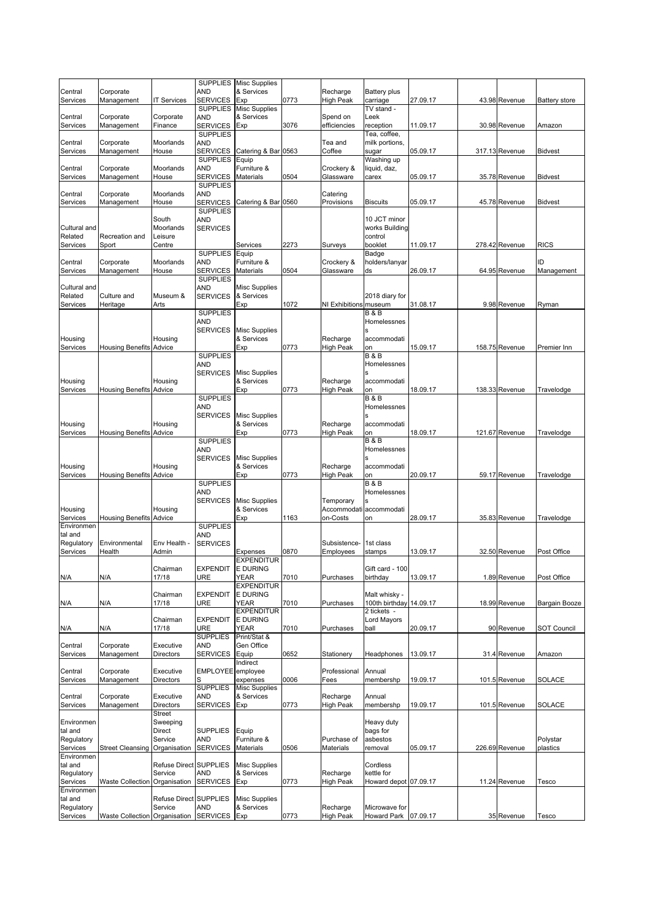|                         |                                |                                   |                                    | SUPPLIES Misc Supplies             |      |                           |                               |          |                |                      |
|-------------------------|--------------------------------|-----------------------------------|------------------------------------|------------------------------------|------|---------------------------|-------------------------------|----------|----------------|----------------------|
| Central                 | Corporate                      |                                   | AND                                | & Services                         |      | Recharge                  | Battery plus                  |          |                |                      |
| Services                | Management                     | <b>IT Services</b>                | <b>SERVICES</b><br><b>SUPPLIES</b> | Exp                                | 0773 | <b>High Peak</b>          | carriage<br>TV stand -        | 27.09.17 | 43.98 Revenue  | Battery store        |
| Central                 | Corporate                      | Corporate                         | AND                                | <b>Misc Supplies</b><br>& Services |      | Spend on                  | Leek                          |          |                |                      |
| Services                | Management                     | Finance                           | <b>SERVICES</b>                    | Exp                                | 3076 | efficiencies              | reception                     | 11.09.17 | 30.98 Revenue  | Amazon               |
|                         |                                |                                   | <b>SUPPLIES</b>                    |                                    |      |                           | Tea, coffee,                  |          |                |                      |
| Central                 | Corporate                      | Moorlands                         | AND                                |                                    |      | Tea and                   | milk portions,                |          |                |                      |
| Services                | Management                     | House                             | <b>SERVICES</b>                    | Catering & Bar 0563                |      | Coffee                    | sugar                         | 05.09.17 | 317.13 Revenue | <b>Bidvest</b>       |
|                         |                                |                                   | <b>SUPPLIES</b>                    | Equip                              |      |                           | Washing up                    |          |                |                      |
| Central<br>Services     | Corporate<br>Management        | Moorlands<br>House                | AND<br><b>SERVICES</b>             | Furniture &<br>Materials           | 0504 | Crockery &<br>Glassware   | liquid, daz,<br>carex         | 05.09.17 | 35.78 Revenue  | <b>Bidvest</b>       |
|                         |                                |                                   | <b>SUPPLIES</b>                    |                                    |      |                           |                               |          |                |                      |
| Central                 | Corporate                      | Moorlands                         | AND                                |                                    |      | Catering                  |                               |          |                |                      |
| Services                | Management                     | House                             | <b>SERVICES</b>                    | Catering & Bar 0560                |      | Provisions                | <b>Biscuits</b>               | 05.09.17 | 45.78 Revenue  | <b>Bidvest</b>       |
|                         |                                |                                   | <b>SUPPLIES</b>                    |                                    |      |                           |                               |          |                |                      |
|                         |                                | South                             | <b>AND</b>                         |                                    |      |                           | 10 JCT minor                  |          |                |                      |
| Cultural and<br>Related | Recreation and                 | Moorlands<br>Leisure              | <b>SERVICES</b>                    |                                    |      |                           | works Building<br>control     |          |                |                      |
| Services                | Sport                          | Centre                            |                                    | Services                           | 2273 | Surveys                   | booklet                       | 11.09.17 | 278.42 Revenue | <b>RICS</b>          |
|                         |                                |                                   | <b>SUPPLIES</b>                    | Equip                              |      |                           | Badge                         |          |                |                      |
| Central                 | Corporate                      | Moorlands                         | AND                                | Furniture &                        |      | Crockery &                | holders/lanyar                |          |                | ID                   |
| Services                | Management                     | House                             | <b>SERVICES</b>                    | <b>Materials</b>                   | 0504 | Glassware                 | ds                            | 26.09.17 | 64.95 Revenue  | Management           |
|                         |                                |                                   | <b>SUPPLIES</b>                    |                                    |      |                           |                               |          |                |                      |
| Cultural and            |                                |                                   | AND                                | <b>Misc Supplies</b>               |      |                           |                               |          |                |                      |
| Related<br>Services     | Culture and<br>Heritage        | Museum &<br>Arts                  | <b>SERVICES</b>                    | & Services<br>Exp                  | 1072 | NI Exhibitions museum     | 2018 diary for                | 31.08.17 | 9.98 Revenue   | Ryman                |
|                         |                                |                                   | <b>SUPPLIES</b>                    |                                    |      |                           | <b>B&amp;B</b>                |          |                |                      |
|                         |                                |                                   | AND                                |                                    |      |                           | Homelessnes                   |          |                |                      |
|                         |                                |                                   | <b>SERVICES</b>                    | <b>Misc Supplies</b>               |      |                           | s                             |          |                |                      |
| Housing                 |                                | Housing                           |                                    | & Services                         |      | Recharge                  | accommodati                   |          |                |                      |
| Services                | <b>Housing Benefits Advice</b> |                                   |                                    | Exp                                | 0773 | High Peak                 | on                            | 15.09.17 | 158.75 Revenue | Premier Inn          |
|                         |                                |                                   | <b>SUPPLIES</b><br>AND             |                                    |      |                           | <b>B&amp;B</b><br>Homelessnes |          |                |                      |
|                         |                                |                                   | <b>SERVICES</b>                    | <b>Misc Supplies</b>               |      |                           |                               |          |                |                      |
| Housing                 |                                | Housing                           |                                    | & Services                         |      | Recharge                  | accommodati                   |          |                |                      |
| Services                | <b>Housing Benefits Advice</b> |                                   |                                    | Exp                                | 0773 | High Peak                 | on                            | 18.09.17 | 138.33 Revenue | Travelodge           |
|                         |                                |                                   | <b>SUPPLIES</b>                    |                                    |      |                           | <b>B&amp;B</b>                |          |                |                      |
|                         |                                |                                   | <b>AND</b>                         |                                    |      |                           | Homelessnes                   |          |                |                      |
|                         |                                |                                   | <b>SERVICES</b>                    | <b>Misc Supplies</b><br>& Services |      |                           |                               |          |                |                      |
| Housing<br>Services     | <b>Housing Benefits Advice</b> | Housing                           |                                    | Exp                                | 0773 | Recharge<br>High Peak     | accommodati<br>on             | 18.09.17 | 121.67 Revenue | Travelodge           |
|                         |                                |                                   | <b>SUPPLIES</b>                    |                                    |      |                           | <b>B&amp;B</b>                |          |                |                      |
|                         |                                |                                   | AND                                |                                    |      |                           | Homelessnes                   |          |                |                      |
|                         |                                |                                   | <b>SERVICES</b>                    | <b>Misc Supplies</b>               |      |                           | s                             |          |                |                      |
| Housing                 |                                | Housing                           |                                    | & Services                         |      | Recharge                  | accommodati                   |          |                |                      |
| Services                | <b>Housing Benefits Advice</b> |                                   |                                    | Exp                                | 0773 | <b>High Peak</b>          | on                            | 20.09.17 | 59.17 Revenue  | Travelodge           |
|                         |                                |                                   | <b>SUPPLIES</b><br>AND             |                                    |      |                           | <b>B&amp;B</b><br>Homelessnes |          |                |                      |
|                         |                                |                                   | <b>SERVICES</b>                    | <b>Misc Supplies</b>               |      | Temporary                 |                               |          |                |                      |
| Housing                 |                                | Housing                           |                                    | & Services                         |      | Accommodati               | accommodati                   |          |                |                      |
| Services                | <b>Housing Benefits Advice</b> |                                   |                                    | Exp                                | 1163 | on-Costs                  | on                            | 28.09.17 | 35.83 Revenue  | Travelodge           |
| Environmen              |                                |                                   | <b>SUPPLIES</b>                    |                                    |      |                           |                               |          |                |                      |
| tal and                 |                                |                                   | AND                                |                                    |      |                           |                               |          |                |                      |
| Regulatory<br>Services  | Environmental<br>Health        | Env Health -<br>Admin             | <b>SERVICES</b>                    | Expenses                           | 0870 | Subsistence-<br>Employees | 1st class<br>stamps           | 13.09.17 | 32.50 Revenue  | Post Office          |
|                         |                                |                                   |                                    | <b>EXPENDITUR</b>                  |      |                           |                               |          |                |                      |
|                         |                                | naırman.                          | <b>EXPENDIT</b>                    | <b>E DURING</b>                    |      |                           | Gift card - 100               |          |                |                      |
| N/A                     | N/A                            | 17/18                             | URE                                | <b>YEAR</b>                        | 7010 | Purchases                 | birthday                      | 13.09.17 | 1.89 Revenue   | Post Office          |
|                         |                                |                                   |                                    | <b>EXPENDITUR</b>                  |      |                           |                               |          |                |                      |
|                         |                                | Chairman                          | <b>EXPENDIT</b>                    | <b>E DURING</b>                    |      |                           | Malt whisky -                 |          |                |                      |
| N/A                     | N/A                            | 17/18                             | URE                                | YEAR<br><b>EXPENDITUR</b>          | 7010 | Purchases                 | 100th birthday                | 14.09.17 | 18.99 Revenue  | Bargain Booze        |
|                         |                                | Chairman                          | <b>EXPENDIT</b>                    | <b>E DURING</b>                    |      |                           | 2 tickets -<br>Lord Mayors    |          |                |                      |
| N/A                     | N/A                            | 17/18                             | URE                                | YEAR                               | 7010 | Purchases                 | ball                          | 20.09.17 | 90 Revenue     | <b>SOT Council</b>   |
|                         |                                |                                   | <b>SUPPLIES</b>                    | Print/Stat &                       |      |                           |                               |          |                |                      |
| Central                 | Corporate                      | Executive                         | AND                                | Gen Office                         |      |                           |                               |          |                |                      |
| Services                | Management                     | Directors                         | <b>SERVICES</b>                    | Equip                              | 0652 | Stationery                | Headphones                    | 13.09.17 | 31.4 Revenue   | Amazon               |
|                         |                                |                                   |                                    | Indirect                           |      |                           | Annual                        |          |                |                      |
| Central<br>Services     | Corporate<br>Management        | Executive<br>Directors            | EMPLOYEE employee                  | expenses                           | 0006 | Professional<br>Fees      | membershp                     | 19.09.17 | 101.5 Revenue  | SOLACE               |
|                         |                                |                                   | <b>SUPPLIES</b>                    | Misc Supplies                      |      |                           |                               |          |                |                      |
| Central                 | Corporate                      | Executive                         | <b>AND</b>                         | & Services                         |      | Recharge                  | Annual                        |          |                |                      |
| Services                | Management                     | Directors                         | <b>SERVICES</b>                    | Exp                                | 0773 | <b>High Peak</b>          | membershp                     | 19.09.17 | 101.5 Revenue  | SOLACE               |
|                         |                                | Street                            |                                    |                                    |      |                           |                               |          |                |                      |
| Environmen              |                                | Sweeping                          |                                    |                                    |      |                           | Heavy duty                    |          |                |                      |
| tal and                 |                                | Direct<br>Service                 | <b>SUPPLIES</b>                    | Equip<br>Furniture &               |      | Purchase of               | bags for                      |          |                |                      |
| Regulatory<br>Services  | <b>Street Cleansing</b>        | Organisation                      | <b>AND</b><br><b>SERVICES</b>      | Materials                          | 0506 | Materials                 | asbestos<br>removal           | 05.09.17 | 226.69 Revenue | Polystar<br>plastics |
| Environmen              |                                |                                   |                                    |                                    |      |                           |                               |          |                |                      |
| tal and                 |                                | Refuse Direct SUPPLIES            |                                    | <b>Misc Supplies</b>               |      |                           | Cordless                      |          |                |                      |
| Regulatory              |                                | Service                           | AND                                | & Services                         |      | Recharge                  | kettle for                    |          |                |                      |
| Services                | <b>Waste Collection</b>        | Organisation                      | <b>SERVICES</b>                    | Exp                                | 0773 | <b>High Peak</b>          | Howard depot 07.09.17         |          | 11.24 Revenue  | Tesco                |
| Environmen              |                                |                                   |                                    |                                    |      |                           |                               |          |                |                      |
| tal and<br>Regulatory   |                                | Refuse Direct SUPPLIES<br>Service | AND                                | <b>Misc Supplies</b><br>& Services |      | Recharge                  | Microwave for                 |          |                |                      |
| Services                | Waste Collection Organisation  |                                   | <b>SERVICES</b>                    | Exp                                | 0773 | <b>High Peak</b>          | Howard Park 07.09.17          |          | 35 Revenue     | Tesco                |
|                         |                                |                                   |                                    |                                    |      |                           |                               |          |                |                      |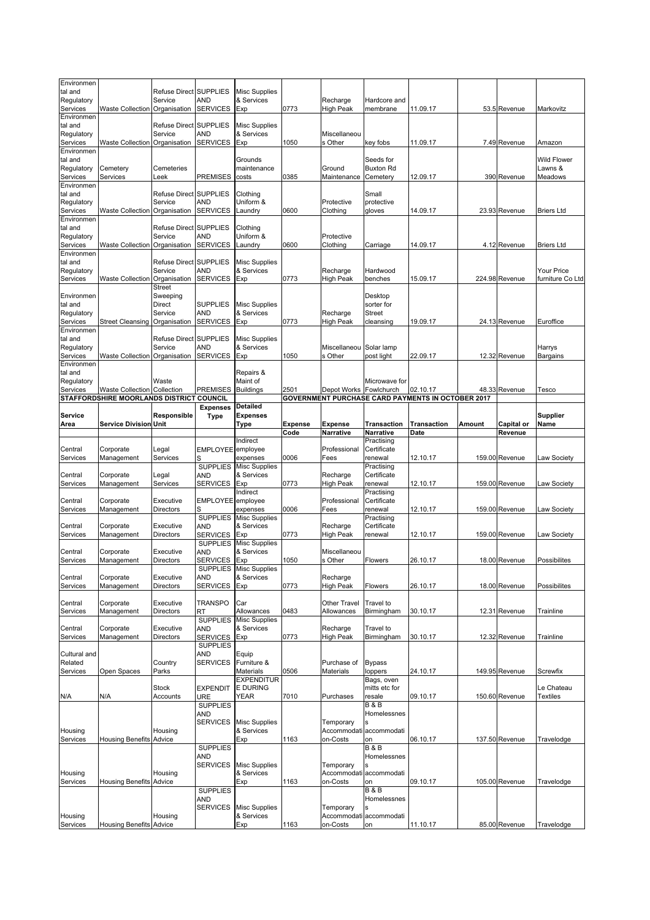| Environmen<br>tal and  |                                                                                | Refuse Direct SUPPLIES                   |                                    | <b>Misc Supplies</b>               |                |                                      |                               |                                                                      |        |                |                         |
|------------------------|--------------------------------------------------------------------------------|------------------------------------------|------------------------------------|------------------------------------|----------------|--------------------------------------|-------------------------------|----------------------------------------------------------------------|--------|----------------|-------------------------|
| Regulatory<br>Services | Waste Collection                                                               | Service<br>Organisation                  | AND<br><b>SERVICES</b>             | & Services<br>Exp                  | 0773           | Recharge<br><b>High Peak</b>         | Hardcore and<br>membrane      | 11.09.17                                                             |        | 53.5 Revenue   | Markovitz               |
| Environmen             |                                                                                |                                          |                                    |                                    |                |                                      |                               |                                                                      |        |                |                         |
| tal and<br>Regulatory  |                                                                                | Refuse Direct SUPPLIES<br>Service        | AND                                | <b>Misc Supplies</b><br>& Services |                | Miscellaneou                         |                               |                                                                      |        |                |                         |
| Services<br>Environmen | Waste Collection Organisation                                                  |                                          | <b>SERVICES</b>                    | Exp                                | 1050           | s Other                              | key fobs                      | 11.09.17                                                             |        | 7.49 Revenue   | Amazon                  |
| tal and                |                                                                                |                                          |                                    | Grounds                            |                |                                      | Seeds for                     |                                                                      |        |                | <b>Wild Flower</b>      |
| Regulatory             | Cemetery                                                                       | Cemeteries                               |                                    | maintenance                        |                | Ground                               | <b>Buxton Rd</b>              |                                                                      |        |                | Lawns &                 |
| Services<br>Environmen | Services                                                                       | _eek                                     | PREMISES                           | costs                              | 0385           | Maintenance                          | Cemetery                      | 12.09.17                                                             |        | 390 Revenue    | Meadows                 |
| tal and                |                                                                                | <b>Refuse Direct</b>                     | <b>SUPPLIES</b>                    | Clothing                           |                |                                      | Small                         |                                                                      |        |                |                         |
| Regulatory<br>Services | Waste Collection                                                               | Service<br>Organisation                  | AND<br><b>SERVICES</b>             | Uniform &<br>Laundry               | 0600           | Protective<br>Clothing               | protective<br>gloves          | 14.09.17                                                             |        | 23.93 Revenue  | <b>Briers Ltd</b>       |
| Environmen             |                                                                                |                                          |                                    |                                    |                |                                      |                               |                                                                      |        |                |                         |
| tal and<br>Regulatory  |                                                                                | Refuse Direct SUPPLIES<br>Service        | AND                                | Clothina<br>Uniform &              |                | Protective                           |                               |                                                                      |        |                |                         |
| Services               | Waste Collection                                                               | Organisation                             | <b>SERVICES</b>                    | Laundry                            | 0600           | Clothing                             | Carriage                      | 14.09.17                                                             |        | 4.12 Revenue   | <b>Briers Ltd</b>       |
| Environmen<br>tal and  |                                                                                | <b>Refuse Direct SUPPLIES</b>            |                                    | <b>Misc Supplies</b>               |                |                                      |                               |                                                                      |        |                |                         |
| Regulatory             |                                                                                | Service                                  | AND                                | & Services                         |                | Recharge                             | Hardwood                      |                                                                      |        |                | <b>Your Price</b>       |
| Services               | Waste Collection                                                               | Organisation<br><b>Street</b>            | <b>SERVICES</b>                    | Exp                                | 0773           | <b>High Peak</b>                     | benches                       | 15.09.17                                                             |        | 224.98 Revenue | furniture Co Ltd        |
| Environmen             |                                                                                | Sweeping                                 |                                    |                                    |                |                                      | Desktop                       |                                                                      |        |                |                         |
| tal and<br>Regulatory  |                                                                                | Direct<br>Service                        | <b>SUPPLIES</b><br><b>AND</b>      | <b>Misc Supplies</b><br>& Services |                | Recharge                             | sorter for<br><b>Street</b>   |                                                                      |        |                |                         |
| Services               | Street Cleansing                                                               | Organisation                             | <b>SERVICES</b>                    | Exp                                | 0773           | <b>High Peak</b>                     | cleansing                     | 19.09.17                                                             |        | 24.13 Revenue  | Euroffice               |
| Environmen             |                                                                                |                                          |                                    |                                    |                |                                      |                               |                                                                      |        |                |                         |
| tal and<br>Regulatory  |                                                                                | <b>Refuse Direct SUPPLIES</b><br>Service | AND                                | <b>Misc Supplies</b><br>& Services |                | Miscellaneou                         | Solar lamp                    |                                                                      |        |                | Harrys                  |
| Services               | Waste Collection                                                               | Organisation                             | <b>SERVICES</b>                    | Exp                                | 1050           | s Other                              | post light                    | 22.09.17                                                             |        | 12.32 Revenue  | Bargains                |
| Environmen<br>tal and  |                                                                                |                                          |                                    | Repairs &                          |                |                                      |                               |                                                                      |        |                |                         |
| Regulatory             |                                                                                | Waste                                    |                                    | Maint of                           |                |                                      | Microwave for                 |                                                                      |        |                |                         |
| Services               | <b>Waste Collection Collection</b><br>STAFFORDSHIRE MOORLANDS DISTRICT COUNCIL |                                          | <b>PREMISES</b>                    | <b>Buildings</b>                   | 2501           | Depot Works Fowlchurch               |                               | 02.10.17<br><b>GOVERNMENT PURCHASE CARD PAYMENTS IN OCTOBER 2017</b> |        | 48.33 Revenue  | Tesco                   |
|                        |                                                                                |                                          | <b>Expenses</b>                    | <b>Detailed</b>                    |                |                                      |                               |                                                                      |        |                |                         |
| Service<br>Area        | <b>Service Division Unit</b>                                                   | Responsible                              | <b>Type</b>                        | <b>Expenses</b><br>Type            | <b>Expense</b> | Expense                              | Transaction                   | <b>Transaction</b>                                                   | Amount | Capital or     | <b>Supplier</b><br>Name |
|                        |                                                                                |                                          |                                    |                                    | Code           | Narrative                            | Narrative                     | Date                                                                 |        | Revenue        |                         |
|                        | Corporate                                                                      | Legal                                    | EMPLOYEE employee                  | Indirect                           |                | Professional                         | Practising<br>Certificate     |                                                                      |        |                |                         |
|                        |                                                                                |                                          |                                    |                                    |                |                                      |                               |                                                                      |        |                |                         |
| Central<br>Services    | Management                                                                     | Services                                 | S                                  | expenses                           | 0006           | Fees                                 | renewal                       | 12.10.17                                                             |        | 159.00 Revenue | Law Society             |
|                        |                                                                                |                                          | <b>SUPPLIES</b>                    | <b>Misc Supplies</b>               |                |                                      | Practising                    |                                                                      |        |                |                         |
| Central                | Corporate                                                                      | Legal<br>Services                        | AND                                | & Services                         |                | Recharge                             | Certificate                   |                                                                      |        |                |                         |
| Services               | Management                                                                     |                                          | <b>SERVICES</b>                    | Exp<br>Indirect                    | 0773           | <b>High Peak</b>                     | renewal<br>Practising         | 12.10.17                                                             |        | 159.00 Revenue | Law Society             |
| Central                | Corporate                                                                      | Executive                                | EMPLOYEE employee                  |                                    |                | Professional                         | Certificate                   |                                                                      |        |                |                         |
| Services               | Management                                                                     | Directors                                | S<br><b>SUPPLIES</b>               | expenses<br><b>Misc Supplies</b>   | 0006           | Fees                                 | renewal<br>Practising         | 12.10.17                                                             |        | 159.00 Revenue | Law Society             |
| Central                | Corporate                                                                      | Executive                                | AND                                | & Services                         |                | Recharge                             | Certificate                   |                                                                      |        |                |                         |
| Services               | Management                                                                     | <b>Directors</b>                         | <b>SERVICES</b><br><b>SUPPLIES</b> | Exp<br><b>Misc Supplies</b>        | 0773           | <b>High Peak</b>                     | renewal                       | 12.10.17                                                             |        | 159.00 Revenue | Law Society             |
| Central                | Corporate                                                                      | Executive                                | AND                                | & Services                         |                | Miscellaneou                         |                               |                                                                      |        |                |                         |
| Services               | Management                                                                     | Directors                                | SERVICES                           | Exp<br>SUPPLIES Misc Supplies      | 1050           | s Other                              | <b>Flowers</b>                | 26.10.17                                                             |        | 18.00 Revenue  | Possibilites            |
| Central                | Corporate                                                                      | Executive                                | <b>AND</b>                         | & Services                         |                | Recharge                             |                               |                                                                      |        |                |                         |
| Services               | Management                                                                     | Directors                                | <b>SERVICES</b>                    | Exp                                | 0773           | <b>High Peak</b>                     | Flowers                       | 26.10.17                                                             |        | 18.00 Revenue  | Possibilites            |
| Central                | Corporate                                                                      | Executive                                | <b>TRANSPO</b>                     | Car                                |                | Other Travel                         | Travel to                     |                                                                      |        |                |                         |
| Services               | Management                                                                     | Directors                                | RT<br><b>SUPPLIES</b>              | Allowances<br><b>Misc Supplies</b> | 0483           | Allowances                           | Birmingham                    | 30.10.17                                                             |        | 12.31 Revenue  | Trainline               |
| Central                | Corporate                                                                      | Executive                                | <b>AND</b>                         | & Services                         |                | Recharge                             | Travel to                     |                                                                      |        |                |                         |
| Services               | Management                                                                     | Directors                                | <b>SERVICES</b><br><b>SUPPLIES</b> | Exp                                | 0773           | <b>High Peak</b>                     | Birmingham                    | 30.10.17                                                             |        | 12.32 Revenue  | Trainline               |
| Cultural and           |                                                                                |                                          | AND                                | Equip                              |                |                                      |                               |                                                                      |        |                |                         |
| Related                |                                                                                | Country                                  | <b>SERVICES</b>                    | Furniture &                        |                | Purchase of<br>Materials             | <b>Bypass</b>                 |                                                                      |        |                |                         |
| Services               | Open Spaces                                                                    | Parks                                    |                                    | Materials<br><b>EXPENDITUR</b>     | 0506           |                                      | loppers<br>Bags, oven         | 24.10.17                                                             |        | 149.95 Revenue | Screwfix                |
|                        |                                                                                | Stock                                    | <b>EXPENDIT</b>                    | <b>E DURING</b>                    |                |                                      | mitts etc for                 |                                                                      |        |                | Le Chateau              |
| N/A                    | N/A                                                                            | Accounts                                 | <b>URE</b><br><b>SUPPLIES</b>      | YEAR                               | 7010           | Purchases                            | resale<br><b>B&amp;B</b>      | 09.10.17                                                             |        | 150.60 Revenue | <b>Textiles</b>         |
|                        |                                                                                |                                          | AND                                |                                    |                |                                      | Homelessnes                   |                                                                      |        |                |                         |
| Housing                |                                                                                | Housing                                  | <b>SERVICES</b>                    | <b>Misc Supplies</b><br>& Services |                | Temporary<br>Accommodati             | accommodati                   |                                                                      |        |                |                         |
| Services               | <b>Housing Benefits Advice</b>                                                 |                                          |                                    | Exp                                | 1163           | on-Costs                             | on                            | 06.10.17                                                             |        | 137.50 Revenue | Travelodge              |
|                        |                                                                                |                                          | <b>SUPPLIES</b><br>AND             |                                    |                |                                      | <b>B&amp;B</b><br>Homelessnes |                                                                      |        |                |                         |
|                        |                                                                                |                                          | <b>SERVICES</b>                    | <b>Misc Supplies</b>               |                | Temporary                            |                               |                                                                      |        |                |                         |
| Housing<br>Services    | <b>Housing Benefits</b>                                                        | Housing<br>Advice                        |                                    | & Services                         | 1163           | Accommodati<br>on-Costs              | accommodati<br>on             | 09.10.17                                                             |        | 105.00 Revenue | Travelodge              |
|                        |                                                                                |                                          | <b>SUPPLIES</b>                    | Exp                                |                |                                      | <b>B&amp;B</b>                |                                                                      |        |                |                         |
|                        |                                                                                |                                          | AND                                |                                    |                |                                      | Homelessnes                   |                                                                      |        |                |                         |
| Housing<br>Services    | <b>Housing Benefits Advice</b>                                                 | Housing                                  | <b>SERVICES</b>                    | Misc Supplies<br>& Services<br>Exp | 1163           | Temporary<br>Accommodati<br>on-Costs | accommodati<br>on             | 11.10.17                                                             |        | 85.00 Revenue  | Travelodge              |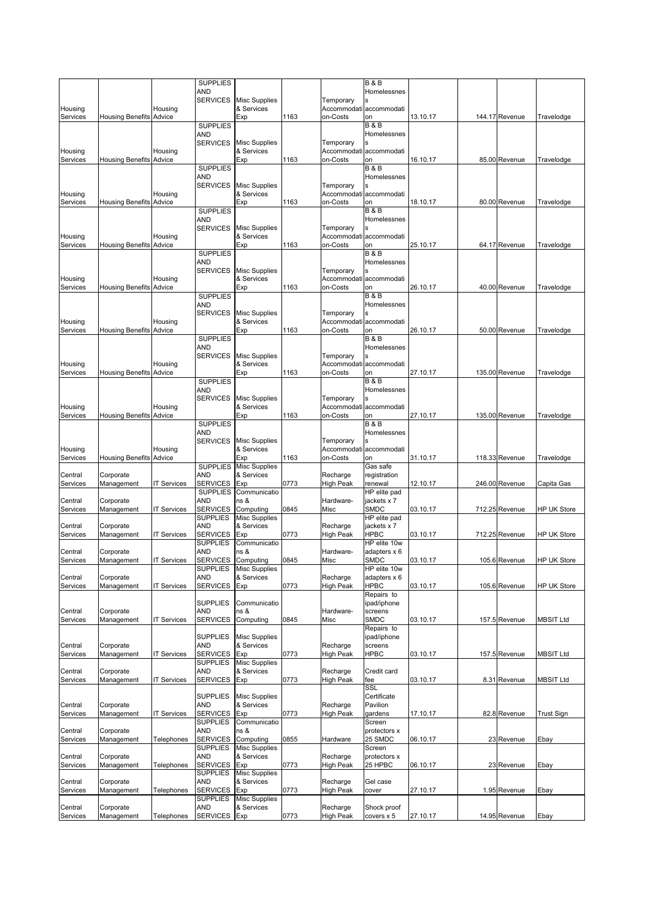|                     |                                |                    | <b>SUPPLIES</b>                    |                                             |      |                   | <b>B&amp;B</b>                |          |                |                    |
|---------------------|--------------------------------|--------------------|------------------------------------|---------------------------------------------|------|-------------------|-------------------------------|----------|----------------|--------------------|
|                     |                                |                    | AND<br><b>SERVICES</b>             | <b>Misc Supplies</b>                        |      | Temporary         | Homelessnes                   |          |                |                    |
| Housing             |                                | Housing            |                                    | & Services                                  |      |                   | Accommodati accommodati       |          |                |                    |
| Services            | <b>Housing Benefits Advice</b> |                    |                                    | Exp                                         | 1163 | on-Costs          | on                            | 13.10.17 | 144.17 Revenue | Travelodge         |
|                     |                                |                    | <b>SUPPLIES</b>                    |                                             |      |                   | <b>B&amp;B</b>                |          |                |                    |
|                     |                                |                    | <b>AND</b>                         |                                             |      |                   | Homelessnes                   |          |                |                    |
| Housing             |                                |                    | <b>SERVICES</b>                    | <b>Misc Supplies</b><br>& Services          |      | Temporary         |                               |          |                |                    |
| Services            | <b>Housing Benefits Advice</b> | Housing            |                                    | Exp                                         | 1163 | on-Costs          | Accommodati accommodati<br>on | 16.10.17 | 85.00 Revenue  | Travelodge         |
|                     |                                |                    | <b>SUPPLIES</b>                    |                                             |      |                   | <b>B&amp;B</b>                |          |                |                    |
|                     |                                |                    | AND                                |                                             |      |                   | Homelessnes                   |          |                |                    |
|                     |                                |                    | <b>SERVICES</b>                    | <b>Misc Supplies</b>                        |      | Temporary         |                               |          |                |                    |
| Housing             |                                | Housing            |                                    | & Services                                  |      |                   | Accommodati accommodati       |          |                |                    |
| Services            | <b>Housing Benefits Advice</b> |                    | <b>SUPPLIES</b>                    | Exp                                         | 1163 | on-Costs          | on<br><b>B&amp;B</b>          | 18.10.17 | 80.00 Revenue  | Travelodge         |
|                     |                                |                    | AND                                |                                             |      |                   | Homelessnes                   |          |                |                    |
|                     |                                |                    | <b>SERVICES</b>                    | <b>Misc Supplies</b>                        |      | Temporary         |                               |          |                |                    |
| Housing             |                                | Housing            |                                    | & Services                                  |      |                   | Accommodati accommodati       |          |                |                    |
| Services            | <b>Housing Benefits Advice</b> |                    |                                    | Exp                                         | 1163 | on-Costs          | on                            | 25.10.17 | 64.17 Revenue  | Travelodge         |
|                     |                                |                    | <b>SUPPLIES</b>                    |                                             |      |                   | <b>B&amp;B</b>                |          |                |                    |
|                     |                                |                    | AND<br><b>SERVICES</b>             | <b>Misc Supplies</b>                        |      |                   | Homelessnes                   |          |                |                    |
| Housing             |                                | Housing            |                                    | & Services                                  |      | Temporary         | Accommodati accommodati       |          |                |                    |
| Services            | <b>Housing Benefits Advice</b> |                    |                                    | Exp                                         | 1163 | on-Costs          | on                            | 26.10.17 | 40.00 Revenue  | Travelodge         |
|                     |                                |                    | <b>SUPPLIES</b>                    |                                             |      |                   | <b>B&amp;B</b>                |          |                |                    |
|                     |                                |                    | <b>AND</b>                         |                                             |      |                   | Homelessnes                   |          |                |                    |
|                     |                                |                    | <b>SERVICES</b>                    | <b>Misc Supplies</b>                        |      | Temporary         |                               |          |                |                    |
| Housing             |                                | Housing            |                                    | & Services                                  |      |                   | Accommodati accommodati       |          |                |                    |
| Services            | <b>Housing Benefits Advice</b> |                    | <b>SUPPLIES</b>                    | Exp                                         | 1163 | on-Costs          | on<br><b>B&amp;B</b>          | 26.10.17 | 50.00 Revenue  | Travelodge         |
|                     |                                |                    | AND                                |                                             |      |                   | Homelessnes                   |          |                |                    |
|                     |                                |                    | <b>SERVICES</b>                    | <b>Misc Supplies</b>                        |      | Temporary         |                               |          |                |                    |
| Housing             |                                | Housing            |                                    | & Services                                  |      |                   | Accommodati accommodati       |          |                |                    |
| Services            | <b>Housing Benefits Advice</b> |                    |                                    | Exp                                         | 1163 | on-Costs          | on                            | 27.10.17 | 135.00 Revenue | Travelodge         |
|                     |                                |                    | <b>SUPPLIES</b>                    |                                             |      |                   | <b>B&amp;B</b>                |          |                |                    |
|                     |                                |                    | AND<br><b>SERVICES</b>             | <b>Misc Supplies</b>                        |      | Temporary         | Homelessnes                   |          |                |                    |
| Housing             |                                | Housing            |                                    | & Services                                  |      |                   | Accommodati accommodati       |          |                |                    |
| Services            | <b>Housing Benefits Advice</b> |                    |                                    | Exp                                         | 1163 | on-Costs          | on                            | 27.10.17 | 135.00 Revenue | Travelodge         |
|                     |                                |                    | <b>SUPPLIES</b>                    |                                             |      |                   | <b>B&amp;B</b>                |          |                |                    |
|                     |                                |                    | AND                                |                                             |      |                   | Homelessnes                   |          |                |                    |
|                     |                                |                    | <b>SERVICES</b>                    | <b>Misc Supplies</b>                        |      | Temporary         |                               |          |                |                    |
| Housing<br>Services | <b>Housing Benefits Advice</b> | Housing            |                                    | & Services<br>Exp                           | 1163 | on-Costs          | Accommodati accommodati<br>on | 31.10.17 | 118.33 Revenue | Travelodge         |
|                     |                                |                    | <b>SUPPLIES</b>                    | <b>Misc Supplies</b>                        |      |                   | Gas safe                      |          |                |                    |
| Central             | Corporate                      |                    | <b>AND</b>                         | & Services                                  |      | Recharge          | registration                  |          |                |                    |
| Services            | Management                     | <b>IT Services</b> | <b>SERVICES</b>                    | Exp                                         | 0773 | <b>High Peak</b>  | renewal                       | 12.10.17 | 246.00 Revenue | Capita Gas         |
|                     |                                |                    | <b>SUPPLIES</b>                    | Communicatio                                |      |                   | HP elite pad                  |          |                |                    |
| Central             | Corporate<br>Management        | <b>IT Services</b> | AND                                | ns &                                        | 0845 | Hardware-<br>Misc | jackets x 7<br>SMDC           | 03.10.17 | 712.25 Revenue | <b>HP UK Store</b> |
| Services            |                                |                    | <b>SERVICES</b><br><b>SUPPLIES</b> | Computing<br><b>Misc Supplies</b>           |      |                   | HP elite pad                  |          |                |                    |
| Central             | Corporate                      |                    | <b>AND</b>                         | & Services                                  |      |                   |                               |          |                |                    |
| Services            | Management                     |                    |                                    |                                             |      | Recharge          | jackets x 7                   |          |                |                    |
|                     |                                | IT Services        | <b>SERVICES</b>                    | Exp                                         | 0773 | <b>High Peak</b>  | <b>HPBC</b>                   | 03.10.17 | 712.25 Revenue | <b>HP UK Store</b> |
| Central             |                                |                    | <b>SUPPLIES</b>                    | Communicatio                                |      |                   | HP elite 10w                  |          |                |                    |
| Services            | Corporate                      |                    | AND                                | ns &                                        |      | Hardware-         | adapters x 6                  |          |                |                    |
|                     | Management                     | IT Services        | SERVICES                           | Computing                                   | 0845 | Misc              | SMDC                          | 03.10.17 | 105.6 Revenue  | <b>HP UK Store</b> |
| Central             | Corporate                      |                    | <b>AND</b>                         | <b>SUPPLIES</b> Misc Supplies<br>& Services |      | Recharge          | HP elite 10w<br>adapters x 6  |          |                |                    |
| Services            | Management                     | <b>IT Services</b> | <b>SERVICES</b>                    | Exp                                         | 0773 | <b>High Peak</b>  | <b>HPBC</b>                   | 03.10.17 | 105.6 Revenue  | <b>HP UK Store</b> |
|                     |                                |                    |                                    |                                             |      |                   | Repairs to                    |          |                |                    |
|                     |                                |                    | <b>SUPPLIES</b>                    | Communicatio                                |      |                   | ipad/iphone                   |          |                |                    |
| Central             | Corporate                      |                    | AND                                | ns &                                        |      | Hardware-         | screens                       |          |                |                    |
| Services            | Management                     | <b>IT Services</b> | <b>SERVICES</b>                    | Computing                                   | 0845 | Misc              | <b>SMDC</b><br>Repairs to     | 03.10.17 | 157.5 Revenue  | <b>MBSIT Ltd</b>   |
|                     |                                |                    | <b>SUPPLIES</b>                    | <b>Misc Supplies</b>                        |      |                   | ipad/iphone                   |          |                |                    |
| Central             | Corporate                      |                    | <b>AND</b>                         | & Services                                  |      | Recharge          | screens                       |          |                |                    |
| Services            | Management                     | <b>IT Services</b> | <b>SERVICES</b>                    | Exp                                         | 0773 | <b>High Peak</b>  | <b>HPBC</b>                   | 03.10.17 | 157.5 Revenue  | <b>MBSIT Ltd</b>   |
|                     |                                |                    | <b>SUPPLIES</b>                    | <b>Misc Supplies</b>                        |      |                   |                               |          |                |                    |
| Central             | Corporate                      |                    | AND                                | & Services                                  |      | Recharge          | Credit card                   |          |                |                    |
| Services            | Management                     | <b>IT Services</b> | <b>SERVICES</b>                    | Exp                                         | 0773 | <b>High Peak</b>  | fee<br>SSL                    | 03.10.17 | 8.31 Revenue   | MBSIT Ltd          |
|                     |                                |                    | <b>SUPPLIES</b>                    | <b>Misc Supplies</b>                        |      |                   | Certificate                   |          |                |                    |
| Central             | Corporate                      |                    | <b>AND</b>                         | & Services                                  |      | Recharge          | Pavilion                      |          |                |                    |
| Services            | Management                     | <b>IT Services</b> | <b>SERVICES</b>                    | Exp                                         | 0773 | <b>High Peak</b>  | gardens                       | 17.10.17 | 82.8 Revenue   | Trust Sign         |
|                     |                                |                    | <b>SUPPLIES</b>                    | Communicatio                                |      |                   | Screen                        |          |                |                    |
| Central             | Corporate                      |                    | <b>AND</b>                         | ns &                                        |      |                   | protectors x                  |          |                |                    |
| Services            | Management                     | Telephones         | <b>SERVICES</b><br><b>SUPPLIES</b> | Computing<br><b>Misc Supplies</b>           | 0855 | Hardware          | 25 SMDC<br>Screen             | 06.10.17 | 23 Revenue     | Ebay               |
| Central             | Corporate                      |                    | AND                                | & Services                                  |      | Recharge          | protectors x                  |          |                |                    |
| Services            | Management                     | Telephones         | <b>SERVICES</b>                    | Exp                                         | 0773 | <b>High Peak</b>  | 25 HPBC                       | 06.10.17 | 23 Revenue     | Ebay               |
|                     |                                |                    | SUPPLIES                           | <b>Misc Supplies</b>                        |      |                   |                               |          |                |                    |
| Central             | Corporate                      |                    | <b>AND</b>                         | & Services                                  |      | Recharge          | Gel case                      |          |                |                    |
| Services            | Management                     | Telephones         | <b>SERVICES</b>                    | Exp                                         | 0773 | <b>High Peak</b>  | cover                         | 27.10.17 | 1.95 Revenue   | Ebay               |
| Central             | Corporate                      |                    | SUPPLIES<br>AND                    | <b>Misc Supplies</b><br>& Services          |      | Recharge          | Shock proof                   |          |                |                    |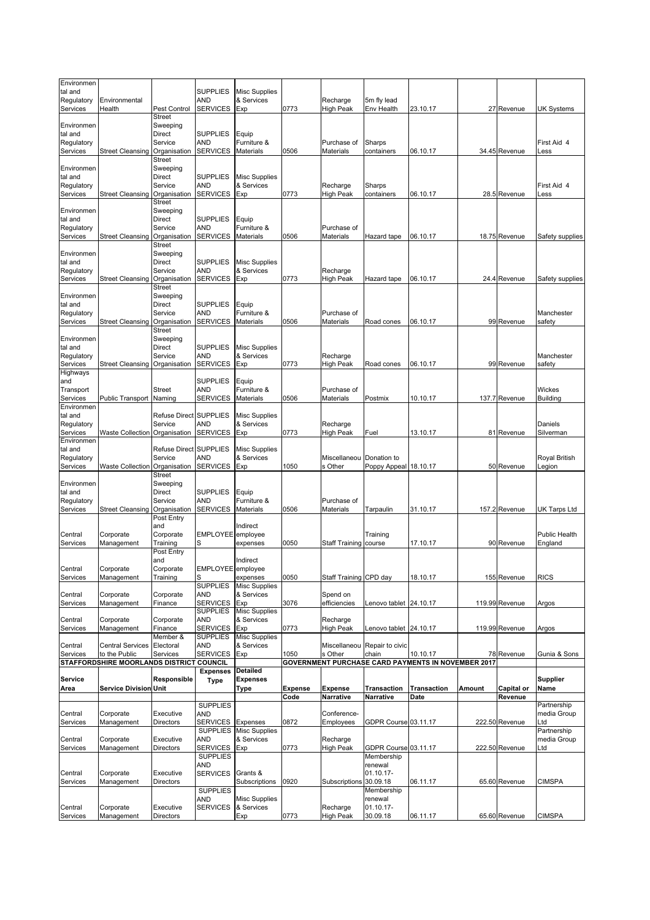| Environmen<br>tal and                           |                                          |                                                                                        | <b>SUPPLIES</b>                                  | Misc Supplies                                  |         |                              |                                      |                                                    |        |                |                                   |
|-------------------------------------------------|------------------------------------------|----------------------------------------------------------------------------------------|--------------------------------------------------|------------------------------------------------|---------|------------------------------|--------------------------------------|----------------------------------------------------|--------|----------------|-----------------------------------|
| Regulatory<br>Services                          | Environmental<br>Health                  | Pest Control                                                                           | AND<br><b>SERVICES</b>                           | & Services<br>Exp                              | 0773    | Recharge<br>High Peak        | 5m fly lead<br>Env Health            | 23.10.17                                           |        | 27 Revenue     | UK Systems                        |
| Environmen<br>tal and<br>Regulatory<br>Services | <b>Street Cleansing</b>                  | <b>Street</b><br>Sweeping<br><b>Direct</b><br>Service<br>Organisation<br><b>Street</b> | <b>SUPPLIES</b><br><b>AND</b><br><b>SERVICES</b> | Equip<br>Furniture &<br><b>Materials</b>       | 0506    | Purchase of<br>Materials     | Sharps<br>containers                 | 06.10.17                                           |        | 34.45 Revenue  | First Aid 4<br>Less               |
| Environmen<br>tal and<br>Regulatory             |                                          | Sweeping<br><b>Direct</b><br>Service                                                   | <b>SUPPLIES</b><br><b>AND</b>                    | <b>Misc Supplies</b><br>& Services             |         | Recharge                     | Sharps                               |                                                    |        |                | First Aid 4                       |
| Services                                        | <b>Street Cleansing</b>                  | Organisation<br><b>Street</b>                                                          | <b>SERVICES</b>                                  | Exp                                            | 0773    | High Peak                    | containers                           | 06.10.17                                           |        | 28.5 Revenue   | Less                              |
| Environmen<br>tal and<br>Regulatory<br>Services | Street Cleansing                         | Sweeping<br><b>Direct</b><br>Service<br>Organisation<br>Street                         | <b>SUPPLIES</b><br><b>AND</b><br><b>SERVICES</b> | Equip<br>Furniture &<br>Materials              | 0506    | Purchase of<br>Materials     | Hazard tape                          | 06.10.17                                           |        | 18.75 Revenue  | Safety supplies                   |
| Environmen<br>tal and<br>Regulatory<br>Services | <b>Street Cleansing</b>                  | Sweeping<br><b>Direct</b><br>Service<br>Organisation                                   | <b>SUPPLIES</b><br><b>AND</b><br><b>SERVICES</b> | Misc Supplies<br>& Services<br>Exp             | 0773    | Recharge<br>High Peak        | Hazard tape                          | 06.10.17                                           |        | 24.4 Revenue   | Safety supplies                   |
| Environmen<br>tal and<br>Regulatory<br>Services | <b>Street Cleansing</b>                  | <b>Street</b><br>Sweeping<br><b>Direct</b><br>Service<br>Organisation<br><b>Street</b> | <b>SUPPLIES</b><br><b>AND</b><br><b>SERVICES</b> | Equip<br>Furniture &<br><b>Materials</b>       | 0506    | Purchase of<br>Materials     | Road cones                           | 06.10.17                                           |        | 99 Revenue     | Manchester<br>safety              |
| Environmen<br>tal and<br>Regulatory<br>Services | <b>Street Cleansing</b>                  | Sweeping<br><b>Direct</b><br>Service<br>Organisation                                   | <b>SUPPLIES</b><br><b>AND</b><br><b>SERVICES</b> | <b>Misc Supplies</b><br>& Services<br>Exp      | 0773    | Recharge<br>High Peak        | Road cones                           | 06.10.17                                           |        | 99 Revenue     | Manchester<br>safety              |
| Highways<br>and<br>Transport<br>Services        | Public Transport                         | <b>Street</b><br>Naming                                                                | <b>SUPPLIES</b><br><b>AND</b><br><b>SERVICES</b> | Equip<br>Furniture &<br>Materials              | 0506    | Purchase of<br>Materials     | Postmix                              | 10.10.17                                           |        | 137.7 Revenue  | <b>Wickes</b><br><b>Building</b>  |
| Environmen<br>tal and<br>Regulatory<br>Services | <b>Waste Collection</b>                  | Refuse Direct SUPPLIES<br>Service<br>Organisation                                      | AND<br><b>SERVICES</b>                           | <b>Misc Supplies</b><br>& Services<br>Exp      | 0773    | Recharge<br>High Peak        | Fuel                                 | 13.10.17                                           |        | 81 Revenue     | Daniels<br>Silverman              |
| Environmen<br>tal and<br>Regulatory<br>Services | <b>Waste Collection</b>                  | Refuse Direct SUPPLIES<br>Service<br>Organisation<br><b>Street</b>                     | AND<br><b>SERVICES</b>                           | <b>Misc Supplies</b><br>& Services<br>Exp      | 1050    | Miscellaneou<br>s Other      | Donation to<br>Poppy Appeal 18.10.17 |                                                    |        | 50 Revenue     | Royal British<br>Legion           |
| Environmen<br>tal and<br>Regulatory<br>Services | <b>Street Cleansing</b>                  | Sweeping<br><b>Direct</b><br>Service<br>Organisation                                   | <b>SUPPLIES</b><br><b>AND</b><br><b>SERVICES</b> | Equip<br>Furniture &<br>Materials              | 0506    | Purchase of<br>Materials     | Tarpaulin                            | 31.10.17                                           |        | 157.2 Revenue  | UK Tarps Ltd                      |
| Central<br>Services                             | Corporate<br>Management                  | Post Entry<br>and<br>Corporate<br>Training                                             | <b>EMPLOYEE</b><br>S                             | Indirect<br>employee<br>expenses               | 0050    | Staff Training course        | Training                             | 17.10.17                                           |        | 90 Revenue     | <b>Public Health</b><br>England   |
| Central<br>Services                             | Corporate<br>Management                  | Post Entry<br>and<br>Corporate<br>Training                                             | EMPLOYEE employee<br>S<br><b>SUPPLIES</b>        | Indirect<br>expenses<br><b>Misc Supplies</b>   | 0050    | Staff Training CPD day       |                                      | 18.10.17                                           |        | 155 Revenue    | <b>RICS</b>                       |
| Central<br>Services                             | Corporate<br>Management                  | Corporate<br>Finance                                                                   | <b>AND</b><br><b>SERVICES</b><br><b>SUPPLIES</b> | & Services<br>Exp<br><b>Misc Supplies</b>      | 3076    | Spend on<br>efficiencies     | Lenovo tablet 24.10.17               |                                                    |        | 119.99 Revenue | Argos                             |
| Central<br>Services                             | Corporate<br>Management                  | Corporate<br>Finance                                                                   | <b>AND</b><br><b>SERVICES</b>                    | & Services<br>Exp                              | 0773    | Recharge<br>High Peak        | Lenovo tablet 24.10.17               |                                                    |        | 119.99 Revenue | Argos                             |
| Central<br>Services                             | <b>Central Services</b><br>to the Public | Member &<br>Electoral<br>Services                                                      | <b>SUPPLIES</b><br><b>AND</b><br><b>SERVICES</b> | <b>Misc Supplies</b><br>& Services<br>Exp      | 1050    | Miscellaneou<br>s Other      | Repair to civic<br>chain             | 10.10.17                                           |        | 78 Revenue     | Gunia & Sons                      |
|                                                 | STAFFORDSHIRE MOORLANDS DISTRICT COUNCIL |                                                                                        | <b>Expenses</b>                                  | <b>Detailed</b>                                |         |                              |                                      | GOVERNMENT PURCHASE CARD PAYMENTS IN NOVEMBER 2017 |        |                |                                   |
| Service<br>Area                                 | <b>Service Division Unit</b>             | Responsible                                                                            | <b>Type</b>                                      | <b>Expenses</b><br>Type                        | Expense | <b>Expense</b>               | Transaction                          | <b>Transaction</b>                                 | Amount | Capital or     | <b>Supplier</b><br>Name           |
| Central                                         | Corporate                                | Executive                                                                              | <b>SUPPLIES</b><br><b>AND</b>                    |                                                | Code    | Narrative<br>Conference-     | Narrative                            | Date                                               |        | Revenue        | Partnership<br>media Group        |
| Services                                        | Management<br>Corporate                  | <b>Directors</b><br>Executive                                                          | <b>SERVICES</b><br><b>SUPPLIES</b><br>AND        | Expenses<br><b>Misc Supplies</b><br>& Services | 0872    | Employees                    | GDPR Course 03.11.17                 |                                                    |        | 222.50 Revenue | Ltd<br>Partnership<br>media Group |
| Central<br>Services                             | Management                               | <b>Directors</b>                                                                       | <b>SERVICES</b><br><b>SUPPLIES</b>               | Exp                                            | 0773    | Recharge<br><b>High Peak</b> | GDPR Course 03.11.17<br>Membership   |                                                    |        | 222.50 Revenue | Ltd                               |
| Central<br>Services                             | Corporate<br>Management                  | Executive<br>Directors                                                                 | AND<br><b>SERVICES</b>                           | Grants &<br>Subscriptions                      | 0920    | Subscriptions                | renewal<br>01.10.17-<br>30.09.18     | 06.11.17                                           |        | 65.60 Revenue  | CIMSPA                            |
| Central                                         | Corporate                                | Executive                                                                              | <b>SUPPLIES</b><br>AND<br><b>SERVICES</b>        | <b>Misc Supplies</b><br>& Services             |         | Recharge                     | Membership<br>renewal<br>01.10.17-   |                                                    |        |                |                                   |
| Services                                        | Management                               | <b>Directors</b>                                                                       |                                                  | Exp                                            | 0773    | <b>High Peak</b>             | 30.09.18                             | 06.11.17                                           |        | 65.60 Revenue  | <b>CIMSPA</b>                     |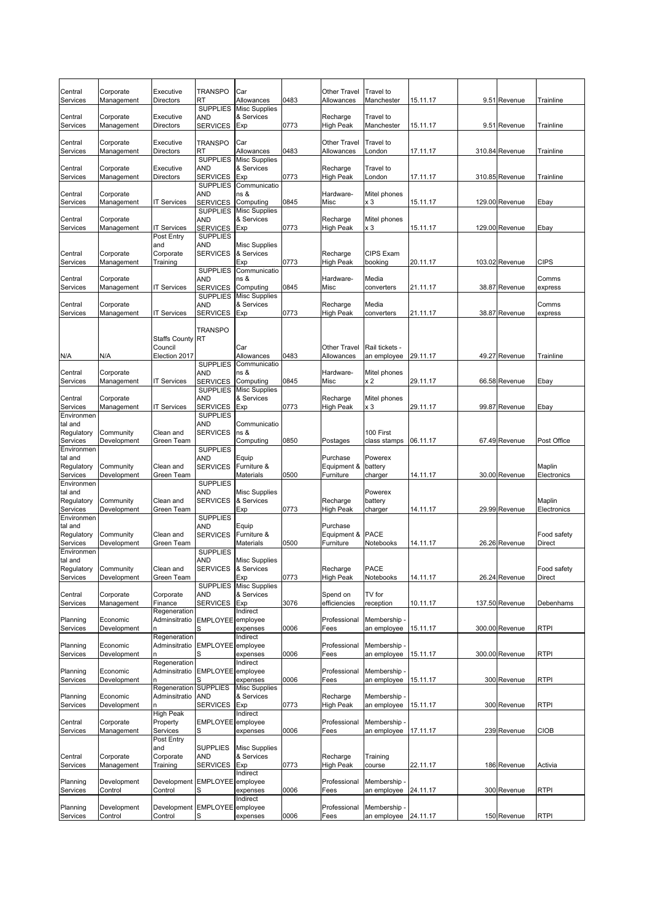| Central<br>Services    | Corporate<br>Management  | Executive<br>Directors        | TRANSPO<br>RT                      | Car<br>Allowances                  | 0483 | Other Travel<br>Allowances   | Travel to<br>Manchester     | 15.11.17 | 9.51 Revenue   | Trainline             |
|------------------------|--------------------------|-------------------------------|------------------------------------|------------------------------------|------|------------------------------|-----------------------------|----------|----------------|-----------------------|
|                        |                          |                               | <b>SUPPLIES</b>                    | <b>Misc Supplies</b>               |      |                              |                             |          |                |                       |
| Central<br>Services    | Corporate<br>Management  | Executive<br>Directors        | AND<br><b>SERVICES</b>             | & Services<br>Exp                  | 0773 | Recharge<br>High Peak        | Travel to<br>Manchester     | 15.11.17 | 9.51 Revenue   | Trainline             |
| Central                | Corporate                | Executive                     | <b>TRANSPO</b>                     | Car                                |      | Other Travel                 | Travel to                   |          |                |                       |
| Services               | Management               | Directors                     | RT                                 | Allowances                         | 0483 | Allowances                   | London                      | 17.11.17 | 310.84 Revenue | Trainline             |
|                        |                          |                               | <b>SUPPLIES</b>                    | <b>Misc Supplies</b>               |      |                              |                             |          |                |                       |
| Central<br>Services    | Corporate<br>Management  | Executive<br>Directors        | AND<br><b>SERVICES</b>             | & Services<br>Exp                  | 0773 | Recharge<br><b>High Peak</b> | Travel to<br>London         | 17.11.17 | 310.85 Revenue | Trainline             |
|                        |                          |                               | <b>SUPPLIES</b>                    | Communicatio                       |      |                              |                             |          |                |                       |
| Central                | Corporate                |                               | AND                                | ns &                               |      | Hardware-                    | Mitel phones                |          |                |                       |
| Services               | Management               | <b>IT Services</b>            | <b>SERVICES</b><br><b>SUPPLIES</b> | Computing<br><b>Misc Supplies</b>  | 0845 | Misc                         | x 3                         | 15.11.17 | 129.00 Revenue | Ebay                  |
| Central                | Corporate                |                               | AND                                | & Services                         |      | Recharge                     | Mitel phones                |          |                |                       |
| Services               | Management               | <b>IT Services</b>            | <b>SERVICES</b>                    | Exp                                | 0773 | <b>High Peak</b>             | x 3                         | 15.11.17 | 129.00 Revenue | Ebay                  |
|                        |                          | Post Entry<br>and             | <b>SUPPLIES</b>                    |                                    |      |                              |                             |          |                |                       |
| Central                | Corporate                | Corporate                     | AND<br><b>SERVICES</b>             | Misc Supplies<br>& Services        |      | Recharge                     | CIPS Exam                   |          |                |                       |
| Services               | Management               | Training                      |                                    | Exp                                | 0773 | High Peak                    | booking                     | 20.11.17 | 103.02 Revenue | <b>CIPS</b>           |
|                        |                          |                               | <b>SUPPLIES</b>                    | Communicatio                       |      |                              |                             |          |                |                       |
| Central<br>Services    | Corporate<br>Management  | <b>IT Services</b>            | AND<br><b>SERVICES</b>             | ns &<br>Computing                  | 0845 | Hardware-<br>Misc            | Media<br>converters         | 21.11.17 | 38.87 Revenue  | Comms<br>express      |
|                        |                          |                               | <b>SUPPLIES</b>                    | <b>Misc Supplies</b>               |      |                              |                             |          |                |                       |
| Central                | Corporate                |                               | AND                                | & Services                         |      | Recharge                     | Media                       |          |                | Comms                 |
| Services               | Management               | <b>IT Services</b>            | <b>SERVICES</b>                    | Exp                                | 0773 | <b>High Peak</b>             | converters                  | 21.11.17 | 38.87 Revenue  | express               |
|                        |                          |                               | <b>TRANSPO</b>                     |                                    |      |                              |                             |          |                |                       |
|                        |                          | <b>Staffs County</b>          | <b>RT</b>                          |                                    |      |                              |                             |          |                |                       |
|                        |                          | Council                       |                                    | Car                                |      | Other Travel                 | Rail tickets -              |          |                |                       |
| N/A                    | N/A                      | Election 2017                 | <b>SUPPLIES</b>                    | Allowances<br>Communicatio         | 0483 | Allowances                   | an employee                 | 29.11.17 | 49.27 Revenue  | Trainline             |
| Central                | Corporate                |                               | and                                | ns &                               |      | Hardware-                    | Mitel phones                |          |                |                       |
| Services               | Management               | <b>IT Services</b>            | <b>SERVICES</b>                    | Computing                          | 0845 | Misc                         | x 2                         | 29.11.17 | 66.58 Revenue  | Ebay                  |
| Central                | Corporate                |                               | <b>SUPPLIES</b><br>AND             | <b>Misc Supplies</b><br>& Services |      | Recharge                     | Mitel phones                |          |                |                       |
| Services               | Management               | <b>IT Services</b>            | <b>SERVICES</b>                    | Exp                                | 0773 | High Peak                    | x 3                         | 29.11.17 | 99.87 Revenue  | Ebay                  |
| Environmen             |                          |                               | <b>SUPPLIES</b>                    |                                    |      |                              |                             |          |                |                       |
| tal and<br>Regulatory  | Community                | Clean and                     | AND<br><b>SERVICES</b>             | Communicatio<br>ns &               |      |                              | 100 First                   |          |                |                       |
| Services               | Development              | Green Team                    |                                    | Computing                          | 0850 | Postages                     | class stamps                | 06.11.17 | 67.49 Revenue  | Post Office           |
| Environmen             |                          |                               | <b>SUPPLIES</b>                    |                                    |      |                              |                             |          |                |                       |
| tal and<br>Regulatory  | Community                | Clean and                     | AND<br><b>SERVICES</b>             | Equip<br>Furniture &               |      | Purchase<br>Equipment &      | Powerex<br>battery          |          |                | Maplin                |
| Services               | Development              | Green Team                    |                                    | Materials                          | 0500 | Furniture                    | charger                     | 14.11.17 | 30.00 Revenue  | Electronics           |
| Environmen             |                          |                               | <b>SUPPLIES</b>                    |                                    |      |                              |                             |          |                |                       |
| tal and<br>Regulatory  | Community                | Clean and                     | AND                                | Misc Supplies<br>& Services        |      | Recharge                     | Powerex<br>battery          |          |                | Maplin                |
| Services               | Development              | Green Team                    | <b>SERVICES</b>                    | Exp                                | 0773 | High Peak                    | charger                     | 14.11.17 | 29.99 Revenue  | Electronics           |
| Environmen             |                          |                               | <b>SUPPLIES</b>                    |                                    |      |                              |                             |          |                |                       |
| tal and                |                          | Clean and                     | AND                                | Equip                              |      | Purchase                     | <b>PACE</b>                 |          |                |                       |
| Regulatory<br>Services | Community<br>Development | Green Team                    | <b>SERVICES</b>                    | Furniture &<br>Materials           | 0500 | Equipment &<br>Furniture     | Notebooks                   | 14.11.17 | 26.26 Revenue  | Food safety<br>Direct |
| Environmen             |                          |                               | <b>SUPPLIES</b>                    |                                    |      |                              |                             |          |                |                       |
| tal and                |                          |                               | <b>AND</b>                         | <b>Misc Supplies</b>               |      |                              |                             |          |                |                       |
| Regulatory<br>Services | Community<br>Development | Clean and<br>Green Team       | <b>SERVICES</b>                    | & Services<br>Exp                  | 0773 | Recharge<br><b>High Peak</b> | <b>PACE</b><br>Notebooks    | 14.11.17 | 26.24 Revenue  | Food safety<br>Direct |
|                        |                          |                               | <b>SUPPLIES</b>                    | <b>Misc Supplies</b>               |      |                              |                             |          |                |                       |
| Central                | Corporate                | Corporate                     | AND                                | & Services                         |      | Spend on                     | TV for                      |          |                |                       |
| Services               | Management               | Finance<br>Regeneration       | <b>SERVICES</b>                    | Exp<br>Indirect                    | 3076 | efficiencies                 | reception                   | 10.11.17 | 137.50 Revenue | Debenhams             |
| Planning               | Economic                 | Adminsitratio                 | <b>EMPLOYEE</b>                    | employee                           |      | Professional                 | Membership -                |          |                |                       |
| Services               | Development              |                               |                                    | expenses                           | 0006 | Fees                         | an employee                 | 15.11.17 | 300.00 Revenue | <b>RTPI</b>           |
| Planning               | Economic                 | Regeneration<br>Adminsitratio | <b>EMPLOYEE</b>                    | Indirect<br>employee               |      | Professional                 | Membership -                |          |                |                       |
| Services               | Development              |                               |                                    | expenses                           | 0006 | Fees                         | an employee                 | 15.11.17 | 300.00 Revenue | <b>RTPI</b>           |
|                        |                          | Regeneration                  |                                    | Indirect                           |      |                              |                             |          |                |                       |
| Planning<br>Services   | Economic<br>Development  | Adminsitratio<br>n            | EMPLOYEE employee<br>S             | expenses                           | 0006 | Professional<br>Fees         | Membership -<br>an employee | 15.11.17 | 300 Revenue    | <b>RTPI</b>           |
|                        |                          | Regeneration                  | <b>SUPPLIES</b>                    | <b>Misc Supplies</b>               |      |                              |                             |          |                |                       |
| Planning               | Economic                 | Adminsitratio                 | <b>AND</b>                         | & Services                         |      | Recharge                     | Membership -                |          |                |                       |
| Services               | Development              | n<br><b>High Peak</b>         | <b>SERVICES</b>                    | Exp<br>Indirect                    | 0773 | <b>High Peak</b>             | an employee                 | 15.11.17 | 300 Revenue    | <b>RTPI</b>           |
| Central                | Corporate                | Property                      | EMPLOYEE employee                  |                                    |      | Professional                 | Membership -                |          |                |                       |
| Services               | Management               | Services                      | S                                  | expenses                           | 0006 | Fees                         | an employee                 | 17.11.17 | 239 Revenue    | <b>CIOB</b>           |
|                        |                          | Post Entry                    | <b>SUPPLIES</b>                    |                                    |      |                              |                             |          |                |                       |
| Central                | Corporate                | and<br>Corporate              | AND                                | <b>Misc Supplies</b><br>& Services |      | Recharge                     | Training                    |          |                |                       |
| Services               | Management               | Training                      | <b>SERVICES</b>                    | Exp                                | 0773 | <b>High Peak</b>             | course                      | 22.11.17 | 186 Revenue    | Activia               |
|                        |                          |                               |                                    | Indirect                           |      |                              |                             |          |                |                       |
| Planning<br>Services   | Development<br>Control   | Development<br>Control        | EMPLOYEE employee<br>S             | expenses                           | 0006 | Professional<br>Fees         | Membership -<br>an employee | 24.11.17 | 300 Revenue    | <b>RTPI</b>           |
|                        |                          |                               |                                    | Indirect                           |      |                              |                             |          |                |                       |
| Planning               | Development              | Development                   | EMPLOYEE employee                  |                                    |      | Professional                 | Membership -                |          |                |                       |
| Services               | Control                  | Control                       | S                                  | expenses                           | 0006 | Fees                         | an employee                 | 24.11.17 | 150 Revenue    | <b>RTPI</b>           |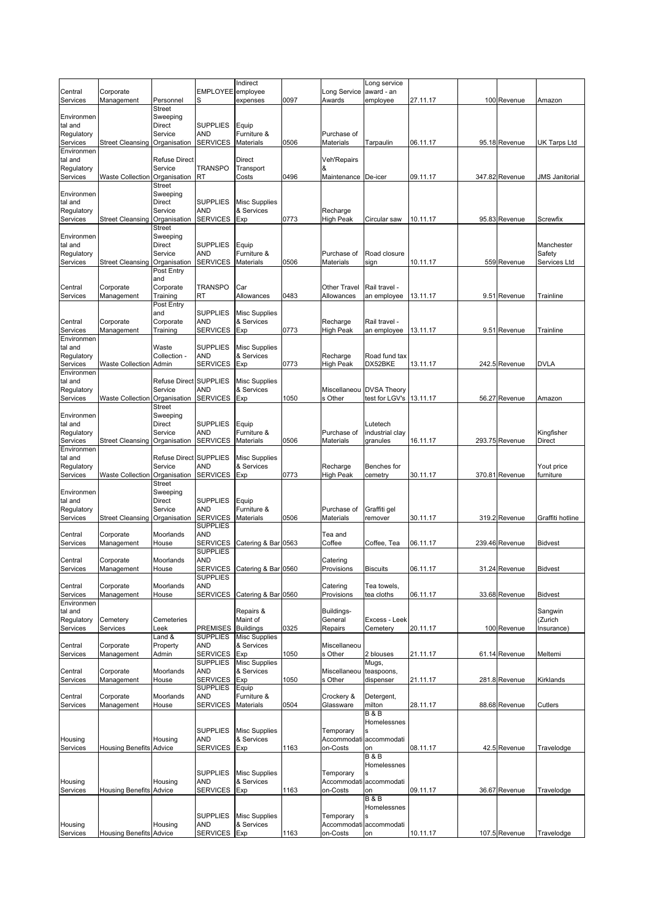|                        |                                |                        |                               | Indirect                           |      |                        | Long service                  |          |                |                       |
|------------------------|--------------------------------|------------------------|-------------------------------|------------------------------------|------|------------------------|-------------------------------|----------|----------------|-----------------------|
| Central<br>Services    | Corporate<br>Management        | Personnel              | EMPLOYEE employee<br>S        | expenses                           | 0097 | Long Service<br>Awards | award - an<br>employee        | 27.11.17 | 100 Revenue    | Amazon                |
|                        |                                | <b>Street</b>          |                               |                                    |      |                        |                               |          |                |                       |
| Environmen             |                                | Sweeping               |                               |                                    |      |                        |                               |          |                |                       |
| tal and                |                                | Direct                 | <b>SUPPLIES</b>               | Equip                              |      |                        |                               |          |                |                       |
| Regulatory             |                                | Service                | <b>AND</b>                    | Furniture &                        |      | Purchase of            |                               |          |                |                       |
| Services<br>Environmen | <b>Street Cleansing</b>        | Organisation           | <b>SERVICES</b>               | <b>Materials</b>                   | 0506 | Materials              | Tarpaulin                     | 06.11.17 | 95.18 Revenue  | <b>UK Tarps Ltd</b>   |
| tal and                |                                | <b>Refuse Direct</b>   |                               | <b>Direct</b>                      |      | Veh'Repairs            |                               |          |                |                       |
| Regulatory             |                                | Service                | <b>TRANSPO</b>                | Transport                          |      | &                      |                               |          |                |                       |
| Services               | Waste Collection               | Organisation           | RT                            | Costs                              | 0496 | Maintenance De-icer    |                               | 09.11.17 | 347.82 Revenue | JMS Janitorial        |
|                        |                                | Street                 |                               |                                    |      |                        |                               |          |                |                       |
| Environmen             |                                | Sweeping               |                               |                                    |      |                        |                               |          |                |                       |
| tal and                |                                | Direct                 | <b>SUPPLIES</b>               | <b>Misc Supplies</b>               |      |                        |                               |          |                |                       |
| Regulatory             |                                | Service                | <b>AND</b>                    | & Services                         |      | Recharge               |                               |          |                |                       |
| Services               | Street Cleansing Organisation  | Street                 | <b>SERVICES</b>               | Exp                                | 0773 | <b>High Peak</b>       | Circular saw                  | 10.11.17 | 95.83 Revenue  | Screwfix              |
| Environmen             |                                | Sweeping               |                               |                                    |      |                        |                               |          |                |                       |
| tal and                |                                | Direct                 | <b>SUPPLIES</b>               | Equip                              |      |                        |                               |          |                | Manchester            |
| Regulatory             |                                | Service                | <b>AND</b>                    | Furniture &                        |      | Purchase of            | Road closure                  |          |                | Safety                |
| Services               | Street Cleansing               | Organisation           | <b>SERVICES</b>               | Materials                          | 0506 | Materials              | sign                          | 10.11.17 | 559 Revenue    | Services Ltd          |
|                        |                                | Post Entry             |                               |                                    |      |                        |                               |          |                |                       |
| Central                |                                | and<br>Corporate       | <b>TRANSPO</b>                | Car                                |      | Other Travel           | Rail travel -                 |          |                |                       |
| Services               | Corporate<br>Management        | Training               | RT                            | Allowances                         | 0483 | Allowances             | an employee                   | 13.11.17 | 9.51 Revenue   | Trainline             |
|                        |                                | Post Entry             |                               |                                    |      |                        |                               |          |                |                       |
|                        |                                | and                    | <b>SUPPLIES</b>               | <b>Misc Supplies</b>               |      |                        |                               |          |                |                       |
| Central                | Corporate                      | Corporate              | AND                           | & Services                         |      | Recharge               | Rail travel -                 |          |                |                       |
| Services               | Management                     | Training               | <b>SERVICES</b>               | Exp                                | 0773 | <b>High Peak</b>       | an employee                   | 13.11.17 | 9.51 Revenue   | Trainline             |
| Environmen             |                                |                        |                               |                                    |      |                        |                               |          |                |                       |
| tal and<br>Regulatory  |                                | Waste<br>Collection -  | <b>SUPPLIES</b><br><b>AND</b> | <b>Misc Supplies</b><br>& Services |      | Recharge               | Road fund tax                 |          |                |                       |
| Services               | <b>Waste Collection Admin</b>  |                        | <b>SERVICES</b>               | Exp                                | 0773 | High Peak              | DX52BKE                       | 13.11.17 | 242.5 Revenue  | <b>DVLA</b>           |
| Environmen             |                                |                        |                               |                                    |      |                        |                               |          |                |                       |
| tal and                |                                | Refuse Direct SUPPLIES |                               | <b>Misc Supplies</b>               |      |                        |                               |          |                |                       |
| Regulatory             |                                | Service                | <b>AND</b>                    | & Services                         |      | Miscellaneou           | <b>DVSA Theory</b>            |          |                |                       |
| Services               | <b>Waste Collection</b>        | Organisation           | <b>SERVICES</b>               | Exp                                | 1050 | s Other                | test for LGV's                | 13.11.17 | 56.27 Revenue  | Amazon                |
|                        |                                | Street                 |                               |                                    |      |                        |                               |          |                |                       |
| Environmen<br>tal and  |                                | Sweeping<br>Direct     | <b>SUPPLIES</b>               |                                    |      |                        | Lutetech                      |          |                |                       |
| Regulatory             |                                | Service                | <b>AND</b>                    | Equip<br>Furniture &               |      | Purchase of            | industrial clay               |          |                | Kingfisher            |
| Services               | <b>Street Cleansing</b>        | Organisation           | <b>SERVICES</b>               | <b>Materials</b>                   | 0506 | Materials              | granules                      | 16.11.17 | 293.75 Revenue | <b>Direct</b>         |
| Environmen             |                                |                        |                               |                                    |      |                        |                               |          |                |                       |
| tal and                |                                | Refuse Direct SUPPLIES |                               | <b>Misc Supplies</b>               |      |                        |                               |          |                |                       |
| Regulatory             |                                | Service                | AND                           | & Services                         |      | Recharge               | Benches for                   |          |                | Yout price            |
| Services               | Waste Collection Organisation  |                        | <b>SERVICES</b>               | Exp                                | 0773 | High Peak              | cemetry                       | 30.11.17 | 370.81 Revenue | furniture             |
|                        |                                | Street                 |                               |                                    |      |                        |                               |          |                |                       |
| Environmen<br>tal and  |                                | Sweeping<br>Direct     | <b>SUPPLIES</b>               | Equip                              |      |                        |                               |          |                |                       |
| Regulatory             |                                | Service                | <b>AND</b>                    | Furniture &                        |      | Purchase of            | Graffiti gel                  |          |                |                       |
| Services               | <b>Street Cleansing</b>        | Organisation           | <b>SERVICES</b>               | Materials                          | 0506 | Materials              | remover                       | 30.11.17 | 319.2 Revenue  | Graffiti hotline      |
|                        |                                |                        | <b>SUPPLIES</b>               |                                    |      |                        |                               |          |                |                       |
| Central                | Corporate                      | Moorlands              | <b>AND</b>                    |                                    |      | Tea and                |                               |          |                |                       |
| Services               | Management                     | House                  | <b>SERVICES</b>               | Catering & Bar                     | 0563 | Coffee                 | Coffee, Tea                   | 06.11.17 | 239.46 Revenue | <b>Bidvest</b>        |
|                        |                                | Moorlands              | <b>SUPPLIES</b>               |                                    |      |                        |                               |          |                |                       |
| Central<br>Services    | Corporate<br>Management        | House                  | <b>AND</b>                    | SERVICES Catering & Bar 0560       |      | Catering<br>Provisions | <b>Biscuits</b>               | 06.11.17 | 31.24 Revenue  | <b>Bidvest</b>        |
|                        |                                |                        | <b>SUPPLIES</b>               |                                    |      |                        |                               |          |                |                       |
| Central                | Corporate                      | Moorlands              | <b>AND</b>                    |                                    |      | Catering               | Tea towels,                   |          |                |                       |
| Services               | Management                     | House                  | <b>SERVICES</b>               | Catering & Bar 0560                |      | Provisions             | tea cloths                    | 06.11.17 | 33.68 Revenue  | <b>Bidvest</b>        |
| Environmen             |                                |                        |                               |                                    |      |                        |                               |          |                |                       |
| tal and                |                                |                        |                               | Repairs &                          |      | Buildings-             |                               |          |                | Sangwin               |
| Regulatory<br>Services | Cemetery<br>Services           | Cemeteries<br>.eek     | <b>PREMISES</b>               | Maint of<br><b>Buildings</b>       | 0325 | General<br>Repairs     | Excess - Leek<br>Cemetery     | 20.11.17 | 100 Revenue    | (Zurich<br>Insurance) |
|                        |                                | Land &                 | <b>SUPPLIES</b>               | <b>Misc Supplies</b>               |      |                        |                               |          |                |                       |
| Central                | Corporate                      | Property               | <b>AND</b>                    | & Services                         |      | Miscellaneou           |                               |          |                |                       |
| Services               | Management                     | Admin                  | <b>SERVICES</b>               | Exp                                | 1050 | s Other                | 2 blouses                     | 21.11.17 | 61.14 Revenue  | Meltemi               |
|                        |                                |                        | <b>SUPPLIES</b>               | <b>Misc Supplies</b>               |      |                        | Mugs,                         |          |                |                       |
| Central                | Corporate                      | Moorlands              | AND                           | & Services                         |      | Miscellaneou           | teaspoons,                    |          |                |                       |
| Services               | Management                     | House                  | <b>SERVICES</b>               | Exp                                | 1050 | s Other                | dispenser                     | 21.11.17 | 281.8 Revenue  | Kirklands             |
| Central                | Corporate                      | Moorlands              | <b>SUPPLIES</b><br>AND        | Equip<br>Furniture &               |      | Crockery &             | Detergent,                    |          |                |                       |
| Services               | Management                     | House                  | SERVICES                      | Materials                          | 0504 | Glassware              | milton                        | 28.11.17 | 88.68 Revenue  | Cutlers               |
|                        |                                |                        |                               |                                    |      |                        | <b>B&amp;B</b>                |          |                |                       |
|                        |                                |                        |                               |                                    |      |                        | Homelessnes                   |          |                |                       |
|                        |                                |                        | <b>SUPPLIES</b>               | <b>Misc Supplies</b>               |      | Temporary              |                               |          |                |                       |
| Housing                |                                | Housing                | AND                           | & Services                         |      |                        | Accommodati accommodati       |          |                |                       |
| Services               | <b>Housing Benefits Advice</b> |                        | <b>SERVICES</b>               | Exp                                | 1163 | on-Costs               | on                            | 08.11.17 | 42.5 Revenue   | Travelodge            |
|                        |                                |                        |                               |                                    |      |                        | <b>B&amp;B</b><br>Homelessnes |          |                |                       |
|                        |                                |                        | <b>SUPPLIES</b>               | <b>Misc Supplies</b>               |      | Temporary              |                               |          |                |                       |
| Housing                |                                | Housing                | AND                           | & Services                         |      |                        | Accommodati accommodati       |          |                |                       |
| Services               | <b>Housing Benefits</b>        | Advice                 | <b>SERVICES</b>               | Exp                                | 1163 | on-Costs               | on                            | 09.11.17 | 36.67 Revenue  | Travelodge            |
|                        |                                |                        |                               |                                    |      |                        | B & B                         |          |                |                       |
|                        |                                |                        |                               |                                    |      |                        | Homelessnes                   |          |                |                       |
|                        |                                |                        | <b>SUPPLIES</b>               | <b>Misc Supplies</b>               |      | Temporary              |                               |          |                |                       |
| Housing                |                                | Housing                | <b>AND</b>                    | & Services                         |      |                        | Accommodati accommodati       |          |                |                       |
| Services               | <b>Housing Benefits Advice</b> |                        | <b>SERVICES</b>               | Exp                                | 1163 | on-Costs               | on                            | 10.11.17 | 107.5 Revenue  | Travelodge            |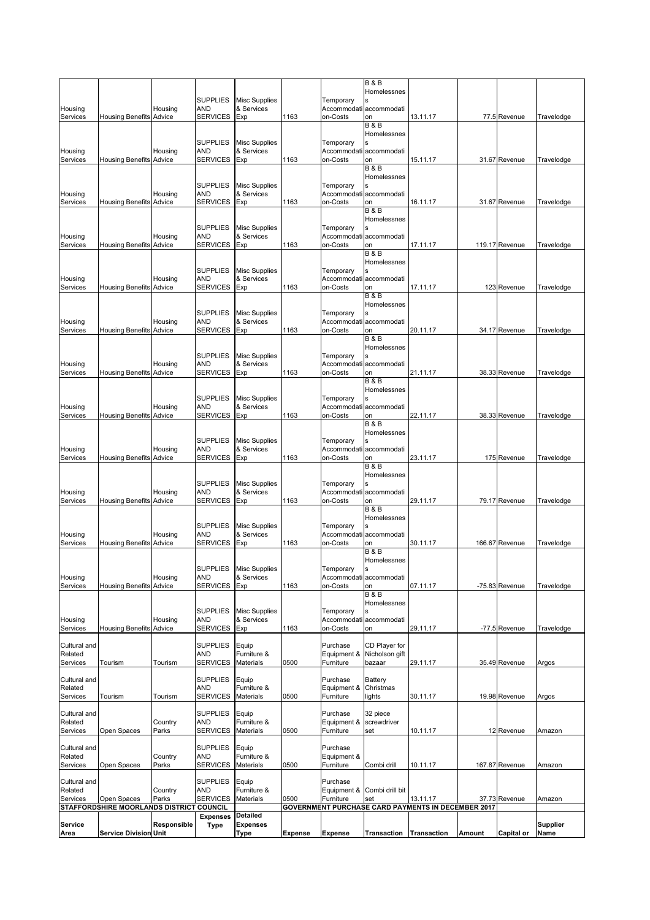| Service<br>Area                     | Service Division Unit                              | Responsible       | <b>Expenses</b><br><b>Type</b>                                      | Detailed<br><b>Expenses</b><br>Type              | <b>Expense</b> | <b>Expense</b>                                   | Transaction                                                    | <b>Transaction</b>                                        | Amount | Capital or                    | <b>Supplier</b><br>Name  |
|-------------------------------------|----------------------------------------------------|-------------------|---------------------------------------------------------------------|--------------------------------------------------|----------------|--------------------------------------------------|----------------------------------------------------------------|-----------------------------------------------------------|--------|-------------------------------|--------------------------|
|                                     | STAFFORDSHIRE MOORLANDS DISTRICT COUNCIL           |                   |                                                                     |                                                  |                |                                                  |                                                                | <b>GOVERNMENT PURCHASE CARD PAYMENTS IN DECEMBER 2017</b> |        |                               |                          |
| Cultural and<br>Related<br>Services | Open Spaces                                        | Country<br>Parks  | <b>SUPPLIES</b><br><b>AND</b><br><b>SERVICES</b>                    | Equip<br>Furniture &<br>Materials                | 0500           | Purchase<br>Equipment &<br>Furniture             | Combi drill bit<br>set                                         | 13.11.17                                                  |        | 37.73 Revenue                 | Amazon                   |
| Cultural and<br>Related<br>Services | Open Spaces                                        | Country<br>Parks  | <b>SUPPLIES</b><br><b>AND</b><br><b>SERVICES</b>                    | Equip<br>Furniture &<br>Materials                | 0500           | Purchase<br>Equipment &<br>Furniture             | Combi drill                                                    | 10.11.17                                                  |        | 167.87 Revenue                | Amazon                   |
| Cultural and<br>Related<br>Services | Open Spaces                                        | Country<br>Parks  | <b>SUPPLIES</b><br><b>AND</b><br>SERVICES                           | Equip<br>Furniture &<br>Materials                | 0500           | Purchase<br>Equipment &<br>Furniture             | 32 piece<br>screwdriver<br>set                                 | 10.11.17                                                  |        | 12 Revenue                    | Amazon                   |
| Cultural and<br>Related<br>Services | Tourism                                            | Tourism           | <b>SUPPLIES</b><br>AND<br><b>SERVICES</b>                           | Equip<br>Furniture &<br>Materials                | 0500           | Purchase<br>Equipment &<br>Furniture             | Battery<br>Christmas<br>lights                                 | 30.11.17                                                  |        | 19.98 Revenue                 | Argos                    |
| Cultural and<br>Related<br>Services | Tourism                                            | Tourism           | <b>SUPPLIES</b><br><b>AND</b><br>SERVICES                           | Equip<br>Furniture &<br>Materials                | 0500           | Purchase<br>Equipment &<br>Furniture             | CD Player for<br>Nicholson gift<br>bazaar                      | 29.11.17                                                  |        | 35.49 Revenue                 | Argos                    |
| Housing<br>Services                 | <b>Housing Benefits</b>                            | Housing<br>Advice | <b>SUPPLIES</b><br><b>AND</b><br><b>SERVICES</b>                    | <b>Misc Supplies</b><br>& Services<br>Exp        | 1163           | Temporary<br>Accommodati<br>on-Costs             | <b>B&amp;B</b><br>Homelessnes<br>accommodati<br>on             | 29.11.17                                                  |        | -77.5 Revenue                 | Travelodge               |
| Housing<br>Services                 | <b>Housing Benefits</b>                            | Housing<br>Advice | <b>AND</b><br><b>SERVICES</b>                                       | SUPPLIES Misc Supplies<br>& Services<br>Exp      | 1163           | Temporary<br>on-Costs                            | <b>B&amp;B</b><br>Homelessnes<br>Accommodati accommodati<br>on | 07.11.17                                                  |        | -75.83 Revenue                | Travelodge               |
| Housing<br>Services                 | <b>Housing Benefits</b>                            | Housing<br>Advice | <b>SUPPLIES</b><br><b>AND</b><br><b>SERVICES</b>                    | <b>Misc Supplies</b><br>& Services<br>Exp        | 1163           | Temporary<br>Accommodati<br>on-Costs             | <b>B&amp;B</b><br>Homelessnes<br>Ś.<br>accommodati<br>on       | 30.11.17                                                  |        | 166.67 Revenue                | Travelodge               |
| Housing<br>Services                 | <b>Housing Benefits</b>                            | Housing<br>Advice | <b>SUPPLIES</b><br><b>AND</b><br><b>SERVICES</b>                    | <b>Misc Supplies</b><br>& Services<br>Exp        | 1163           | Temporary<br>Accommodati<br>on-Costs             | <b>B&amp;B</b><br>Homelessnes<br>accommodati<br>on             | 29.11.17                                                  |        | 79.17 Revenue                 | Travelodge               |
| Housing<br>Services                 | <b>Housing Benefits</b>                            | Housing<br>Advice | <b>SUPPLIES</b><br><b>AND</b><br><b>SERVICES</b>                    | <b>Misc Supplies</b><br>& Services<br>Exp        | 1163           | Temporary<br>Accommodati<br>on-Costs             | <b>B&amp;B</b><br>Homelessnes<br>accommodati<br>on             | 23.11.17                                                  |        | 175 Revenue                   | Travelodge               |
| Housing<br>Services                 | <b>Housing Benefits</b>                            | Housing<br>Advice | <b>SUPPLIES</b><br><b>AND</b><br><b>SERVICES</b>                    | <b>Misc Supplies</b><br>& Services<br>Exp        | 1163           | Temporary<br>Accommodati<br>on-Costs             | <b>B&amp;B</b><br>Homelessnes<br>accommodati<br>on             | 22.11.17                                                  |        | 38.33 Revenue                 | Travelodge               |
| Housing<br>Services                 | <b>Housing Benefits Advice</b>                     | Housing           | <b>SUPPLIES</b><br><b>AND</b><br><b>SERVICES</b>                    | <b>Misc Supplies</b><br>& Services<br>Exp        | 1163           | Temporary<br>Accommodati<br>on-Costs             | <b>B&amp;B</b><br>Homelessnes<br>Ś<br>accommodati<br>on        | 21.11.17                                                  |        | 38.33 Revenue                 | Travelodge               |
| Housing<br>Services                 | Housing Benefits                                   | Housing<br>Advice | <b>SUPPLIES</b><br><b>AND</b><br><b>SERVICES</b>                    | <b>Misc Supplies</b><br>& Services<br>Exp        | 1163           | Temporary<br>on-Costs                            | <b>B&amp;B</b><br>Homelessnes<br>Accommodati accommodati<br>on | 20.11.17                                                  |        | 34.17 Revenue                 | Travelodge               |
| Housing<br>Services                 | <b>Housing Benefits</b>                            | Housing<br>Advice | <b>SUPPLIES</b><br><b>AND</b><br><b>SERVICES</b>                    | <b>Misc Supplies</b><br>& Services<br>Exp        | 1163           | Temporary<br>Accommodati<br>on-Costs             | <b>B&amp;B</b><br>Homelessnes<br>accommodati<br>on             | 17.11.17                                                  |        | 123 Revenue                   | Travelodge               |
| Housing<br>Services                 | <b>Housing Benefits</b>                            | Housing<br>Advice | <b>SUPPLIES</b><br><b>AND</b><br><b>SERVICES</b>                    | <b>Misc Supplies</b><br>& Services<br>Exp        | 1163           | Temporary<br>Accommodati<br>on-Costs             | <b>B&amp;B</b><br>Homelessnes<br>accommodati<br>on             | 17.11.17                                                  |        | 119.17 Revenue                | Travelodge               |
| Housing<br>Services                 | <b>Housing Benefits Advice</b>                     | Housing           | <b>SUPPLIES</b><br><b>AND</b><br><b>SERVICES</b>                    | <b>Misc Supplies</b><br>& Services<br>Exp        | 1163           | Temporary<br>Accommodati<br>on-Costs             | <b>B&amp;B</b><br>Homelessnes<br>Ś.<br>accommodati<br>on       | 16.11.17                                                  |        | 31.67 Revenue                 | Travelodge               |
| Services<br>Housing<br>Services     | <b>Housing Benefits Advice</b><br>Housing Benefits | Housing<br>Advice | <b>SERVICES</b><br><b>SUPPLIES</b><br><b>AND</b><br><b>SERVICES</b> | Exp<br><b>Misc Supplies</b><br>& Services<br>Exp | 1163<br>1163   | on-Costs<br>Temporary<br>Accommodati<br>on-Costs | on<br><b>B&amp;B</b><br>Homelessnes<br>accommodati<br>on       | 13.11.17<br>15.11.17                                      |        | 77.5 Revenue<br>31.67 Revenue | Travelodge<br>Travelodge |
| Housing                             |                                                    | Housing           | <b>SUPPLIES</b><br><b>AND</b>                                       | <b>Misc Supplies</b><br>& Services               |                | Temporary<br>Accommodati                         | <b>B&amp;B</b><br>Homelessnes<br>accommodati                   |                                                           |        |                               |                          |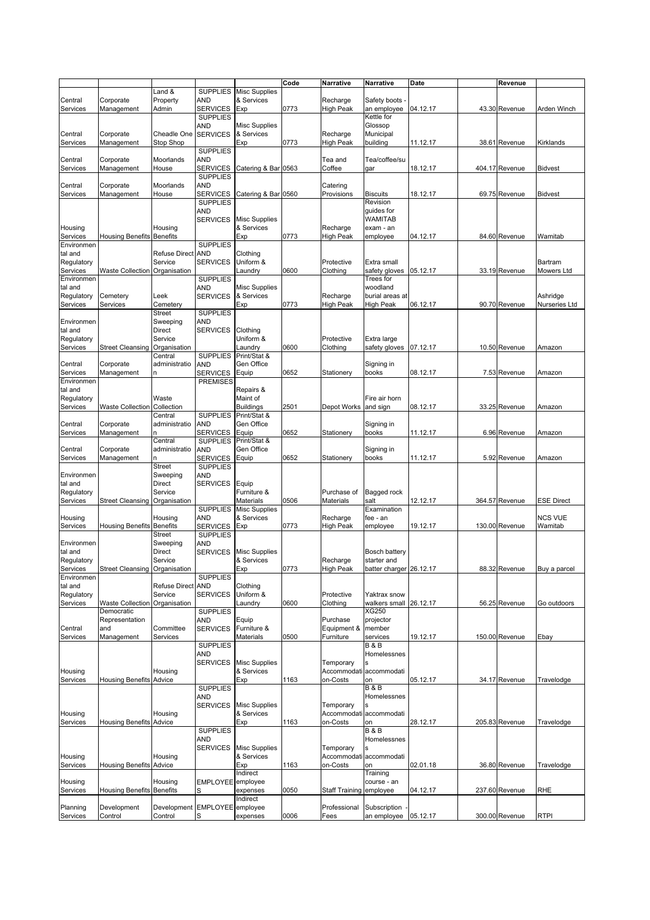|            |                                  |                      |                                    |                      | Code | Narrative        | Narrative               | Date     | Revenue        |                   |
|------------|----------------------------------|----------------------|------------------------------------|----------------------|------|------------------|-------------------------|----------|----------------|-------------------|
|            |                                  | Land &               | <b>SUPPLIES</b>                    | <b>Misc Supplies</b> |      |                  |                         |          |                |                   |
| Central    | Corporate                        | Property             | AND                                | & Services           |      | Recharge         | Safety boots            |          |                |                   |
| Services   | Management                       | Admin                | <b>SERVICES</b>                    | Exp                  | 0773 | <b>High Peak</b> | an employee             | 04.12.17 | 43.30 Revenue  | Arden Winch       |
|            |                                  |                      | <b>SUPPLIES</b>                    |                      |      |                  | Kettle for              |          |                |                   |
|            |                                  |                      | AND                                | <b>Misc Supplies</b> |      |                  | Glossop                 |          |                |                   |
| Central    | Corporate                        | Cheadle One          | <b>SERVICES</b>                    | & Services           |      | Recharge         | Municipal               |          |                |                   |
| Services   | Management                       | Stop Shop            |                                    | Exp                  | 0773 | High Peak        | building                | 11.12.17 | 38.61 Revenue  | Kirklands         |
|            |                                  |                      | <b>SUPPLIES</b>                    |                      |      |                  |                         |          |                |                   |
| Central    | Corporate                        | Moorlands            | AND                                |                      |      | Tea and          | Tea/coffee/su           |          |                |                   |
| Services   | Management                       | House                | <b>SERVICES</b>                    | Catering & Bar 0563  |      | Coffee           | qar                     | 18.12.17 | 404.17 Revenue | <b>Bidvest</b>    |
|            |                                  |                      | <b>SUPPLIES</b>                    |                      |      |                  |                         |          |                |                   |
| Central    | Corporate                        | Moorlands            | AND                                |                      |      | Catering         |                         |          |                |                   |
| Services   | Management                       | House                | <b>SERVICES</b>                    | Catering & Bar 0560  |      | Provisions       | <b>Biscuits</b>         | 18.12.17 | 69.75 Revenue  | <b>Bidvest</b>    |
|            |                                  |                      | <b>SUPPLIES</b>                    |                      |      |                  | Revision                |          |                |                   |
|            |                                  |                      | AND                                |                      |      |                  | guides for              |          |                |                   |
|            |                                  |                      | <b>SERVICES</b>                    | <b>Misc Supplies</b> |      |                  | WAMITAB                 |          |                |                   |
| Housing    |                                  | Housing              |                                    | & Services           |      | Recharge         | exam - an               |          |                |                   |
| Services   | <b>Housing Benefits</b>          | <b>Benefits</b>      |                                    | Exp                  | 0773 | High Peak        | employee                | 04.12.17 | 84.60 Revenue  | Wamitab           |
| Environmen |                                  |                      | <b>SUPPLIES</b>                    |                      |      |                  |                         |          |                |                   |
| tal and    |                                  | <b>Refuse Direct</b> | <b>AND</b>                         | Clothing             |      |                  |                         |          |                |                   |
| Regulatory |                                  | Service              | <b>SERVICES</b>                    | Uniform &            |      | Protective       | Extra small             |          |                | Bartram           |
| Services   | Waste Collection Organisation    |                      |                                    | Laundry              | 0600 | Clothing         | safety gloves           | 05.12.17 | 33.19 Revenue  | <b>Mowers Ltd</b> |
| Environmen |                                  |                      | <b>SUPPLIES</b>                    |                      |      |                  | Trees for               |          |                |                   |
| tal and    |                                  |                      | AND                                | <b>Misc Supplies</b> |      |                  | woodland                |          |                |                   |
| Regulatory | Cemetery                         | Leek                 | <b>SERVICES</b>                    | & Services           |      | Recharge         | burial areas at         |          |                | Ashridge          |
| Services   | Services                         | Cemetery             |                                    | Exp                  | 0773 | <b>High Peak</b> | High Peak               | 06.12.17 | 90.70 Revenue  | Nurseries Ltd     |
|            |                                  | <b>Street</b>        | <b>SUPPLIES</b>                    |                      |      |                  |                         |          |                |                   |
| Environmen |                                  | Sweeping             | AND                                |                      |      |                  |                         |          |                |                   |
| tal and    |                                  | <b>Direct</b>        | <b>SERVICES</b>                    | Clothing             |      |                  |                         |          |                |                   |
| Regulatory |                                  | Service              |                                    | Uniform &            |      | Protective       | Extra large             |          |                |                   |
| Services   | <b>Street Cleansing</b>          | Organisation         |                                    | Laundry              | 0600 | Clothing         | safety gloves           | 07.12.17 | 10.50 Revenue  | Amazon            |
|            |                                  | Central              | <b>SUPPLIES</b>                    | Print/Stat &         |      |                  |                         |          |                |                   |
| Central    | Corporate                        | administratio        | AND                                | Gen Office           |      |                  | Signing in              |          |                |                   |
| Services   | Management                       | n                    | SERVICES                           | Equip                | 0652 | Stationery       | books                   | 08.12.17 | 7.53 Revenue   | Amazon            |
| Environmen |                                  |                      | <b>PREMISES</b>                    |                      |      |                  |                         |          |                |                   |
| tal and    |                                  |                      |                                    | Repairs &            |      |                  |                         |          |                |                   |
| Regulatory |                                  | Waste                |                                    | Maint of             |      |                  | Fire air horn           |          |                |                   |
| Services   | <b>Waste Collection</b>          | Collection           |                                    | <b>Buildings</b>     | 2501 | Depot Works      | and sign                | 08.12.17 | 33.25 Revenue  | Amazon            |
|            |                                  | Central              | <b>SUPPLIES</b>                    | Print/Stat &         |      |                  |                         |          |                |                   |
| Central    | Corporate                        | administratio        | <b>AND</b>                         | Gen Office           |      |                  | Signing in              |          |                |                   |
| Services   | Management                       | n                    | <b>SERVICES</b>                    | Equip                | 0652 | Stationery       | books                   | 11.12.17 | 6.96 Revenue   | Amazon            |
|            |                                  | Central              | <b>SUPPLIES</b>                    | Print/Stat &         |      |                  |                         |          |                |                   |
| Central    | Corporate                        | administratio        | AND                                | Gen Office           | 0652 |                  | Signing in              |          |                |                   |
| Services   | Management                       | n<br><b>Street</b>   | <b>SERVICES</b><br><b>SUPPLIES</b> | Equip                |      | Stationery       | books                   | 11.12.17 | 5.92 Revenue   | Amazon            |
| Environmen |                                  | Sweeping             | AND                                |                      |      |                  |                         |          |                |                   |
| tal and    |                                  | Direct               |                                    |                      |      |                  |                         |          |                |                   |
| Regulatory |                                  | Service              | <b>SERVICES</b>                    | Equip<br>Furniture & |      | Purchase of      |                         |          |                |                   |
| Services   | <b>Street Cleansing</b>          | Organisation         |                                    | Materials            | 0506 | Materials        | Bagged rock<br>salt     | 12.12.17 | 364.57 Revenue | <b>ESE Direct</b> |
|            |                                  |                      | <b>SUPPLIES</b>                    | <b>Misc Supplies</b> |      |                  | Examination             |          |                |                   |
| Housing    |                                  | Housing              | AND                                | & Services           |      | Recharge         | fee - an                |          |                | <b>NCS VUE</b>    |
| Services   | <b>Housing Benefits Benefits</b> |                      | <b>SERVICES</b>                    | Exp                  | 0773 | <b>High Peak</b> | employee                | 19.12.17 | 130.00 Revenue | Wamitab           |
|            |                                  | <b>Street</b>        | <b>SUPPLIES</b>                    |                      |      |                  |                         |          |                |                   |
| Environmen |                                  | Sweeping             | AND                                |                      |      |                  |                         |          |                |                   |
| tal and    |                                  | <b>Direct</b>        | <b>SERVICES</b>                    | <b>Misc Supplies</b> |      |                  | Bosch battery           |          |                |                   |
| Regulatory |                                  | Service              |                                    | & Services           |      | Recharge         | starter and             |          |                |                   |
| Services   | Street Cleansing Organisation    |                      |                                    |                      | 0773 | <b>High Peak</b> | batter charger 26.12.17 |          | 88.32 Revenue  | Buy a parcel      |
| Environmen |                                  |                      | <b>SUPPLIES</b>                    | <b>EXP</b>           |      |                  |                         |          |                |                   |
| tal and    |                                  | <b>Refuse Direct</b> | <b>AND</b>                         | Clothing             |      |                  |                         |          |                |                   |
| Regulatory |                                  | Service              | <b>SERVICES</b>                    | Uniform &            |      | Protective       | Yaktrax snow            |          |                |                   |
| Services   | Waste Collection                 | Organisation         |                                    | Laundry              | 0600 | Clothing         | walkers small           | 26.12.17 | 56.25 Revenue  | Go outdoors       |
|            | Democratic                       |                      | <b>SUPPLIES</b>                    |                      |      |                  | XG250                   |          |                |                   |
|            | Representation                   |                      | AND                                | Equip                |      | Purchase         | projector               |          |                |                   |
| Central    | and                              | Committee            | <b>SERVICES</b>                    | Furniture &          |      | Equipment &      | member                  |          |                |                   |
| Services   | Management                       | Services             |                                    | Materials            | 0500 | Furniture        | services                | 19.12.17 | 150.00 Revenue | Ebay              |
|            |                                  |                      | <b>SUPPLIES</b>                    |                      |      |                  | <b>B&amp;B</b>          |          |                |                   |
|            |                                  |                      | AND                                |                      |      |                  | Homelessnes             |          |                |                   |
|            |                                  |                      | <b>SERVICES</b>                    | <b>Misc Supplies</b> |      | Temporary        | s                       |          |                |                   |
| Housing    |                                  | Housing              |                                    | & Services           |      |                  | Accommodati accommodati |          |                |                   |
| Services   | <b>Housing Benefits Advice</b>   |                      |                                    | Exp                  | 1163 | on-Costs         | on                      | 05.12.17 | 34.17 Revenue  | Travelodge        |
|            |                                  |                      | <b>SUPPLIES</b>                    |                      |      |                  | B & B                   |          |                |                   |
|            |                                  |                      | AND                                |                      |      |                  | Homelessnes             |          |                |                   |
|            |                                  |                      | <b>SERVICES</b>                    | <b>Misc Supplies</b> |      | Temporary        |                         |          |                |                   |
| Housing    |                                  | Housing              |                                    | & Services           |      |                  | Accommodati accommodati |          |                |                   |
| Services   | <b>Housing Benefits Advice</b>   |                      |                                    | Exp                  | 1163 | on-Costs         | on                      | 28.12.17 | 205.83 Revenue | Travelodge        |
|            |                                  |                      | <b>SUPPLIES</b>                    |                      |      |                  | <b>B&amp;B</b>          |          |                |                   |
|            |                                  |                      | AND                                |                      |      |                  | Homelessnes             |          |                |                   |
|            |                                  |                      | <b>SERVICES</b>                    | <b>Misc Supplies</b> |      | Temporary        |                         |          |                |                   |
| Housing    |                                  | Housing              |                                    | & Services           |      |                  | Accommodati accommodati |          |                |                   |
| Services   | <b>Housing Benefits Advice</b>   |                      |                                    | Exp                  | 1163 | on-Costs         | on                      | 02.01.18 | 36.80 Revenue  | Travelodge        |
|            |                                  |                      |                                    | Indirect             |      |                  | Training                |          |                |                   |
| Housing    |                                  | Housing              | EMPLOYEE employee                  |                      |      |                  | course - an             |          |                |                   |
| Services   | <b>Housing Benefits Benefits</b> |                      | S                                  | expenses             | 0050 | Staff Training   | employee                | 04.12.17 | 237.60 Revenue | <b>RHE</b>        |
|            |                                  |                      |                                    | Indirect             |      |                  |                         |          |                |                   |
| Planning   | Development                      | Development          | EMPLOYEE employee                  |                      |      | Professional     | Subscription            |          |                |                   |
| Services   | Control                          | Control              | S                                  | expenses             | 0006 | Fees             | an employee             | 05.12.17 | 300.00 Revenue | <b>RTPI</b>       |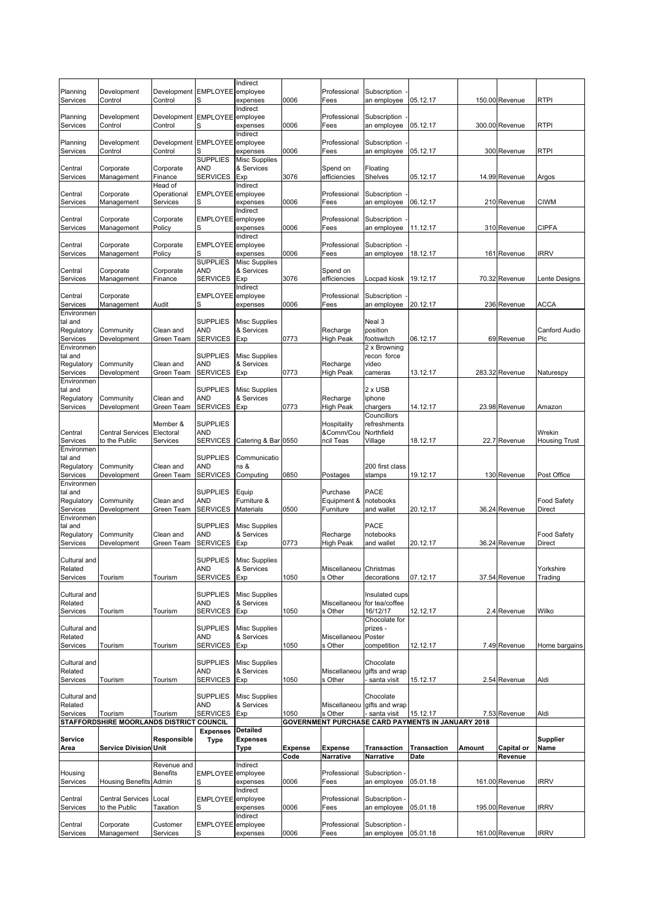| Planning                | Development                                         | Development EMPLOYEE employee            |                        | <b>Indirect</b>                    |                | Professional                 | Subscription                  |                                                               |        |                   |                       |
|-------------------------|-----------------------------------------------------|------------------------------------------|------------------------|------------------------------------|----------------|------------------------------|-------------------------------|---------------------------------------------------------------|--------|-------------------|-----------------------|
| Services                | Control                                             | Control                                  | S                      | expenses<br>Indirect               | 0006           | Fees                         | an employee                   | 05.12.17                                                      |        | 150.00 Revenue    | <b>RTPI</b>           |
| Planning<br>Services    | Development<br>Control                              | Development EMPLOYEE employee<br>Control | S                      | expenses                           | 0006           | Professional<br>Fees         | Subscription<br>an employee   | 05.12.17                                                      |        | 300.00 Revenue    | <b>RTPI</b>           |
| Planning                | Development                                         | Development EMPLOYEE employee            |                        | Indirect                           |                | Professional                 | Subscription                  |                                                               |        |                   |                       |
| Services                | Control                                             | Control                                  | S<br><b>SUPPLIES</b>   | expenses<br><b>Misc Supplies</b>   | 0006           | Fees                         | an employee                   | 05.12.17                                                      |        | 300 Revenue       | <b>RTPI</b>           |
| Central<br>Services     | Corporate<br>Management                             | Corporate<br>Finance                     | AND<br>SERVICES        | & Services<br>Exp                  | 3076           | Spend on<br>efficiencies     | Floating<br><b>Shelves</b>    | 05.12.17                                                      |        | 14.99 Revenue     | Argos                 |
|                         |                                                     | Head of                                  |                        | Indirect                           |                |                              |                               |                                                               |        |                   |                       |
| Central<br>Services     | Corporate<br>Management                             | Operational<br>Services                  | EMPLOYEE employee<br>S | expenses                           | 0006           | Professional<br>Fees         | Subscription<br>an employee   | 06.12.17                                                      |        | 210 Revenue       | <b>CIWM</b>           |
| Central                 | Corporate                                           | Corporate                                | EMPLOYEE employee      | Indirect                           |                | Professional                 | Subscription                  |                                                               |        |                   |                       |
| Services                | Management                                          | Policy                                   |                        | expenses<br>Indirect               | 0006           | Fees                         | an employee                   | 11.12.17                                                      |        | 310 Revenue       | <b>CIPFA</b>          |
| Central<br>Services     | Corporate<br>Management                             | Corporate<br>Policy                      | EMPLOYEE employee      | expenses                           | 0006           | Professional<br>Fees         | Subscription<br>an employee   | 18.12.17                                                      |        | 161 Revenue       | <b>IRRV</b>           |
|                         |                                                     |                                          | <b>SUPPLIES</b>        | <b>Misc Supplies</b>               |                |                              |                               |                                                               |        |                   |                       |
| Central<br>Services     | Corporate<br>Management                             | Corporate<br>Finance                     | AND<br><b>SERVICES</b> | & Services<br>Exp                  | 3076           | Spend on<br>efficiencies     | Locpad kiosk                  | 19.12.17                                                      |        | 70.32 Revenue     | Lente Designs         |
| Central                 | Corporate                                           |                                          | EMPLOYEE employee      | Indirect                           |                | Professional                 | Subscription                  |                                                               |        |                   |                       |
| Services                | Management                                          | Audit                                    |                        | expenses                           | 0006           | Fees                         | an employee                   | 20.12.17                                                      |        | 236 Revenue       | ACCA                  |
| Environmen<br>tal and   |                                                     |                                          | <b>SUPPLIES</b>        | <b>Misc Supplies</b>               |                |                              | Neal 3                        |                                                               |        |                   |                       |
| Regulatory<br>Services  | Community<br>Development                            | Clean and<br>Green Team                  | AND<br><b>SERVICES</b> | & Services<br>Exp                  | 0773           | Recharge<br><b>High Peak</b> | position<br>footswitch        | 06.12.17                                                      |        | 69 Revenue        | Canford Audio<br>Plc  |
| Environmen              |                                                     |                                          |                        |                                    |                |                              | 2 x Browning                  |                                                               |        |                   |                       |
| tal and<br>Regulatory   | Community                                           | Clean and                                | <b>SUPPLIES</b><br>AND | <b>Misc Supplies</b><br>& Services |                | Recharge                     | recon force<br>video          |                                                               |        |                   |                       |
| Services<br>Environmen  | Development                                         | Green Team                               | <b>SERVICES</b>        | Exp                                | 0773           | High Peak                    | cameras                       | 13.12.17                                                      |        | 283.32 Revenue    | Naturespy             |
| tal and                 |                                                     |                                          | <b>SUPPLIES</b>        | Misc Supplies                      |                |                              | 2 x USB                       |                                                               |        |                   |                       |
| Regulatory<br>Services  | Community<br>Development                            | Clean and<br>Green Team                  | AND<br><b>SERVICES</b> | & Services<br>Exp                  | 0773           | Recharge<br>High Peak        | iphone<br>chargers            | 14.12.17                                                      |        | 23.98 Revenue     | Amazon                |
|                         |                                                     |                                          |                        |                                    |                |                              | Councillors                   |                                                               |        |                   |                       |
| Central                 | <b>Central Services</b>                             | Member &<br>Electoral                    | <b>SUPPLIES</b><br>AND |                                    |                | Hospitality<br>&Comm/Cou     | refreshments<br>Northfield    |                                                               |        |                   | Wrekin                |
| Services<br>Environmen  | to the Public                                       | Services                                 | <b>SERVICES</b>        | Catering & Bar 0550                |                | ncil Teas                    | Village                       | 18.12.17                                                      |        | 22.7 Revenue      | <b>Housing Trust</b>  |
| tal and                 |                                                     |                                          | <b>SUPPLIES</b>        | Communicatio                       |                |                              |                               |                                                               |        |                   |                       |
| Regulatory<br>Services  | Community<br>Development                            | Clean and<br>Green Team                  | AND<br><b>SERVICES</b> | ns &<br>Computing                  | 0850           | Postages                     | 200 first class<br>stamps     | 19.12.17                                                      |        | 130 Revenue       | Post Office           |
| Environmen              |                                                     |                                          |                        |                                    |                |                              |                               |                                                               |        |                   |                       |
| tal and<br>Regulatory   | Community                                           | Clean and                                | <b>SUPPLIES</b><br>AND | Equip<br>Furniture &               |                | Purchase<br>Equipment &      | PACE<br>notebooks             |                                                               |        |                   | <b>Food Safety</b>    |
| Services<br>Environmen  | Development                                         | Green Team                               | <b>SERVICES</b>        | <b>Materials</b>                   | 0500           | Furniture                    | and wallet                    | 20.12.17                                                      |        | 36.24 Revenue     | Direct                |
| tal and                 |                                                     |                                          | <b>SUPPLIES</b>        | <b>Misc Supplies</b>               |                |                              | PACE                          |                                                               |        |                   |                       |
| Regulatory<br>Services  | Community<br>Development                            | Clean and<br>Green Team                  | AND<br><b>SERVICES</b> | & Services<br>Exp                  | 0773           | Recharge<br><b>High Peak</b> | notebooks<br>and wallet       | 20.12.17                                                      |        | 36.24 Revenue     | Food Safety<br>Direct |
|                         |                                                     |                                          |                        |                                    |                |                              |                               |                                                               |        |                   |                       |
| Cultural and<br>Related |                                                     |                                          | <b>SUPPLIES</b><br>AND | <b>Misc Supplies</b><br>& Services |                | Miscellaneou                 | Christmas                     |                                                               |        |                   | Yorkshire             |
| Services                | Tourism                                             | Tourism                                  | SERVICES               | Exp                                | 1050           | s Other                      | decorations                   | 07.12.17                                                      |        | 37.54 Revenue     | Trading               |
| Cultural and            |                                                     |                                          | <b>SUPPLIES</b>        | <b>Misc Supplies</b>               |                |                              | Insulated cups                |                                                               |        |                   |                       |
| Related<br>Services     | Tourism                                             | Tourism                                  | AND<br>SERVICES        | & Services<br>Exp                  | 1050           | Miscellaneou<br>s Other      | for tea/coffee<br>16/12/17    | 12.12.17                                                      |        | 2.4 Revenue       | Wilko                 |
|                         |                                                     |                                          |                        |                                    |                |                              | Chocolate for                 |                                                               |        |                   |                       |
| Cultural and<br>Related |                                                     |                                          | SUPPLIES<br>AND        | <b>Misc Supplies</b><br>& Services |                | Miscellaneou                 | prizes -<br>Poster            |                                                               |        |                   |                       |
| Services                | Tourism                                             | Tourism                                  | <b>SERVICES</b>        | Exp                                | 1050           | s Other                      | competition                   | 12.12.17                                                      |        | 7.49 Revenue      | Home bargains         |
| Cultural and            |                                                     |                                          | <b>SUPPLIES</b>        | <b>Misc Supplies</b>               |                |                              | Chocolate                     |                                                               |        |                   |                       |
| Related<br>Services     | Tourism                                             | Tourism                                  | AND<br><b>SERVICES</b> | & Services<br>Exp                  | 1050           | Miscellaneou<br>s Other      | gifts and wrap<br>santa visit | 15.12.17                                                      |        | 2.54 Revenue      | Aldi                  |
| Cultural and            |                                                     |                                          | <b>SUPPLIES</b>        | <b>Misc Supplies</b>               |                |                              | Chocolate                     |                                                               |        |                   |                       |
| Related                 |                                                     |                                          | AND                    | & Services                         |                | Miscellaneou                 | gifts and wrap                |                                                               |        |                   |                       |
| Services                | Tourism<br>STAFFORDSHIRE MOORLANDS DISTRICT COUNCIL | Tourism                                  | SERVICES               | Exp                                | 1050           | s Other                      | santa visit                   | 15.12.17<br>GOVERNMENT PURCHASE CARD PAYMENTS IN JANUARY 2018 |        | 7.53 Revenue      | Aldi                  |
|                         |                                                     |                                          | <b>Expenses</b>        | <b>Detailed</b>                    |                |                              |                               |                                                               |        |                   |                       |
| <b>Service</b><br>Area  | <b>Service Division Unit</b>                        | Responsible                              | <b>Type</b>            | <b>Expenses</b><br>Type            | <b>Expense</b> | <b>Expense</b>               | <b>Transaction</b>            | <b>Transaction</b>                                            | Amount | <b>Capital or</b> | Supplier<br>Name      |
|                         |                                                     | Revenue and                              |                        | Indirect                           | Code           | <b>Narrative</b>             | Narrative                     | Date                                                          |        | Revenue           |                       |
| Housing                 |                                                     | <b>Benefits</b>                          | EMPLOYEE employee      |                                    |                | Professional                 | Subscription                  |                                                               |        |                   |                       |
| Services                | <b>Housing Benefits</b>                             | Admin                                    | S                      | expenses                           | 0006           | Fees                         | an employee                   | 05.01.18                                                      |        | 161.00 Revenue    | <b>IRRV</b>           |
| Central                 |                                                     |                                          |                        |                                    |                |                              |                               |                                                               |        |                   |                       |
|                         | Central Services Local                              |                                          | EMPLOYEE employee      | Indirect                           |                | Professional                 | Subscription                  |                                                               |        |                   |                       |
| Services                | to the Public                                       | Taxation                                 | S                      | expenses<br>Indirect               | 0006           | Fees                         | an employee                   | 05.01.18                                                      |        | 195.00 Revenue    | IRRV                  |
| Central<br>Services     | Corporate<br>Management                             | Customer<br>Services                     | EMPLOYEE employee<br>S | expenses                           | 0006           | Professional<br>Fees         | Subscription<br>an employee   | 05.01.18                                                      |        | 161.00 Revenue    | <b>IRRV</b>           |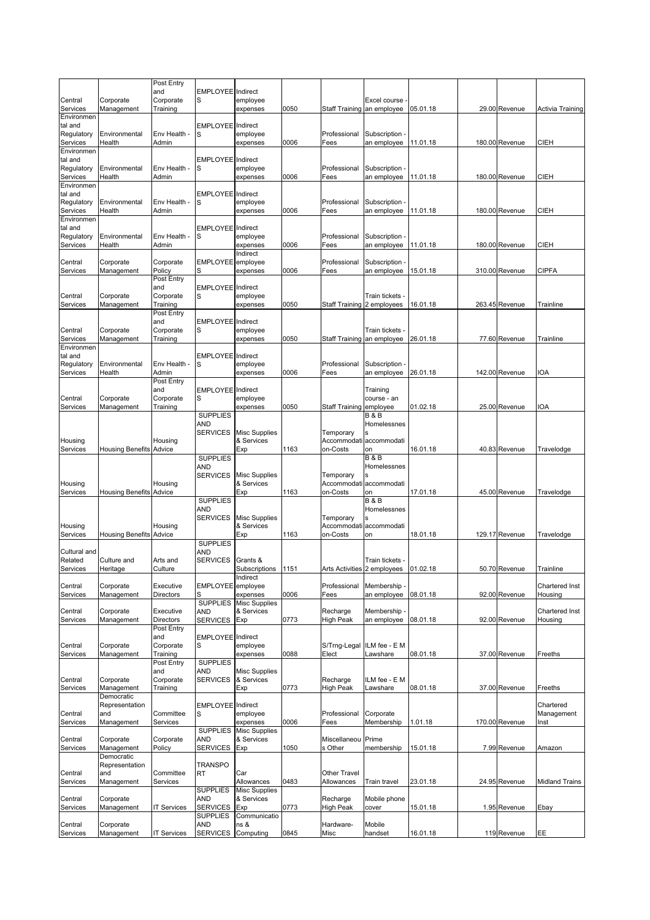|                        |                                | Post Entry             |                               |                                    |      |                              |                                             |          |                |                           |
|------------------------|--------------------------------|------------------------|-------------------------------|------------------------------------|------|------------------------------|---------------------------------------------|----------|----------------|---------------------------|
| Central                | Corporate                      | and<br>Corporate       | <b>EMPLOYEE</b> Indirect<br>S | employee                           |      |                              | Excel course                                |          |                |                           |
| Services               | Management                     | Training               |                               | expenses                           | 0050 |                              | Staff Training an employee                  | 05.01.18 | 29.00 Revenue  | Activia Training          |
| Environmen             |                                |                        |                               |                                    |      |                              |                                             |          |                |                           |
| tal and<br>Regulatory  | Environmental                  | Env Health -           | <b>EMPLOYEE</b> Indirect<br>S | employee                           |      | Professional                 | Subscription                                |          |                |                           |
| Services               | Health                         | Admin                  |                               | expenses                           | 0006 | Fees                         | an employee                                 | 11.01.18 | 180.00 Revenue | CIEH                      |
| Environmen             |                                |                        |                               |                                    |      |                              |                                             |          |                |                           |
| tal and                |                                |                        | <b>EMPLOYEE</b> Indirect      |                                    |      |                              |                                             |          |                |                           |
| Regulatory<br>Services | Environmental<br>Health        | Env Health -<br>Admin  | S                             | employee<br>expenses               | 0006 | Professional<br>Fees         | Subscription<br>an employee                 | 11.01.18 | 180.00 Revenue | CIEH                      |
| Environmen             |                                |                        |                               |                                    |      |                              |                                             |          |                |                           |
| tal and                |                                |                        | <b>EMPLOYEE</b> Indirect      |                                    |      |                              |                                             |          |                |                           |
| Regulatory             | Environmental                  | Env Health -           | S                             | employee                           |      | Professional                 | Subscription -                              |          |                |                           |
| Services<br>Environmen | Health                         | Admin                  |                               | expenses                           | 0006 | Fees                         | an employee                                 | 11.01.18 | 180.00 Revenue | CIEH                      |
| tal and                |                                |                        | <b>EMPLOYEE</b> Indirect      |                                    |      |                              |                                             |          |                |                           |
| Regulatory             | Environmental                  | Env Health -           | S                             | employee                           |      | Professional                 | Subscription                                |          |                |                           |
| Services               | Health                         | Admin                  |                               | expenses                           | 0006 | Fees                         | an employee                                 | 11.01.18 | 180.00 Revenue | <b>CIEH</b>               |
| Central                | Corporate                      | Corporate              | EMPLOYEE employee             | Indirect                           |      | Professional                 | Subscription                                |          |                |                           |
| Services               | Management                     | Policy                 | S                             | expenses                           | 0006 | Fees                         | an employee                                 | 15.01.18 | 310.00 Revenue | <b>CIPFA</b>              |
|                        |                                | Post Entry             |                               |                                    |      |                              |                                             |          |                |                           |
|                        |                                | and                    | <b>EMPLOYEE</b> Indirect      |                                    |      |                              |                                             |          |                |                           |
| Central<br>Services    | Corporate<br>Management        | Corporate<br>Training  | S                             | employee<br>expenses               | 0050 |                              | Train tickets<br>Staff Training 2 employees | 16.01.18 | 263.45 Revenue | Trainline                 |
|                        |                                | Post Entry             |                               |                                    |      |                              |                                             |          |                |                           |
|                        |                                | and                    | <b>EMPLOYEE</b> Indirect      |                                    |      |                              |                                             |          |                |                           |
| Central<br>Services    | Corporate<br>Management        | Corporate              | S                             | employee                           | 0050 |                              | Train tickets<br>Staff Training an employee | 26.01.18 | 77.60 Revenue  | Trainline                 |
| Environmen             |                                | Training               |                               | expenses                           |      |                              |                                             |          |                |                           |
| tal and                |                                |                        | <b>EMPLOYEE</b> Indirect      |                                    |      |                              |                                             |          |                |                           |
| Regulatory             | Environmental                  | Env Health -           | S                             | employee                           |      | Professional                 | Subscription                                |          |                |                           |
| Services               | Health                         | Admin<br>Post Entry    |                               | expenses                           | 0006 | Fees                         | an employee                                 | 26.01.18 | 142.00 Revenue | IOA                       |
|                        |                                | and                    | <b>EMPLOYEE</b> Indirect      |                                    |      |                              | Training                                    |          |                |                           |
| Central                | Corporate                      | Corporate              | S                             | employee                           |      |                              | course - an                                 |          |                |                           |
| Services               | Management                     | Training               |                               | expenses                           | 0050 | Staff Training               | employee                                    | 01.02.18 | 25.00 Revenue  | IOA                       |
|                        |                                |                        | <b>SUPPLIES</b><br>AND        |                                    |      |                              | B & B<br>Homelessnes                        |          |                |                           |
|                        |                                |                        | <b>SERVICES</b>               | <b>Misc Supplies</b>               |      | Temporary                    | ś                                           |          |                |                           |
| Housing                |                                | Housing                |                               | & Services                         |      |                              | Accommodati accommodati                     |          |                |                           |
| Services               | <b>Housing Benefits Advice</b> |                        |                               | Exp                                | 1163 | on-Costs                     | on                                          | 16.01.18 | 40.83 Revenue  | Travelodge                |
|                        |                                |                        | <b>SUPPLIES</b><br>AND        |                                    |      |                              | <b>B&amp;B</b><br>Homelessnes               |          |                |                           |
|                        |                                |                        | <b>SERVICES</b>               | <b>Misc Supplies</b>               |      | Temporary                    |                                             |          |                |                           |
| Housing                |                                | Housing                |                               | & Services                         |      |                              | Accommodati accommodati                     |          |                |                           |
| Services               | <b>Housing Benefits Advice</b> |                        |                               | Exp                                | 1163 | on-Costs                     | on<br><b>B&amp;B</b>                        | 17.01.18 | 45.00 Revenue  | Travelodge                |
|                        |                                |                        | <b>SUPPLIES</b><br>AND        |                                    |      |                              | Homelessnes                                 |          |                |                           |
|                        |                                |                        | <b>SERVICES</b>               | <b>Misc Supplies</b>               |      | Temporary                    |                                             |          |                |                           |
| Housing                |                                | Housing                |                               | & Services                         |      |                              | Accommodati accommodati                     |          |                |                           |
| Services               | <b>Housing Benefits Advice</b> |                        | <b>SUPPLIES</b>               | Exp                                | 1163 | on-Costs                     | on                                          | 18.01.18 | 129.17 Revenue | Travelodge                |
| Cultural and           |                                |                        | AND                           |                                    |      |                              |                                             |          |                |                           |
| Related                | Culture and                    | Arts and               | <b>SERVICES</b>               | Grants &                           |      |                              | Train tickets -                             |          |                |                           |
| Services               | Heritage                       | Culture                |                               | Subscriptions                      | 1151 |                              | Arts Activities 2 employees 01.02.18        |          | 50.70 Revenue  | Trainline                 |
| Central                | Corporate                      | Executive              | EMPLOYEE employee             | Indirect                           |      | Professional                 | Membership -                                |          |                | Chartered Inst            |
| Services               | Management                     | <b>Directors</b>       | S                             | expenses                           | 0006 | Fees                         | an employee                                 | 08.01.18 | 92.00 Revenue  | Housina                   |
|                        |                                |                        | <b>SUPPLIES</b>               | <b>Misc Supplies</b>               |      |                              |                                             |          |                |                           |
| Central<br>Services    | Corporate<br>Management        | Executive<br>Directors | AND<br>SERVICES Exp           | & Services                         | 0773 | Recharge<br><b>High Peak</b> | Membership-<br>an employee                  | 08.01.18 | 92.00 Revenue  | Chartered Inst<br>Housing |
|                        |                                | Post Entry             |                               |                                    |      |                              |                                             |          |                |                           |
|                        |                                | and                    | <b>EMPLOYEE</b> Indirect      |                                    |      |                              |                                             |          |                |                           |
| Central                | Corporate                      | Corporate              | S                             | employee                           |      | S/Trng-Legal                 | ILM fee - E M                               | 08.01.18 |                |                           |
| Services               | Management                     | Training<br>Post Entry | <b>SUPPLIES</b>               | expenses                           | 0088 | Elect                        | Lawshare                                    |          | 37.00 Revenue  | Freeths                   |
|                        |                                | and                    | AND                           | <b>Misc Supplies</b>               |      |                              |                                             |          |                |                           |
| Central                | Corporate                      | Corporate              | <b>SERVICES</b>               | & Services                         |      | Recharge                     | ILM fee - E M                               |          |                |                           |
| Services               | Management<br>Democratic       | Training               |                               | Exp                                | 0773 | <b>High Peak</b>             | Lawshare                                    | 08.01.18 | 37.00 Revenue  | Freeths                   |
|                        | Representation                 |                        | <b>EMPLOYEE</b> Indirect      |                                    |      |                              |                                             |          |                | Chartered                 |
| Central                | and                            | Committee              | S                             | employee                           |      | Professional                 | Corporate                                   |          |                | Management                |
| Services               | Management                     | Services               |                               | expenses                           | 0006 | Fees                         | Membership                                  | 1.01.18  | 170.00 Revenue | Inst                      |
| Central                | Corporate                      | Corporate              | <b>SUPPLIES</b><br>AND        | <b>Misc Supplies</b><br>& Services |      | Miscellaneou                 | Prime                                       |          |                |                           |
| Services               | Management                     | Policy                 | <b>SERVICES</b>               | Exp                                | 1050 | s Other                      | membership                                  | 15.01.18 | 7.99 Revenue   | Amazon                    |
|                        | Democratic                     |                        |                               |                                    |      |                              |                                             |          |                |                           |
|                        | Representation                 |                        | <b>TRANSPO</b>                |                                    |      |                              |                                             |          |                |                           |
| Central<br>Services    | and<br>Management              | Committee<br>Services  | RT                            | Car<br>Allowances                  | 0483 | Other Travel<br>Allowances   | Train travel                                | 23.01.18 | 24.95 Revenue  | <b>Midland Trains</b>     |
|                        |                                |                        | <b>SUPPLIES</b>               | <b>Misc Supplies</b>               |      |                              |                                             |          |                |                           |
| Central                | Corporate                      |                        | AND                           | & Services                         |      | Recharge                     | Mobile phone                                |          |                |                           |
| Services               | Management                     | <b>IT Services</b>     | <b>SERVICES</b>               | Exp                                | 0773 | High Peak                    | cover                                       | 15.01.18 | 1.95 Revenue   | Ebay                      |
| Central                | Corporate                      |                        | <b>SUPPLIES</b><br>AND        | Communicatio<br>ns &               |      | Hardware-                    | Mobile                                      |          |                |                           |
| Services               | Management                     | <b>IT Services</b>     | <b>SERVICES</b>               | Computing                          | 0845 | Misc                         | handset                                     | 16.01.18 | 119 Revenue    | EE.                       |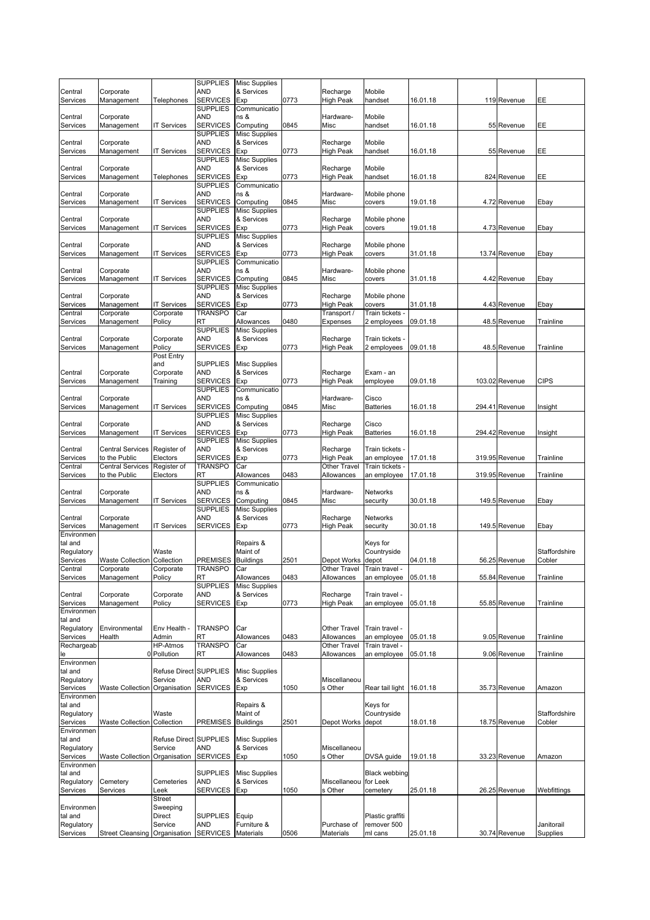|                        |                                    |                      | <b>SUPPLIES</b>                    | <b>Misc Supplies</b>               |      |                              |                           |          |                |               |
|------------------------|------------------------------------|----------------------|------------------------------------|------------------------------------|------|------------------------------|---------------------------|----------|----------------|---------------|
| Central                | Corporate                          |                      | AND                                | & Services                         |      | Recharge                     | Mobile                    |          |                |               |
| Services               | Management                         | Telephones           | <b>SERVICES</b>                    | Exp                                | 0773 | <b>High Peak</b>             | handset                   | 16.01.18 | 119 Revenue    | EE            |
|                        |                                    |                      | <b>SUPPLIES</b>                    | Communicatio                       |      |                              |                           |          |                |               |
| Central<br>Services    | Corporate<br>Management            | <b>IT Services</b>   | AND<br><b>SERVICES</b>             | ns &<br>Computing                  | 0845 | Hardware-<br>Misc            | Mobile<br>handset         | 16.01.18 | 55 Revenue     | EE            |
|                        |                                    |                      | <b>SUPPLIES</b>                    | <b>Misc Supplies</b>               |      |                              |                           |          |                |               |
| Central                | Corporate                          |                      | AND                                | & Services                         |      | Recharge                     | Mobile                    |          |                |               |
| Services               | Management                         | <b>IT Services</b>   | <b>SERVICES</b>                    | Exp                                | 0773 | High Peak                    | handset                   | 16.01.18 | 55 Revenue     | EE            |
|                        |                                    |                      | <b>SUPPLIES</b>                    | <b>Misc Supplies</b>               |      |                              |                           |          |                |               |
| Central                | Corporate                          |                      | AND                                | & Services                         |      | Recharge                     | Mobile                    |          |                |               |
| Services               | Management                         | Telephones           | <b>SERVICES</b>                    | Exp                                | 0773 | High Peak                    | handset                   | 16.01.18 | 824 Revenue    | EE            |
|                        |                                    |                      | <b>SUPPLIES</b>                    | Communicatio                       |      |                              |                           |          |                |               |
| Central                | Corporate                          |                      | AND<br><b>SERVICES</b>             | ns &<br>Computing                  | 0845 | Hardware-<br>Misc            | Mobile phone              |          |                |               |
| Services               | Management                         | <b>IT Services</b>   | <b>SUPPLIES</b>                    | <b>Misc Supplies</b>               |      |                              | covers                    | 19.01.18 | 4.72 Revenue   | Ebay          |
| Central                | Corporate                          |                      | AND                                | & Services                         |      | Recharge                     | Mobile phone              |          |                |               |
| Services               | Management                         | <b>IT Services</b>   | <b>SERVICES</b>                    | Exp                                | 0773 | <b>High Peak</b>             | covers                    | 19.01.18 | 4.73 Revenue   | Ebay          |
|                        |                                    |                      | <b>SUPPLIES</b>                    | <b>Misc Supplies</b>               |      |                              |                           |          |                |               |
| Central                | Corporate                          |                      | AND                                | & Services                         |      | Recharge                     | Mobile phone              |          |                |               |
| Services               | Management                         | <b>IT Services</b>   | <b>SERVICES</b>                    | Exp                                | 0773 | <b>High Peak</b>             | covers                    | 31.01.18 | 13.74 Revenue  | Ebay          |
|                        |                                    |                      | <b>SUPPLIES</b>                    | Communicatio                       |      |                              |                           |          |                |               |
| Central                | Corporate                          |                      | AND                                | ns &                               |      | Hardware-                    | Mobile phone              |          |                |               |
| Services               | Management                         | <b>IT Services</b>   | <b>SERVICES</b>                    | Computing                          | 0845 | Misc                         | covers                    | 31.01.18 | 4.42 Revenue   | Ebay          |
|                        |                                    |                      | <b>SUPPLIES</b>                    | <b>Misc Supplies</b><br>& Services |      |                              |                           |          |                |               |
| Central<br>Services    | Corporate<br>Management            | <b>IT Services</b>   | AND<br><b>SERVICES</b>             | Exp                                | 0773 | Recharge<br><b>High Peak</b> | Mobile phone<br>covers    | 31.01.18 | 4.43 Revenue   | Ebay          |
| Central                | Corporate                          | Corporate            | TRANSPO                            | Car                                |      | Transport /                  | Train tickets             |          |                |               |
| Services               | Management                         | Policy               | RT                                 | Allowances                         | 0480 | Expenses                     | 2 employees               | 09.01.18 | 48.5 Revenue   | Trainline     |
|                        |                                    |                      | <b>SUPPLIES</b>                    | <b>Misc Supplies</b>               |      |                              |                           |          |                |               |
| Central                | Corporate                          | Corporate            | AND                                | & Services                         |      | Recharge                     | Train tickets             |          |                |               |
| Services               | Management                         | Policy               | <b>SERVICES</b>                    | Exp                                | 0773 | High Peak                    | 2 employees               | 09.01.18 | 48.5 Revenue   | Trainline     |
|                        |                                    | Post Entry           |                                    |                                    |      |                              |                           |          |                |               |
|                        |                                    | and                  | <b>SUPPLIES</b>                    | <b>Misc Supplies</b>               |      |                              |                           |          |                |               |
| Central                | Corporate                          | Corporate            | AND                                | & Services                         |      | Recharge                     | Exam - an                 |          |                |               |
| Services               | Management                         | Training             | <b>SERVICES</b>                    | Exp                                | 0773 | <b>High Peak</b>             | employee                  | 09.01.18 | 103.02 Revenue | <b>CIPS</b>   |
|                        |                                    |                      | <b>SUPPLIES</b>                    | Communicatio                       |      |                              |                           |          |                |               |
| Central                | Corporate                          |                      | AND                                | ns &                               | 0845 | Hardware-                    | Cisco<br><b>Batteries</b> |          |                |               |
| Services               | Management                         | <b>IT Services</b>   | <b>SERVICES</b><br><b>SUPPLIES</b> | Computing<br><b>Misc Supplies</b>  |      | Misc                         |                           | 16.01.18 | 294.41 Revenue | Insight       |
| Central                | Corporate                          |                      | AND                                | & Services                         |      | Recharge                     | Cisco                     |          |                |               |
| Services               | Management                         | <b>IT Services</b>   | <b>SERVICES</b>                    | Exp                                | 0773 | High Peak                    | <b>Batteries</b>          | 16.01.18 | 294.42 Revenue | Insight       |
|                        |                                    |                      | <b>SUPPLIES</b>                    | <b>Misc Supplies</b>               |      |                              |                           |          |                |               |
| Central                | <b>Central Services</b>            | Register of          | AND                                | & Services                         |      | Recharge                     | Train tickets -           |          |                |               |
| Services               | to the Public                      | Electors             | <b>SERVICES</b>                    | Exp                                | 0773 | <b>High Peak</b>             | an employee               | 17.01.18 | 319.95 Revenue | Trainline     |
| Central                | <b>Central Services</b>            | Register of          | <b>TRANSPO</b>                     | Car                                |      | Other Travel                 | <b>Train tickets</b>      |          |                |               |
| Services               | to the Public                      | Electors             | RT                                 | Allowances                         | 0483 | Allowances                   | an employee               | 17.01.18 | 319.95 Revenue | Trainline     |
|                        |                                    |                      | <b>SUPPLIES</b>                    | Communicatio                       |      |                              |                           |          |                |               |
| Central                | Corporate                          |                      | AND                                | ns &                               |      | Hardware-                    | Networks                  |          |                |               |
| Services               | Management                         | <b>IT Services</b>   | <b>SERVICES</b><br><b>SUPPLIES</b> | Computing<br><b>Misc Supplies</b>  | 0845 | Misc                         | security                  | 30.01.18 | 149.5 Revenue  | Ebay          |
| Central                | Corporate                          |                      | AND                                | & Services                         |      | Recharge                     | Networks                  |          |                |               |
| Services               | Management                         | <b>IT Services</b>   | <b>SERVICES</b>                    | Exp                                | 0773 | <b>High Peak</b>             | security                  | 30.01.18 | 149.5 Revenue  | Ebay          |
| Environmen             |                                    |                      |                                    |                                    |      |                              |                           |          |                |               |
| tal and                |                                    |                      |                                    | Repairs &                          |      |                              | Keys for                  |          |                |               |
| Regulatory             |                                    | Waste                |                                    | Maint of                           |      |                              | Countryside               |          |                | Staffordshire |
| Services               | <b>Waste Collection Collection</b> |                      | <b>PREMISES</b>                    | <b>Buildings</b>                   | 2501 | Depot Works                  | depot                     | 04.01.18 | 56.25 Revenue  | Cobler        |
| Central                | ⊖orporate                          | ∪orporate            | <b>IRANSPO</b>                     | Car                                |      | Other Travel                 | Train travel-             |          |                |               |
| Services               | Management                         | Policy               | <b>RT</b>                          | Allowances                         | 0483 | Allowances                   | an employee               | 05.01.18 | 55.84 Revenue  | Trainline     |
|                        |                                    |                      | <b>SUPPLIES</b>                    | <b>Misc Supplies</b>               |      |                              |                           |          |                |               |
| Central                | Corporate                          | Corporate            | AND                                | & Services                         |      | Recharge                     | Train travel -            |          |                |               |
| Services<br>Environmen | Management                         | Policy               | <b>SERVICES</b>                    | Exp                                | 0773 | <b>High Peak</b>             | an employee               | 05.01.18 | 55.85 Revenue  | Trainline     |
| tal and                |                                    |                      |                                    |                                    |      |                              |                           |          |                |               |
| Regulatory             | Environmental                      | Env Health -         | <b>TRANSPO</b>                     | Car                                |      | Other Travel                 | Train travel -            |          |                |               |
| Services               | Health                             | Admin                | RT                                 | Allowances                         | 0483 | Allowances                   | an employee               | 05.01.18 | 9.05 Revenue   | Trainline     |
| Rechargeab             |                                    | <b>HP-Atmos</b>      | <b>TRANSPO</b>                     | Car                                |      | Other Travel                 | Train travel -            |          |                |               |
|                        |                                    | 0 Pollution          | RT                                 | Allowances                         | 0483 | Allowances                   | an employee               | 05.01.18 | 9.06 Revenue   | Trainline     |
| Environmen             |                                    |                      |                                    |                                    |      |                              |                           |          |                |               |
| tal and                |                                    | <b>Refuse Direct</b> | <b>SUPPLIES</b>                    | <b>Misc Supplies</b>               |      |                              |                           |          |                |               |
| Regulatory             |                                    | Service              | and                                | & Services                         |      | Miscellaneou                 |                           |          |                |               |
| Services               | <b>Waste Collection</b>            | Organisation         | <b>SERVICES</b>                    | Exp                                | 1050 | s Other                      | Rear tail light           | 16.01.18 | 35.73 Revenue  | Amazon        |
| Environmen<br>tal and  |                                    |                      |                                    | Repairs &                          |      |                              | Keys for                  |          |                |               |
| Regulatory             |                                    | Waste                |                                    | Maint of                           |      |                              | Countryside               |          |                | Staffordshire |
| Services               | <b>Waste Collection</b>            | Collection           | PREMISES                           | <b>Buildings</b>                   | 2501 | Depot Works                  | depot                     | 18.01.18 | 18.75 Revenue  | Cobler        |
| Environmen             |                                    |                      |                                    |                                    |      |                              |                           |          |                |               |
| tal and                |                                    | <b>Refuse Direct</b> | <b>SUPPLIES</b>                    | <b>Misc Supplies</b>               |      |                              |                           |          |                |               |
| Regulatory             |                                    | Service              | and                                | & Services                         |      | Miscellaneou                 |                           |          |                |               |
| Services               | <b>Waste Collection</b>            | Organisation         | <b>SERVICES</b>                    | Exp                                | 1050 | s Other                      | DVSA guide                | 19.01.18 | 33.23 Revenue  | Amazon        |
| Environmen             |                                    |                      |                                    |                                    |      |                              |                           |          |                |               |
| tal and                |                                    |                      | <b>SUPPLIES</b>                    | <b>Misc Supplies</b>               |      |                              | <b>Black webbing</b>      |          |                |               |
| Regulatory             | Cemetery                           | Cemeteries           | AND                                | & Services                         |      | Miscellaneou                 | for Leek                  |          |                |               |
| Services               | Services                           | Leek                 | SERVICES                           | Exp                                | 1050 | s Other                      | cemetery                  | 25.01.18 | 26.25 Revenue  | Webfittings   |
| Environmen             |                                    | Street<br>Sweeping   |                                    |                                    |      |                              |                           |          |                |               |
| tal and                |                                    | Direct               | <b>SUPPLIES</b>                    | Equip                              |      |                              | Plastic graffiti          |          |                |               |
| Regulatory             |                                    | Service              | AND                                | Furniture &                        |      | Purchase of                  | remover 500               |          |                | Janitorail    |
| Services               | <b>Street Cleansing</b>            | Organisation         | <b>SERVICES</b>                    | Materials                          | 0506 | Materials                    | ml cans                   | 25.01.18 | 30.74 Revenue  | Supplies      |
|                        |                                    |                      |                                    |                                    |      |                              |                           |          |                |               |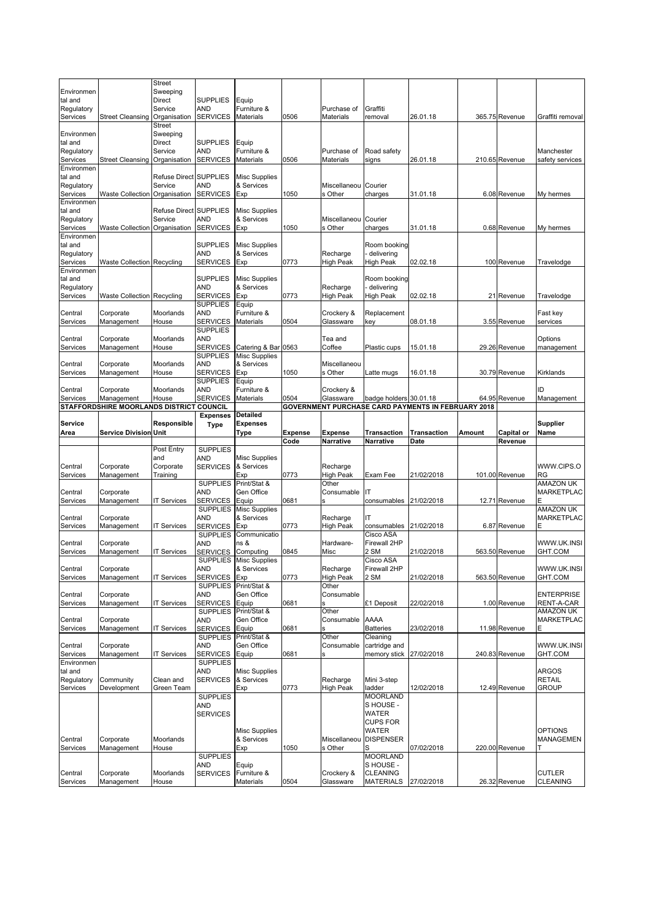|                        |                                          | Street                 |                                    |                                    |         |                         |                                         |                                                    |        |                |                                  |
|------------------------|------------------------------------------|------------------------|------------------------------------|------------------------------------|---------|-------------------------|-----------------------------------------|----------------------------------------------------|--------|----------------|----------------------------------|
| Environmen             |                                          | Sweeping               |                                    |                                    |         |                         |                                         |                                                    |        |                |                                  |
| tal and                |                                          | Direct                 | <b>SUPPLIES</b>                    | Equip                              |         |                         |                                         |                                                    |        |                |                                  |
| Regulatory             |                                          | Service                | <b>AND</b>                         | Furniture &                        |         | Purchase of             | Graffiti                                |                                                    |        |                |                                  |
| Services               | <b>Street Cleansing</b>                  | Organisation           | <b>SERVICES</b>                    | <b>Materials</b>                   | 0506    | Materials               | removal                                 | 26.01.18                                           |        | 365.75 Revenue | Graffiti removal                 |
| Environmen             |                                          | Street<br>Sweeping     |                                    |                                    |         |                         |                                         |                                                    |        |                |                                  |
| tal and                |                                          | Direct                 | <b>SUPPLIES</b>                    | Equip                              |         |                         |                                         |                                                    |        |                |                                  |
| Regulatory             |                                          | Service                | AND                                | Furniture &                        |         | Purchase of             | Road safety                             |                                                    |        |                | Manchester                       |
| Services               | <b>Street Cleansing</b>                  | Organisation           | <b>SERVICES</b>                    | Materials                          | 0506    | Materials               | signs                                   | 26.01.18                                           |        | 210.65 Revenue | safety services                  |
| Environmen             |                                          |                        |                                    |                                    |         |                         |                                         |                                                    |        |                |                                  |
| tal and                |                                          | Refuse Direct SUPPLIES |                                    | <b>Misc Supplies</b>               |         |                         |                                         |                                                    |        |                |                                  |
| Regulatory             |                                          | Service                | AND                                | & Services                         |         | Miscellaneou            | Courier                                 |                                                    |        |                |                                  |
| Services<br>Environmen | Waste Collection Organisation            |                        | <b>SERVICES</b>                    | Exp                                | 1050    | s Other                 | charges                                 | 31.01.18                                           |        | 6.08 Revenue   | My hermes                        |
| tal and                |                                          | Refuse Direct SUPPLIES |                                    | <b>Misc Supplies</b>               |         |                         |                                         |                                                    |        |                |                                  |
| Regulatory             |                                          | Service                | AND                                | & Services                         |         | Miscellaneou            | Courier                                 |                                                    |        |                |                                  |
| Services               | <b>Waste Collection</b>                  | Organisation           | <b>SERVICES</b>                    | Exp                                | 1050    | s Other                 | charges                                 | 31.01.18                                           |        | 0.68 Revenue   | My hermes                        |
| Environmen             |                                          |                        |                                    |                                    |         |                         |                                         |                                                    |        |                |                                  |
| tal and                |                                          |                        | <b>SUPPLIES</b>                    | <b>Misc Supplies</b>               |         |                         | Room booking                            |                                                    |        |                |                                  |
| Regulatory             |                                          |                        | <b>AND</b>                         | & Services                         |         | Recharge                | delivering                              |                                                    |        |                |                                  |
| Services               | <b>Waste Collection Recycling</b>        |                        | <b>SERVICES</b>                    | Exp                                | 0773    | High Peak               | <b>High Peak</b>                        | 02.02.18                                           |        | 100 Revenue    | Travelodge                       |
| Environmen             |                                          |                        |                                    |                                    |         |                         |                                         |                                                    |        |                |                                  |
| tal and<br>Regulatory  |                                          |                        | <b>SUPPLIES</b><br><b>AND</b>      | <b>Misc Supplies</b><br>& Services |         | Recharge                | Room booking<br>delivering              |                                                    |        |                |                                  |
| Services               | <b>Waste Collection Recycling</b>        |                        | <b>SERVICES</b>                    | Exp                                | 0773    | High Peak               | High Peak                               | 02.02.18                                           |        | 21 Revenue     | Travelodge                       |
|                        |                                          |                        | <b>SUPPLIES</b>                    | Equip                              |         |                         |                                         |                                                    |        |                |                                  |
| Central                | Corporate                                | Moorlands              | AND                                | Furniture &                        |         | Crockery &              | Replacement                             |                                                    |        |                | Fast key                         |
| Services               | Management                               | House                  | <b>SERVICES</b>                    | Materials                          | 0504    | Glassware               | key                                     | 08.01.18                                           |        | 3.55 Revenue   | services                         |
|                        |                                          |                        | <b>SUPPLIES</b>                    |                                    |         |                         |                                         |                                                    |        |                |                                  |
| Central                | Corporate                                | Moorlands              | <b>AND</b>                         |                                    |         | Tea and                 |                                         |                                                    |        |                | Options                          |
| Services               | Management                               | House                  | <b>SERVICES</b>                    | Catering & Bar 0563                |         | Coffee                  | Plastic cups                            | 15.01.18                                           |        | 29.26 Revenue  | management                       |
| Central                |                                          | Moorlands              | <b>SUPPLIES</b><br><b>AND</b>      | <b>Misc Supplies</b><br>& Services |         | Miscellaneou            |                                         |                                                    |        |                |                                  |
| Services               | Corporate<br>Management                  | House                  | <b>SERVICES</b>                    | Exp                                | 1050    | s Other                 | Latte mugs                              | 16.01.18                                           |        | 30.79 Revenue  | Kirklands                        |
|                        |                                          |                        | <b>SUPPLIES</b>                    | Equip                              |         |                         |                                         |                                                    |        |                |                                  |
| Central                | Corporate                                | Moorlands              | <b>AND</b>                         | Furniture &                        |         | Crockery &              |                                         |                                                    |        |                | ID                               |
| Services               | Management                               | House                  | <b>SERVICES</b>                    | Materials                          | 0504    | Glassware               | badge holders 30.01.18                  |                                                    |        | 64.95 Revenue  | Management                       |
|                        | STAFFORDSHIRE MOORLANDS DISTRICT COUNCIL |                        |                                    |                                    |         |                         |                                         | GOVERNMENT PURCHASE CARD PAYMENTS IN FEBRUARY 2018 |        |                |                                  |
|                        |                                          |                        | <b>Expenses</b>                    | Detailed                           |         |                         |                                         |                                                    |        |                |                                  |
| <b>Service</b>         |                                          | Responsible            | Type                               | <b>Expenses</b>                    |         |                         |                                         |                                                    |        |                | <b>Supplier</b>                  |
|                        |                                          |                        |                                    |                                    |         |                         |                                         |                                                    |        |                |                                  |
| Area                   | <b>Service Division Unit</b>             |                        |                                    | Type                               | Expense | Expense                 | Transaction                             | <b>Transaction</b>                                 | Amount | Capital or     | Name                             |
|                        |                                          | Post Entry             | <b>SUPPLIES</b>                    |                                    | Code    | Narrative               | Narrative                               | Date                                               |        | Revenue        |                                  |
|                        |                                          | and                    | AND                                | <b>Misc Supplies</b>               |         |                         |                                         |                                                    |        |                |                                  |
| Central                | Corporate                                | Corporate              | <b>SERVICES</b>                    | & Services                         |         | Recharge                |                                         |                                                    |        |                | WWW.CIPS.O                       |
| Services               | Management                               | Training               |                                    | Exp                                | 0773    | High Peak               | Exam Fee                                | 21/02/2018                                         |        | 101.00 Revenue | RG                               |
|                        |                                          |                        | <b>SUPPLIES</b>                    | Print/Stat &                       |         | Other                   |                                         |                                                    |        |                | <b>AMAZON UK</b>                 |
| Central                | Corporate                                |                        | <b>AND</b>                         | Gen Office                         |         | Consumable              | IT                                      |                                                    |        |                | <b>MARKETPLAC</b>                |
| Services               | Management                               | IT Services            | SERVICES                           | Equip                              | 0681    |                         | consumables                             | 21/02/2018                                         |        | 12.71 Revenue  |                                  |
|                        |                                          |                        | <b>SUPPLIES</b>                    | <b>Misc Supplies</b>               |         |                         | ΙT                                      |                                                    |        |                | <b>AMAZON UK</b>                 |
| Central<br>Services    | Corporate<br>Management                  | <b>IT Services</b>     | AND<br><b>SERVICES</b>             | & Services<br>Exp                  | 0773    | Recharge<br>High Peak   | consumables                             | 21/02/2018                                         |        | 6.87 Revenue   | <b>MARKETPLAC</b><br>E           |
|                        |                                          |                        | <b>SUPPLIES</b>                    | Communicatio                       |         |                         | Cisco ASA                               |                                                    |        |                |                                  |
| Central                | Corporate                                |                        | AND                                | ns &                               |         | Hardware-               | Firewall 2HP                            |                                                    |        |                | WWW.UK.INSI                      |
| Services               | Management                               | <b>IT Services</b>     | SERVICES                           | Computing                          | 0845    | Misc                    | 2 SM                                    | 21/02/2018                                         |        | 563.50 Revenue | GHT.COM                          |
|                        |                                          |                        | <b>SUPPLIES</b>                    | <b>Misc Supplies</b>               |         |                         | Cisco ASA                               |                                                    |        |                |                                  |
| Central                | ∪orporate                                |                        | AND                                | & Services                         |         | Recharge                | Firewall 2HP                            |                                                    |        |                | WWW.UK.INSI                      |
| Services               | Management                               | <b>IT Services</b>     | <b>SERVICES</b>                    | Exp                                | 0773    | <b>High Peak</b>        | 2 SM                                    | 21/02/2018                                         |        | 563.50 Revenue | GHT.COM                          |
| Central                | Corporate                                |                        | <b>SUPPLIES</b><br><b>AND</b>      | Print/Stat &<br>Gen Office         |         | Other<br>Consumable     |                                         |                                                    |        |                | <b>ENTERPRISE</b>                |
| Services               | Management                               | <b>IT Services</b>     | <b>SERVICES</b>                    | Equip                              | 0681    |                         | £1 Deposit                              | 22/02/2018                                         |        | 1.00 Revenue   | RENT-A-CAR                       |
|                        |                                          |                        | <b>SUPPLIES</b>                    | Print/Stat &                       |         | Other                   |                                         |                                                    |        |                | <b>AMAZON UK</b>                 |
| Central                | Corporate                                |                        | <b>AND</b>                         | Gen Office                         |         | Consumable              | <b>AAAA</b>                             |                                                    |        |                | <b>MARKETPLAC</b>                |
| Services               | Management                               | <b>IT Services</b>     | <b>SERVICES</b>                    | Equip                              | 0681    |                         | <b>Batteries</b>                        | 23/02/2018                                         |        | 11.98 Revenue  |                                  |
|                        |                                          |                        | <b>SUPPLIES</b>                    | Print/Stat &                       |         | Other                   | Cleaning                                |                                                    |        |                |                                  |
| Central                | Corporate                                |                        | AND                                | Gen Office                         |         | Consumable              | cartridge and                           |                                                    |        |                | WWW.UK.INSI                      |
| Services<br>Environmen | Management                               | <b>IT Services</b>     | <b>SERVICES</b><br><b>SUPPLIES</b> | Equip                              | 0681    |                         | memory stick                            | 27/02/2018                                         |        | 240.83 Revenue | GHT.COM                          |
| tal and                |                                          |                        | AND                                | <b>Misc Supplies</b>               |         |                         |                                         |                                                    |        |                | <b>ARGOS</b>                     |
| Regulatory             | Community                                | Clean and              | <b>SERVICES</b>                    | & Services                         |         | Recharge                | Mini 3-step                             |                                                    |        |                | <b>RETAIL</b>                    |
| Services               | Development                              | Green Team             |                                    | Exp                                | 0773    | <b>High Peak</b>        | ladder                                  | 12/02/2018                                         |        | 12.49 Revenue  | <b>GROUP</b>                     |
|                        |                                          |                        | <b>SUPPLIES</b>                    |                                    |         |                         | <b>MOORLAND</b>                         |                                                    |        |                |                                  |
|                        |                                          |                        | AND                                |                                    |         |                         | S HOUSE -                               |                                                    |        |                |                                  |
|                        |                                          |                        | <b>SERVICES</b>                    |                                    |         |                         | WATER                                   |                                                    |        |                |                                  |
|                        |                                          |                        |                                    | <b>Misc Supplies</b>               |         |                         | <b>CUPS FOR</b><br><b>WATER</b>         |                                                    |        |                | <b>OPTIONS</b>                   |
| Central                | Corporate                                | Moorlands              |                                    | & Services                         |         | Miscellaneou            | <b>DISPENSER</b>                        |                                                    |        |                | <b>MANAGEMEN</b>                 |
| Services               | Management                               | House                  |                                    | Exp                                | 1050    | s Other                 | S                                       | 07/02/2018                                         |        | 220.00 Revenue | т                                |
|                        |                                          |                        | <b>SUPPLIES</b>                    |                                    |         |                         | <b>MOORLAND</b>                         |                                                    |        |                |                                  |
|                        |                                          |                        | AND                                | Equip                              |         |                         | S HOUSE -                               |                                                    |        |                |                                  |
| Central<br>Services    | Corporate<br>Management                  | Moorlands<br>House     | <b>SERVICES</b>                    | Furniture &<br>Materials           | 0504    | Crockery &<br>Glassware | <b>CLEANING</b><br>MATERIALS 27/02/2018 |                                                    |        | 26.32 Revenue  | <b>CUTLER</b><br><b>CLEANING</b> |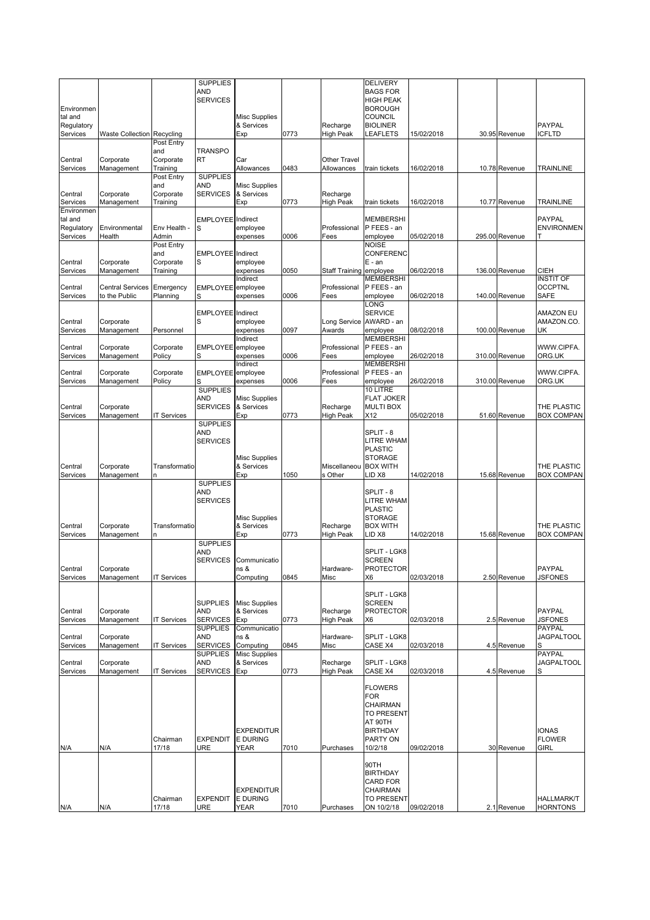|                       |                                   |                       | <b>SUPPLIES</b>               |                                    |      |                              | <b>DELIVERY</b>                     |            |                |                             |
|-----------------------|-----------------------------------|-----------------------|-------------------------------|------------------------------------|------|------------------------------|-------------------------------------|------------|----------------|-----------------------------|
|                       |                                   |                       | AND                           |                                    |      |                              | <b>BAGS FOR</b>                     |            |                |                             |
| Environmen            |                                   |                       | <b>SERVICES</b>               |                                    |      |                              | <b>HIGH PEAK</b><br><b>BOROUGH</b>  |            |                |                             |
| tal and               |                                   |                       |                               | <b>Misc Supplies</b>               |      |                              | <b>COUNCIL</b>                      |            |                |                             |
| Regulatory            |                                   |                       |                               | & Services                         |      | Recharge                     | <b>BIOLINER</b>                     |            |                | <b>PAYPAL</b>               |
| Services              | <b>Waste Collection Recycling</b> |                       |                               | Exp                                | 0773 | High Peak                    | LEAFLETS                            | 15/02/2018 | 30.95 Revenue  | ICFLTD                      |
|                       |                                   | Post Entry            |                               |                                    |      |                              |                                     |            |                |                             |
| Central               | Corporate                         | and<br>Corporate      | <b>TRANSPO</b><br><b>RT</b>   | Car                                |      | Other Travel                 |                                     |            |                |                             |
| Services              | Management                        | Training              |                               | Allowances                         | 0483 | Allowances                   | train tickets                       | 16/02/2018 | 10.78 Revenue  | <b>TRAINLINE</b>            |
|                       |                                   | Post Entry            | <b>SUPPLIES</b>               |                                    |      |                              |                                     |            |                |                             |
|                       |                                   | and                   | AND                           | <b>Misc Supplies</b>               |      |                              |                                     |            |                |                             |
| Central               | Corporate                         | Corporate             | <b>SERVICES</b>               | & Services                         |      | Recharge                     |                                     |            |                |                             |
| Services              | Management                        | Training              |                               | Exp                                | 0773 | <b>High Peak</b>             | train tickets                       | 16/02/2018 | 10.77 Revenue  | <b>TRAINLINE</b>            |
| Environmen<br>tal and |                                   |                       | <b>EMPLOYEE</b> Indirect      |                                    |      |                              | <b>MEMBERSHI</b>                    |            |                | <b>PAYPAL</b>               |
| Regulatory            | Environmental                     | Env Health -          | S                             | employee                           |      | Professional                 | P FEES - an                         |            |                | <b>ENVIRONMEN</b>           |
| Services              | Health                            | Admin                 |                               | expenses                           | 0006 | Fees                         | employee                            | 05/02/2018 | 295.00 Revenue | т                           |
|                       |                                   | Post Entry            |                               |                                    |      |                              | <b>NOISE</b>                        |            |                |                             |
|                       |                                   | and                   | <b>EMPLOYEE</b> Indirect      |                                    |      |                              | CONFERENC                           |            |                |                             |
| Central<br>Services   | Corporate<br>Management           | Corporate<br>Training | S                             | employee<br>expenses               | 0050 | Staff Training               | $E - an$<br>employee                | 06/02/2018 | 136.00 Revenue | CIEH                        |
|                       |                                   |                       |                               | Indirect                           |      |                              | <b>MEMBERSHI</b>                    |            |                | <b>INSTIT OF</b>            |
| Central               | <b>Central Services</b>           | Emergency             | EMPLOYEE employee             |                                    |      | Professional                 | P FEES - an                         |            |                | <b>OCCPTNL</b>              |
| Services              | to the Public                     | Planning              | S                             | expenses                           | 0006 | Fees                         | employee                            | 06/02/2018 | 140.00 Revenue | <b>SAFE</b>                 |
|                       |                                   |                       |                               |                                    |      |                              | LONG                                |            |                |                             |
|                       |                                   |                       | EMPLOYEE Indirect             |                                    |      |                              | <b>SERVICE</b>                      |            |                | <b>AMAZON EU</b>            |
| Central<br>Services   | Corporate<br>Management           | Personnel             | S                             | employee<br>expenses               | 0097 | Long Service<br>Awards       | AWARD - an<br>employee              | 08/02/2018 | 100.00 Revenue | AMAZON.CO.<br>UK            |
|                       |                                   |                       |                               | Indirect                           |      |                              | <b>MEMBERSHI</b>                    |            |                |                             |
| Central               | Corporate                         | Corporate             | EMPLOYEE employee             |                                    |      | Professional                 | P FEES - an                         |            |                | WWW.CIPFA.                  |
| Services              | Management                        | Policy                | S                             | expenses                           | 0006 | Fees                         | employee                            | 26/02/2018 | 310.00 Revenue | ORG.UK                      |
|                       |                                   |                       |                               | Indirect                           |      |                              | <b>MEMBERSHI</b>                    |            |                |                             |
| Central               | Corporate                         | Corporate             | EMPLOYEE employee             |                                    |      | Professional                 | P FEES - an                         |            |                | WWW.CIPFA.                  |
| Services              | Management                        | Policy                | S<br><b>SUPPLIES</b>          | expenses                           | 0006 | Fees                         | employee<br>10 LITRE                | 26/02/2018 | 310.00 Revenue | ORG.UK                      |
|                       |                                   |                       | AND                           | <b>Misc Supplies</b>               |      |                              | <b>FLAT JOKER</b>                   |            |                |                             |
| Central               | Corporate                         |                       | <b>SERVICES</b>               | & Services                         |      | Recharge                     | <b>MULTI BOX</b>                    |            |                | THE PLASTIC                 |
| Services              | Management                        | <b>IT Services</b>    |                               | Exp                                | 0773 | High Peak                    | X12                                 | 05/02/2018 | 51.60 Revenue  | <b>BOX COMPAN</b>           |
|                       |                                   |                       | <b>SUPPLIES</b>               |                                    |      |                              |                                     |            |                |                             |
|                       |                                   |                       | AND                           |                                    |      |                              | SPLIT - 8                           |            |                |                             |
|                       |                                   |                       | <b>SERVICES</b>               |                                    |      |                              | <b>LITRE WHAM</b><br><b>PLASTIC</b> |            |                |                             |
|                       |                                   |                       |                               | <b>Misc Supplies</b>               |      |                              | <b>STORAGE</b>                      |            |                |                             |
| Central               | Corporate                         | Transformatio         |                               | & Services                         |      | Miscellaneou                 | <b>BOX WITH</b>                     |            |                | THE PLASTIC                 |
| Services              | Management                        | n                     |                               | Exp                                | 1050 | s Other                      | LID X8                              | 14/02/2018 | 15.68 Revenue  | <b>BOX COMPAN</b>           |
|                       |                                   |                       | <b>SUPPLIES</b>               |                                    |      |                              |                                     |            |                |                             |
|                       |                                   |                       | AND<br><b>SERVICES</b>        |                                    |      |                              | SPLIT - 8<br><b>LITRE WHAM</b>      |            |                |                             |
|                       |                                   |                       |                               |                                    |      |                              | <b>PLASTIC</b>                      |            |                |                             |
|                       |                                   |                       |                               | <b>Misc Supplies</b>               |      |                              | <b>STORAGE</b>                      |            |                |                             |
| Central               | Corporate                         | Transformatio         |                               | & Services                         |      | Recharge                     | <b>BOX WITH</b>                     |            |                | THE PLASTIC                 |
| Services              | Management                        | n                     |                               | Exp                                | 0773 | <b>High Peak</b>             | LID X8                              | 14/02/2018 | 15.68 Revenue  | <b>BOX COMPAN</b>           |
|                       |                                   |                       | <b>SUPPLIES</b><br>AND        |                                    |      |                              | SPLIT - LGK8                        |            |                |                             |
|                       |                                   |                       | <b>SERVICES</b>               | Communicatio                       |      |                              | <b>SCREEN</b>                       |            |                |                             |
| Central               | orporate                          |                       |                               | ns &                               |      | Hardware-                    | <b>PROTECTOR</b>                    |            |                | PAYPAL                      |
| Services              | Management                        | <b>IT Services</b>    |                               | Computing                          | 0845 | Misc                         | X <sub>6</sub>                      | 02/03/2018 | 2.50 Revenue   | <b>JSFONES</b>              |
|                       |                                   |                       |                               |                                    |      |                              |                                     |            |                |                             |
|                       |                                   |                       |                               |                                    |      |                              | SPLIT - LGK8                        |            |                |                             |
| Central               | Corporate                         |                       | <b>SUPPLIES</b><br><b>AND</b> | <b>Misc Supplies</b><br>& Services |      | Recharge                     | <b>SCREEN</b><br><b>PROTECTOR</b>   |            |                | <b>PAYPAL</b>               |
| Services              | Management                        | <b>IT Services</b>    | <b>SERVICES</b>               | Exp                                | 0773 | <b>High Peak</b>             | X6                                  | 02/03/2018 | 2.5 Revenue    | <b>JSFONES</b>              |
|                       |                                   |                       | SUPPLIES                      | Communicatio                       |      |                              |                                     |            |                | PAYPAL                      |
| Central               | Corporate                         |                       | AND                           | ns &                               |      | Hardware-                    | SPLIT - LGK8                        |            |                | <b>JAGPALTOOL</b>           |
| Services              | Management                        | <b>IT Services</b>    | <b>SERVICES</b>               | Computing                          | 0845 | Misc                         | CASE X4                             | 02/03/2018 | 4.5 Revenue    |                             |
|                       |                                   |                       | <b>SUPPLIES</b><br>AND        | <b>Misc Supplies</b>               |      |                              |                                     |            |                | PAYPAL<br><b>JAGPALTOOL</b> |
| Central<br>Services   | Corporate<br>Management           | <b>IT Services</b>    | SERVICES                      | & Services<br>Exp                  | 0773 | Recharge<br><b>High Peak</b> | SPLIT - LGK8<br>CASE X4             | 02/03/2018 | 4.5 Revenue    |                             |
|                       |                                   |                       |                               |                                    |      |                              |                                     |            |                |                             |
|                       |                                   |                       |                               |                                    |      |                              | <b>FLOWERS</b>                      |            |                |                             |
|                       |                                   |                       |                               |                                    |      |                              | <b>FOR</b>                          |            |                |                             |
|                       |                                   |                       |                               |                                    |      |                              | CHAIRMAN                            |            |                |                             |
|                       |                                   |                       |                               |                                    |      |                              | <b>TO PRESENT</b><br>AT 90TH        |            |                |                             |
|                       |                                   |                       |                               | <b>EXPENDITUR</b>                  |      |                              | <b>BIRTHDAY</b>                     |            |                | <b>IONAS</b>                |
|                       |                                   | Chairman              | <b>EXPENDIT</b>               | <b>E DURING</b>                    |      |                              | PARTY ON                            |            |                | <b>FLOWER</b>               |
| N/A                   | N/A                               | 17/18                 | URE                           | YEAR                               | 7010 | Purchases                    | 10/2/18                             | 09/02/2018 | 30 Revenue     | <b>GIRL</b>                 |
|                       |                                   |                       |                               |                                    |      |                              |                                     |            |                |                             |
|                       |                                   |                       |                               |                                    |      |                              | 90TH                                |            |                |                             |
|                       |                                   |                       |                               |                                    |      |                              | <b>BIRTHDAY</b><br>CARD FOR         |            |                |                             |
|                       |                                   |                       |                               | <b>EXPENDITUR</b>                  |      |                              | CHAIRMAN                            |            |                |                             |
|                       |                                   | Chairman              | <b>EXPENDIT</b>               | <b>E DURING</b>                    |      |                              | <b>TO PRESENT</b>                   |            |                | <b>HALLMARK/T</b>           |
| N/A                   | N/A                               | 17/18                 | <b>URE</b>                    | <b>YEAR</b>                        | 7010 | Purchases                    | ON 10/2/18                          | 09/02/2018 | 2.1 Revenue    | <b>HORNTONS</b>             |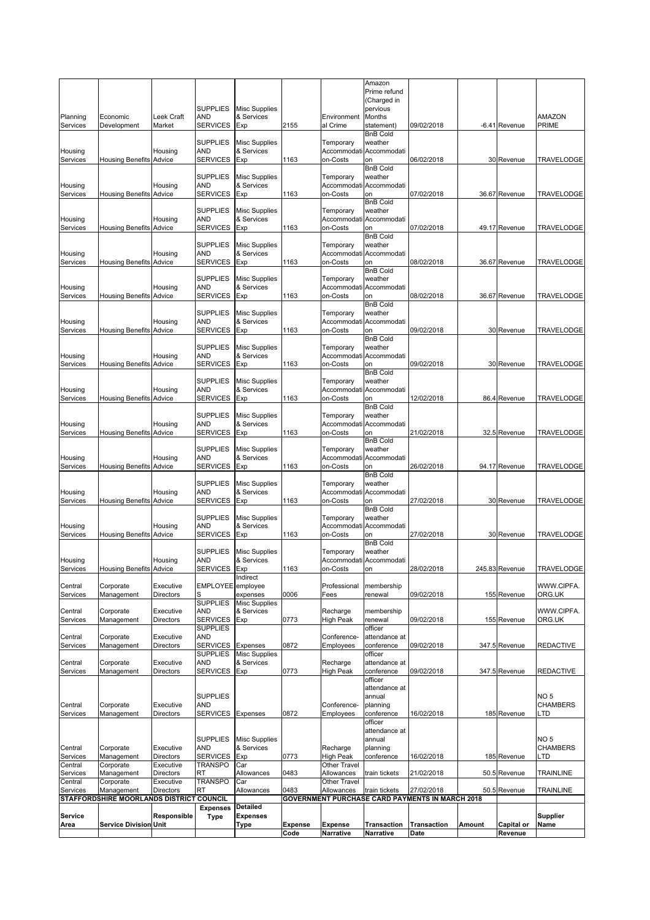| Central<br>Services<br>Central<br>Services<br>Service<br>Area | Management<br>Corporate<br>Management<br>STAFFORDSHIRE MOORLANDS DISTRICT COUNCIL<br><b>Service Division Unit</b> | Executive<br>Directors<br>Responsible | <b>TRANSPO</b><br>RT<br><b>Expenses</b><br><b>Type</b> | Car<br>Allowances<br>Detailed<br><b>Expenses</b><br>Type | 0483<br><b>Expense</b> | Other Travel<br>Allowances<br><b>Expense</b> | train tickets<br>Transaction       | 27/02/2018<br>GOVERNMENT PURCHASE CARD PAYMENTS IN MARCH 2018<br><b>Transaction</b> | Amount | 50.5 Revenue<br>Capital or | <b>TRAINLINE</b><br><b>Supplier</b><br>Name |
|---------------------------------------------------------------|-------------------------------------------------------------------------------------------------------------------|---------------------------------------|--------------------------------------------------------|----------------------------------------------------------|------------------------|----------------------------------------------|------------------------------------|-------------------------------------------------------------------------------------|--------|----------------------------|---------------------------------------------|
|                                                               |                                                                                                                   |                                       |                                                        |                                                          |                        |                                              |                                    |                                                                                     |        |                            |                                             |
|                                                               |                                                                                                                   |                                       |                                                        |                                                          |                        |                                              |                                    |                                                                                     |        |                            |                                             |
|                                                               |                                                                                                                   |                                       |                                                        |                                                          |                        |                                              |                                    |                                                                                     |        |                            |                                             |
|                                                               |                                                                                                                   |                                       |                                                        |                                                          |                        |                                              |                                    |                                                                                     |        |                            |                                             |
|                                                               |                                                                                                                   |                                       | RT                                                     | Allowances                                               | 0483                   | Allowances                                   | train tickets                      | 21/02/2018                                                                          |        | 50.5 Revenue               | TRAINLINE                                   |
|                                                               | Corporate                                                                                                         | Executive<br>Directors                | TRANSPO                                                | Car                                                      |                        | Other Travel                                 |                                    |                                                                                     |        |                            |                                             |
| Central<br>Services                                           | Corporate<br>Management                                                                                           | Executive<br>Directors                | AND<br><b>SERVICES</b>                                 | & Services<br>Exp                                        | 0773                   | Recharge<br><b>High Peak</b>                 | planning<br>conference             | 16/02/2018                                                                          |        | 185 Revenue                | <b>CHAMBERS</b><br>LTD                      |
|                                                               |                                                                                                                   |                                       | <b>SUPPLIES</b>                                        | <b>Misc Supplies</b>                                     |                        |                                              | annual                             |                                                                                     |        |                            | NO <sub>5</sub>                             |
|                                                               |                                                                                                                   |                                       |                                                        |                                                          |                        |                                              | officer<br>attendance at           |                                                                                     |        |                            |                                             |
| Services                                                      | Management                                                                                                        | Directors                             | SERVICES Expenses                                      |                                                          | 0872                   | Employees                                    | conference                         | 16/02/2018                                                                          |        | 185 Revenue                | LTD                                         |
| Central                                                       | Corporate                                                                                                         | Executive                             | <b>SUPPLIES</b><br>AND                                 |                                                          |                        | Conference-                                  | annual<br>planning                 |                                                                                     |        |                            | NO <sub>5</sub><br><b>CHAMBERS</b>          |
|                                                               |                                                                                                                   |                                       |                                                        |                                                          |                        |                                              | attendance at                      |                                                                                     |        |                            |                                             |
|                                                               |                                                                                                                   |                                       |                                                        |                                                          |                        |                                              | officer                            |                                                                                     |        |                            |                                             |
| Central<br>Services                                           | Corporate<br>Management                                                                                           | Executive<br>Directors                | AND<br><b>SERVICES</b>                                 | & Services<br>Exp                                        | 0773                   | Recharge<br><b>High Peak</b>                 | attendance at<br>conference        | 09/02/2018                                                                          |        | 347.5 Revenue              | <b>REDACTIVE</b>                            |
| Services                                                      | Management                                                                                                        |                                       | <b>SUPPLIES</b>                                        | <b>Misc Supplies</b>                                     |                        | Employees                                    | officer                            |                                                                                     |        |                            |                                             |
| Central                                                       | Corporate                                                                                                         | Executive<br>Directors                | <b>AND</b><br><b>SERVICES</b>                          | Expenses                                                 | 0872                   | Conference-                                  | attendance at<br>conference        | 09/02/2018                                                                          |        | 347.5 Revenue              | <b>REDACTIVE</b>                            |
|                                                               |                                                                                                                   |                                       | <b>SUPPLIES</b>                                        |                                                          |                        |                                              | officer                            |                                                                                     |        |                            |                                             |
| Central<br>Services                                           | Corporate<br>Management                                                                                           | Executive<br>Directors                | AND<br>SERVICES                                        | & Services<br>Exp                                        | 0773                   | Recharge<br>High Peak                        | membership<br>renewal              | 09/02/2018                                                                          |        | 155 Revenue                | WWW.CIPFA.<br>ORG.UK                        |
|                                                               |                                                                                                                   |                                       | <b>SUPPLIES</b>                                        | <b>Misc Supplies</b>                                     |                        |                                              |                                    |                                                                                     |        |                            |                                             |
| Central<br>Services                                           | Corporate<br>Management                                                                                           | Executive<br>Directors                | EMPLOYEE employee<br>S                                 | expenses                                                 | 0006                   | Professional<br>Fees                         | membership<br>renewal              | 09/02/2018                                                                          |        | 155 Revenue                | WWW.CIPFA.<br>ORG.UK                        |
|                                                               |                                                                                                                   |                                       |                                                        | <b>Indirect</b>                                          |                        |                                              |                                    |                                                                                     |        |                            |                                             |
| Services                                                      | <b>Housing Benefits Advice</b>                                                                                    |                                       | SERVICES Exp                                           |                                                          | 1163                   | on-Costs                                     | on                                 | 28/02/2018                                                                          |        | 245.83 Revenue             | TRAVELODGE                                  |
| Housing                                                       |                                                                                                                   | Housing                               | <b>SUPPLIES</b><br>AND                                 | <b>Misc Supplies</b><br>& Services                       |                        | Temporary                                    | weather<br>Accommodati Accommodati |                                                                                     |        |                            |                                             |
|                                                               |                                                                                                                   |                                       |                                                        |                                                          |                        |                                              | <b>BnB Cold</b>                    |                                                                                     |        |                            |                                             |
| Housing<br>Services                                           | <b>Housing Benefits Advice</b>                                                                                    | Housing                               | <b>AND</b><br>SERVICES                                 | & Services<br>Exp                                        | 1163                   | Accommodati<br>on-Costs                      | Accommodati<br>on                  | 27/02/2018                                                                          |        | 30 Revenue                 | TRAVELODGE                                  |
|                                                               |                                                                                                                   |                                       | <b>SUPPLIES</b>                                        | <b>Misc Supplies</b>                                     |                        | Temporary                                    | weather                            |                                                                                     |        |                            |                                             |
|                                                               |                                                                                                                   |                                       |                                                        |                                                          |                        |                                              | <b>BnB Cold</b>                    |                                                                                     |        |                            |                                             |
| Housing<br>Services                                           | <b>Housing Benefits Advice</b>                                                                                    | Housing                               | AND<br><b>SERVICES</b>                                 | & Services<br>Exp                                        | 1163                   | Accommodati<br>on-Costs                      | Accommodati<br>on                  | 27/02/2018                                                                          |        | 30 Revenue                 | TRAVELODGE                                  |
|                                                               |                                                                                                                   |                                       | <b>SUPPLIES</b>                                        | <b>Misc Supplies</b>                                     |                        | Temporary                                    | weather                            |                                                                                     |        |                            |                                             |
| Services                                                      | <b>Housing Benefits Advice</b>                                                                                    |                                       | <b>SERVICES</b>                                        | Exp                                                      |                        | on-Costs                                     | on<br><b>BnB Cold</b>              | 26/02/2018                                                                          |        | 94.17 Revenue              | TRAVELODGE                                  |
| Housing                                                       |                                                                                                                   | Housing                               | AND                                                    | & Services                                               | 1163                   | Accommodati                                  | Accommodati                        |                                                                                     |        |                            |                                             |
|                                                               |                                                                                                                   |                                       | <b>SUPPLIES</b>                                        | <b>Misc Supplies</b>                                     |                        | Temporary                                    | weather                            |                                                                                     |        |                            |                                             |
| Services                                                      | <b>Housing Benefits Advice</b>                                                                                    |                                       | <b>SERVICES</b>                                        | Exp                                                      | 1163                   | on-Costs                                     | on<br><b>BnB Cold</b>              | 21/02/2018                                                                          |        | 32.5 Revenue               | TRAVELODGE                                  |
| Housing                                                       |                                                                                                                   | Housing                               | <b>AND</b>                                             | & Services                                               |                        |                                              | Accommodati Accommodati            |                                                                                     |        |                            |                                             |
|                                                               |                                                                                                                   |                                       | <b>SUPPLIES</b>                                        | <b>Misc Supplies</b>                                     |                        | Temporary                                    | <b>BnB Cold</b><br>weather         |                                                                                     |        |                            |                                             |
| Services                                                      | <b>Housing Benefits Advice</b>                                                                                    |                                       | <b>SERVICES</b>                                        | Exp                                                      | 1163                   | on-Costs                                     | on                                 | 12/02/2018                                                                          |        | 86.4 Revenue               | TRAVELODGE                                  |
| Housing                                                       |                                                                                                                   | Housing                               | <b>AND</b>                                             | & Services                                               |                        | Temporary                                    | Accommodati Accommodati            |                                                                                     |        |                            |                                             |
|                                                               |                                                                                                                   |                                       | <b>SUPPLIES</b>                                        | <b>Misc Supplies</b>                                     |                        |                                              | <b>BnB Cold</b><br>weather         |                                                                                     |        |                            |                                             |
| Services                                                      | <b>Housing Benefits Advice</b>                                                                                    |                                       | <b>SERVICES</b>                                        | Exp                                                      | 1163                   | on-Costs                                     | on                                 | 09/02/2018                                                                          |        | 30 Revenue                 | TRAVELODGE                                  |
| Housing                                                       |                                                                                                                   | Housing                               | <b>SUPPLIES</b><br>AND                                 | <b>Misc Supplies</b><br>& Services                       |                        | Temporary                                    | weather<br>Accommodati Accommodati |                                                                                     |        |                            |                                             |
|                                                               |                                                                                                                   |                                       |                                                        |                                                          |                        |                                              | <b>BnB Cold</b>                    |                                                                                     |        |                            |                                             |
| Services                                                      | <b>Housing Benefits Advice</b>                                                                                    |                                       | <b>SERVICES</b>                                        | Exp                                                      | 1163                   | on-Costs                                     | on                                 | 09/02/2018                                                                          |        | 30 Revenue                 | TRAVELODGE                                  |
| Housing                                                       |                                                                                                                   | Housing                               | <b>SUPPLIES</b><br>AND                                 | <b>Misc Supplies</b><br>& Services                       |                        | Temporary<br>Accommodati                     | weather<br>Accommodati             |                                                                                     |        |                            |                                             |
|                                                               |                                                                                                                   |                                       |                                                        |                                                          |                        |                                              | <b>BnB Cold</b>                    |                                                                                     |        |                            |                                             |
| Housing<br>Services                                           | <b>Housing Benefits Advice</b>                                                                                    | Housing                               | AND<br><b>SERVICES</b>                                 | & Services<br>Exp                                        | 1163                   | Accommodati<br>on-Costs                      | Accommodati<br>on                  | 08/02/2018                                                                          |        | 36.67 Revenue              | TRAVELODGE                                  |
|                                                               |                                                                                                                   |                                       | <b>SUPPLIES</b>                                        | <b>Misc Supplies</b>                                     |                        | Temporary                                    | weather                            |                                                                                     |        |                            |                                             |
| Services                                                      | <b>Housing Benefits Advice</b>                                                                                    |                                       | <b>SERVICES</b>                                        | Exp                                                      | 1163                   | on-Costs                                     | on<br><b>BnB Cold</b>              | 08/02/2018                                                                          |        | 36.67 Revenue              | TRAVELODGE                                  |
| Housing                                                       |                                                                                                                   | Housing                               | <b>AND</b>                                             | & Services                                               |                        |                                              | Accommodati Accommodati            |                                                                                     |        |                            |                                             |
|                                                               |                                                                                                                   |                                       | <b>SUPPLIES</b>                                        | <b>Misc Supplies</b>                                     |                        | Temporary                                    | weather                            |                                                                                     |        |                            |                                             |
| Services                                                      | <b>Housing Benefits Advice</b>                                                                                    |                                       | <b>SERVICES</b>                                        | Exp                                                      | 1163                   | on-Costs                                     | on<br><b>BnB Cold</b>              | 07/02/2018                                                                          |        | 49.17 Revenue              | TRAVELODGE                                  |
| Housing                                                       |                                                                                                                   | Housing                               | AND                                                    | & Services                                               |                        |                                              | Accommodati Accommodati            |                                                                                     |        |                            |                                             |
|                                                               |                                                                                                                   |                                       | <b>SUPPLIES</b>                                        | <b>Misc Supplies</b>                                     |                        | Temporary                                    | <b>BnB Cold</b><br>weather         |                                                                                     |        |                            |                                             |
| Services                                                      | <b>Housing Benefits Advice</b>                                                                                    |                                       | <b>SERVICES</b>                                        | Exp                                                      | 1163                   | on-Costs                                     | on                                 | 07/02/2018                                                                          |        | 36.67 Revenue              | TRAVELODGE                                  |
| Housing                                                       |                                                                                                                   | Housing                               | <b>SUPPLIES</b><br>AND                                 | <b>Misc Supplies</b><br>& Services                       |                        | Temporary                                    | weather<br>Accommodati Accommodati |                                                                                     |        |                            |                                             |
|                                                               |                                                                                                                   |                                       |                                                        |                                                          |                        |                                              | <b>BnB Cold</b>                    |                                                                                     |        |                            |                                             |
| Housing<br>Services                                           | <b>Housing Benefits Advice</b>                                                                                    | Housing                               | AND<br><b>SERVICES</b>                                 | & Services<br>Exp                                        | 1163                   | on-Costs                                     | Accommodati Accommodati<br>on      | 06/02/2018                                                                          |        | 30 Revenue                 | TRAVELODGE                                  |
|                                                               |                                                                                                                   |                                       | <b>SUPPLIES</b>                                        | <b>Misc Supplies</b>                                     |                        | Temporary                                    | weather                            |                                                                                     |        |                            |                                             |
|                                                               |                                                                                                                   |                                       |                                                        |                                                          |                        |                                              | <b>BnB Cold</b>                    |                                                                                     |        |                            |                                             |
| Planning<br>Services                                          | Economic<br>Development                                                                                           | Leek Craft<br>Market                  | AND<br><b>SERVICES</b>                                 | & Services<br>Exp                                        | 2155                   | Environment<br>al Crime                      | Months<br>statement)               | 09/02/2018                                                                          |        | -6.41 Revenue              | AMAZON<br><b>PRIME</b>                      |
|                                                               |                                                                                                                   |                                       | <b>SUPPLIES</b>                                        | <b>Misc Supplies</b>                                     |                        |                                              | pervious                           |                                                                                     |        |                            |                                             |
|                                                               |                                                                                                                   |                                       |                                                        |                                                          |                        |                                              | Prime refund<br>(Charged in        |                                                                                     |        |                            |                                             |
|                                                               |                                                                                                                   |                                       |                                                        |                                                          |                        |                                              | Amazon                             |                                                                                     |        |                            |                                             |
|                                                               |                                                                                                                   |                                       |                                                        |                                                          |                        |                                              |                                    |                                                                                     |        |                            |                                             |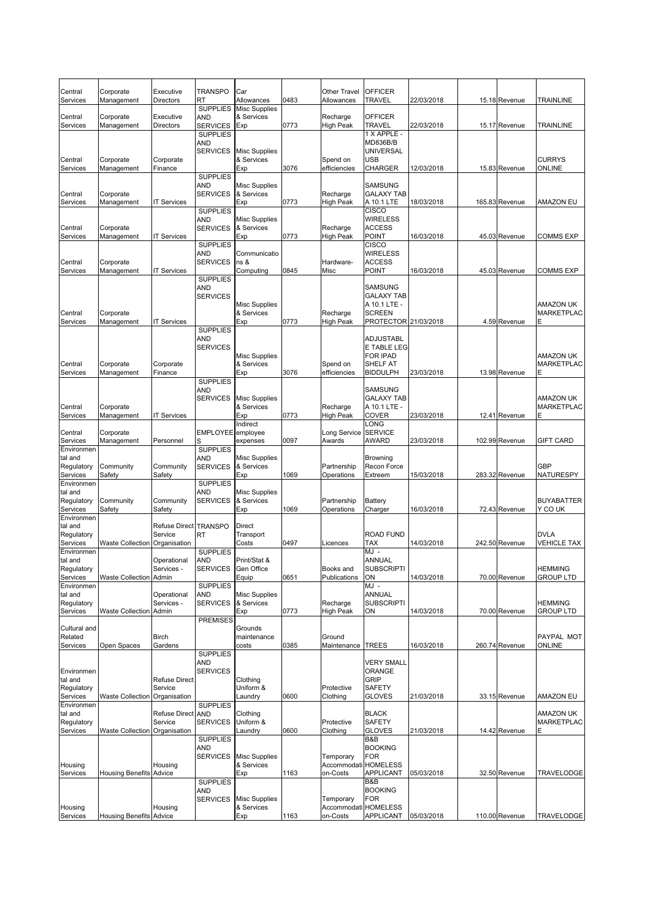| Central                | Corporate                      | Executive                       | <b>TRANSPO</b>                | Car                                |      | Other Travel                     | <b>OFFICER</b>                 |            |                |                                       |
|------------------------|--------------------------------|---------------------------------|-------------------------------|------------------------------------|------|----------------------------------|--------------------------------|------------|----------------|---------------------------------------|
| Services               | Management                     | <b>Directors</b>                | RT<br><b>SUPPLIES</b>         | Allowances<br><b>Misc Supplies</b> | 0483 | Allowances                       | TRAVEL                         | 22/03/2018 | 15.18 Revenue  | <b>TRAINLINE</b>                      |
| Central                | Corporate                      | Executive                       | AND                           | & Services                         |      | Recharge                         | <b>OFFICER</b>                 |            |                |                                       |
| Services               | Management                     | Directors                       | <b>SERVICES</b>               | Exp                                | 0773 | <b>High Peak</b>                 | TRAVEL                         | 22/03/2018 | 15.17 Revenue  | TRAINLINE                             |
|                        |                                |                                 | <b>SUPPLIES</b><br>AND        |                                    |      |                                  | 1 X APPLE -<br>MD836B/B        |            |                |                                       |
|                        |                                |                                 | <b>SERVICES</b>               | <b>Misc Supplies</b>               |      |                                  | UNIVERSAL                      |            |                |                                       |
| Central                | Corporate                      | Corporate                       |                               | & Services                         |      | Spend on                         | USB                            |            |                | <b>CURRYS</b>                         |
| Services               | Management                     | Finance                         | <b>SUPPLIES</b>               | Exp                                | 3076 | efficiencies                     | CHARGER                        | 12/03/2018 | 15.83 Revenue  | <b>ONLINE</b>                         |
|                        |                                |                                 | AND                           | <b>Misc Supplies</b>               |      |                                  | SAMSUNG                        |            |                |                                       |
| Central                | Corporate                      |                                 | <b>SERVICES</b>               | & Services                         |      | Recharge                         | <b>GALAXY TAB</b>              |            |                |                                       |
| Services               | Management                     | <b>IT Services</b>              | <b>SUPPLIES</b>               | Exp                                | 0773 | <b>High Peak</b>                 | A 10.1 LTE<br>CISCO            | 18/03/2018 | 165.83 Revenue | <b>AMAZON EU</b>                      |
|                        |                                |                                 | AND                           | <b>Misc Supplies</b>               |      |                                  | <b>WIRELESS</b>                |            |                |                                       |
| Central                | Corporate                      |                                 | <b>SERVICES</b>               | & Services                         |      | Recharge                         | <b>ACCESS</b>                  |            |                |                                       |
| Services               | Management                     | <b>IT Services</b>              | <b>SUPPLIES</b>               | Exp                                | 0773 | <b>High Peak</b>                 | POINT<br>CISCO                 | 16/03/2018 | 45.03 Revenue  | <b>COMMS EXP</b>                      |
|                        |                                |                                 | AND                           | Communicatio                       |      |                                  | <b>WIRELESS</b>                |            |                |                                       |
| Central                | Corporate                      |                                 | <b>SERVICES</b>               | ns &                               |      | Hardware-                        | <b>ACCESS</b>                  |            |                |                                       |
| Services               | Management                     | <b>IT Services</b>              | <b>SUPPLIES</b>               | Computing                          | 0845 | Misc                             | POINT                          | 16/03/2018 | 45.03 Revenue  | <b>COMMS EXP</b>                      |
|                        |                                |                                 | AND                           |                                    |      |                                  | SAMSUNG                        |            |                |                                       |
|                        |                                |                                 | <b>SERVICES</b>               |                                    |      |                                  | <b>GALAXY TAB</b>              |            |                |                                       |
| Central                | Corporate                      |                                 |                               | <b>Misc Supplies</b><br>& Services |      | Recharge                         | A 10.1 LTE -<br><b>SCREEN</b>  |            |                | <b>AMAZON UK</b><br><b>MARKETPLAC</b> |
| Services               | Management                     | <b>IT Services</b>              |                               | Exp                                | 0773 | <b>High Peak</b>                 | PROTECTOR 21/03/2018           |            | 4.59 Revenue   |                                       |
|                        |                                |                                 | <b>SUPPLIES</b>               |                                    |      |                                  |                                |            |                |                                       |
|                        |                                |                                 | AND                           |                                    |      |                                  | <b>ADJUSTABL</b>               |            |                |                                       |
|                        |                                |                                 | <b>SERVICES</b>               | <b>Misc Supplies</b>               |      |                                  | E TABLE LEG<br><b>FOR IPAD</b> |            |                | <b>AMAZON UK</b>                      |
| Central                | Corporate                      | Corporate                       |                               | & Services                         |      | Spend on                         | <b>SHELF AT</b>                |            |                | <b>MARKETPLAC</b>                     |
| Services               | Management                     | Finance                         |                               | Exp                                | 3076 | efficiencies                     | <b>BIDDULPH</b>                | 23/03/2018 | 13.98 Revenue  |                                       |
|                        |                                |                                 | <b>SUPPLIES</b><br>AND        |                                    |      |                                  | SAMSUNG                        |            |                |                                       |
|                        |                                |                                 | <b>SERVICES</b>               | <b>Misc Supplies</b>               |      |                                  | <b>GALAXY TAB</b>              |            |                | <b>AMAZON UK</b>                      |
| Central                | Corporate                      |                                 |                               | & Services                         |      | Recharge                         | A 10.1 LTE -                   |            |                | <b>MARKETPLAC</b><br>E                |
| Services               | Management                     | <b>IT Services</b>              |                               | Exp<br>Indirect                    | 0773 | High Peak                        | COVER<br>LONG                  | 23/03/2018 | 12.41 Revenue  |                                       |
| Central                | Corporate                      |                                 | EMPLOYEE employee             |                                    |      | Long Service                     | <b>SERVICE</b>                 |            |                |                                       |
| Services<br>Environmen | Management                     | Personnel                       | S<br><b>SUPPLIES</b>          | expenses                           | 0097 | Awards                           | AWARD                          | 23/03/2018 | 102.99 Revenue | <b>GIFT CARD</b>                      |
| tal and                |                                |                                 | <b>AND</b>                    | <b>Misc Supplies</b>               |      |                                  | Browning                       |            |                |                                       |
| Regulatory             | Community                      | Community                       | <b>SERVICES</b>               | & Services                         |      | Partnership                      | Recon Force                    |            |                | <b>GBP</b>                            |
| Services<br>Environmen | Safety                         | Safety                          | <b>SUPPLIES</b>               | Exp                                | 1069 | Operations                       | Extreem                        | 15/03/2018 | 283.32 Revenue | <b>NATURESPY</b>                      |
| tal and                |                                |                                 | AND                           | <b>Misc Supplies</b>               |      |                                  |                                |            |                |                                       |
| Regulatory             | Community                      | Community                       | <b>SERVICES</b>               | & Services                         |      | Partnership                      | Battery                        |            |                | <b>BUYABATTER</b>                     |
| Services<br>Environmen | Safety                         | Safety                          |                               | Exp                                | 1069 | Operations                       | Charger                        | 16/03/2018 | 72.43 Revenue  | Y CO UK                               |
| tal and                |                                | Refuse Direct TRANSPO           |                               | Direct                             |      |                                  |                                |            |                |                                       |
| Regulatory             |                                | Service                         | RT                            | Transport                          |      |                                  | ROAD FUND                      |            |                | <b>DVLA</b>                           |
| Services<br>Environmen | <b>Waste Collection</b>        | Organisation                    | <b>SUPPLIES</b>               | Costs                              | 0497 | Licences                         | TAX<br>MJ-                     | 14/03/2018 | 242.50 Revenue | <b>VEHICLE TAX</b>                    |
| tal and                |                                | Operational                     | AND                           | Print/Stat &                       |      |                                  | ANNUAL                         |            |                |                                       |
| Regulatory             |                                | Services                        | <b>SERVICES</b>               | Gen Office                         |      | Books and                        | <b>SUBSCRIPTI</b>              |            |                | <b>HEMMING</b>                        |
| Services<br>Environmen | <b>Waste Collection Admin</b>  |                                 | <b>SUPPLIES</b>               | Equip                              | 0651 | Publications                     | ON<br>MJ -                     | 14/03/2018 | 70.00 Revenue  | <b>GROUP LTD</b>                      |
| tal and                |                                | Operational                     | AND                           | <b>Misc Supplies</b>               |      |                                  | ANNUAL                         |            |                |                                       |
| Regulatory             |                                | Services -                      | <b>SERVICES</b>               | & Services                         |      | Recharge                         | <b>SUBSCRIPTI</b>              |            |                | <b>HEMMING</b>                        |
| Services               | <b>Waste Collection</b>        | Admin                           | <b>PREMISES</b>               | Exp                                | 0773 | <b>High Peak</b>                 | ON                             | 14/03/2018 | 70.00 Revenue  | <b>GROUP LTD</b>                      |
| Cultural and           |                                |                                 |                               | Grounds                            |      |                                  |                                |            |                |                                       |
| Related                |                                | <b>Birch</b>                    |                               | maintenance                        |      | Ground                           |                                |            |                | PAYPAL MOT                            |
| Services               | Open Spaces                    | Gardens                         | <b>SUPPLIES</b>               | costs                              | 0385 | Maintenance TREES                |                                | 16/03/2018 | 260.74 Revenue | <b>ONLINE</b>                         |
|                        |                                |                                 | AND                           |                                    |      |                                  | <b>VERY SMALL</b>              |            |                |                                       |
| Environmen             |                                |                                 | <b>SERVICES</b>               |                                    |      |                                  | ORANGE                         |            |                |                                       |
| tal and<br>Regulatory  |                                | <b>Refuse Direct</b><br>Service |                               | Clothing<br>Uniform &              |      | Protective                       | GRIP<br>SAFETY                 |            |                |                                       |
| Services               | <b>Waste Collection</b>        | Organisation                    |                               | Laundry                            | 0600 | Clothing                         | <b>GLOVES</b>                  | 21/03/2018 | 33.15 Revenue  | <b>AMAZON EU</b>                      |
| Environmen             |                                |                                 | <b>SUPPLIES</b>               |                                    |      |                                  |                                |            |                |                                       |
| tal and<br>Regulatory  |                                | <b>Refuse Direct</b><br>Service | <b>AND</b><br><b>SERVICES</b> | Clothing<br>Uniform &              |      | Protective                       | <b>BLACK</b><br>SAFETY         |            |                | <b>AMAZON UK</b><br><b>MARKETPLAC</b> |
| Services               | <b>Waste Collection</b>        | Organisation                    |                               | Laundry                            | 0600 | Clothing                         | GLOVES                         | 21/03/2018 | 14.42 Revenue  | Ε                                     |
|                        |                                |                                 | <b>SUPPLIES</b>               |                                    |      |                                  | B&B                            |            |                |                                       |
|                        |                                |                                 | AND<br><b>SERVICES</b>        | <b>Misc Supplies</b>               |      | Temporary                        | <b>BOOKING</b><br>FOR          |            |                |                                       |
| Housing                |                                | Housing                         |                               | & Services                         |      | Accommodati HOMELESS             |                                |            |                |                                       |
| Services               | <b>Housing Benefits Advice</b> |                                 |                               | Exp                                | 1163 | on-Costs                         | APPLICANT                      | 05/03/2018 | 32.50 Revenue  | TRAVELODGE                            |
|                        |                                |                                 | <b>SUPPLIES</b>               |                                    |      |                                  | B&B                            |            |                |                                       |
|                        |                                |                                 |                               |                                    |      |                                  |                                |            |                |                                       |
|                        |                                |                                 | AND<br><b>SERVICES</b>        | <b>Misc Supplies</b>               |      | Temporary                        | <b>BOOKING</b><br>FOR          |            |                |                                       |
| Housing<br>Services    | <b>Housing Benefits Advice</b> | Housing                         |                               | & Services<br>Exp                  | 1163 | Accommodati HOMELESS<br>on-Costs | APPLICANT                      | 05/03/2018 | 110.00 Revenue | TRAVELODGE                            |